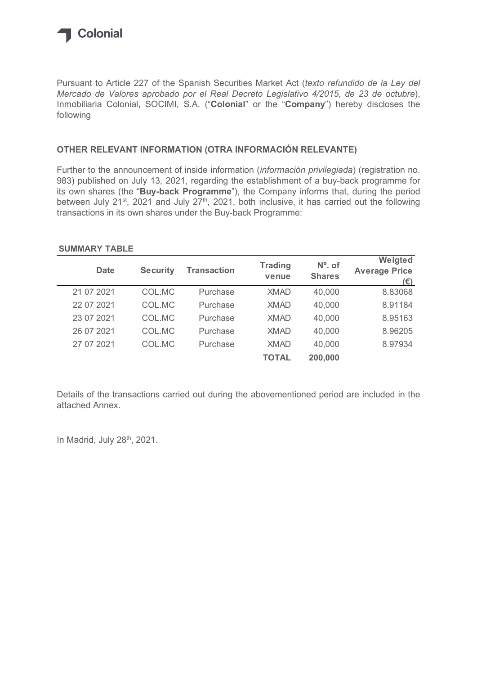

## OTHER RELEVANT INFORMATION (OTRA INFORMACIÓN RELEVANTE)

## SUMMARY TABLE

| Inmobiliaria Colonial, SOCIMI, S.A. ("Colonial" or the "Company") hereby discloses the<br>following                                                                                                                                                                                  |                 |                    |                |               |                             |
|--------------------------------------------------------------------------------------------------------------------------------------------------------------------------------------------------------------------------------------------------------------------------------------|-----------------|--------------------|----------------|---------------|-----------------------------|
| OTHER RELEVANT INFORMATION (OTRA INFORMACIÓN RELEVANTE)                                                                                                                                                                                                                              |                 |                    |                |               |                             |
| Further to the announcement of inside information (información privilegiada) (registration no.<br>983) published on July 13, 2021, regarding the establishment of a buy-back programme for<br>its own shares (the "Buy-back Programme"), the Company informs that, during the period |                 |                    |                |               |                             |
| between July 21 <sup>st</sup> , 2021 and July 27 <sup>th</sup> , 2021, both inclusive, it has carried out the following<br>transactions in its own shares under the Buy-back Programme:<br><b>SUMMARY TABLE</b>                                                                      |                 |                    | <b>Trading</b> | $No$ . of     | Weigted                     |
| <b>Date</b>                                                                                                                                                                                                                                                                          | <b>Security</b> | <b>Transaction</b> | venue          | <b>Shares</b> | <b>Average Price</b><br>(E) |
| 21 07 2021                                                                                                                                                                                                                                                                           | COL.MC          | Purchase           | <b>XMAD</b>    | 40,000        | 8.83068                     |
| 22 07 2021                                                                                                                                                                                                                                                                           | COL.MC          | Purchase           | <b>XMAD</b>    | 40,000        | 8.91184                     |
| 23 07 2021                                                                                                                                                                                                                                                                           | COL.MC          | Purchase           | <b>XMAD</b>    | 40,000        | 8.95163                     |
| 26 07 2021                                                                                                                                                                                                                                                                           | COL.MC          | Purchase           | <b>XMAD</b>    | 40,000        | 8.96205                     |
| 27 07 2021                                                                                                                                                                                                                                                                           | COL.MC          | Purchase           | <b>XMAD</b>    | 40,000        | 8.97934                     |

Details of the transactions carried out during the abovementioned period are included in the attached Annex.

In Madrid, July 28<sup>th</sup>, 2021.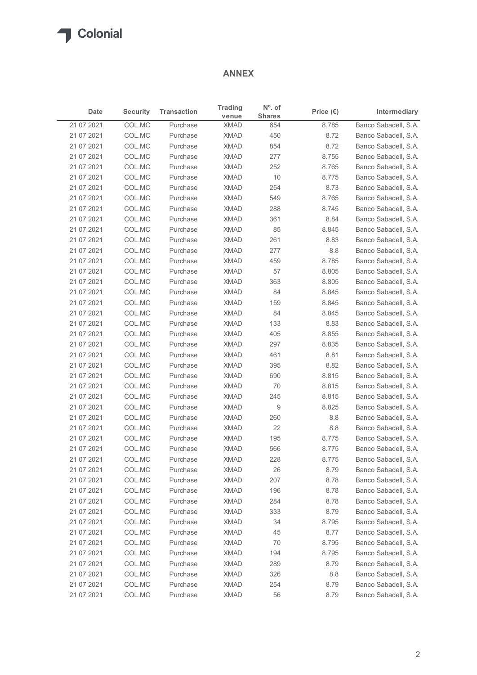## ANNEX

| $N^{\circ}$ . of<br><b>Trading</b><br><b>Security</b><br><b>Transaction</b><br>Intermediary<br>Date<br>Price $(\epsilon)$<br><b>Shares</b><br>venue<br>Banco Sabadell, S.A.<br>COL.MC<br><b>XMAD</b><br>8.785<br>Purchase<br>654<br>21 07 2021<br>COL.MC<br><b>XMAD</b><br>450<br>8.72<br>Banco Sabadell, S.A.<br>Purchase<br>COL.MC<br><b>XMAD</b><br>854<br>Banco Sabadell, S.A.<br>21 07 2021<br>Purchase<br>8.72<br>COL.MC<br><b>XMAD</b><br>277<br>21 07 2021<br>Purchase<br>8.755<br>Banco Sabadell, S.A.<br>21 07 2021<br>COL.MC<br><b>XMAD</b><br>252<br>8.765<br>Banco Sabadell, S.A.<br>Purchase<br>21 07 2021<br>COL.MC<br><b>XMAD</b><br>10<br>8.775<br>Banco Sabadell, S.A.<br>Purchase<br>21 07 2021<br>COL.MC<br><b>XMAD</b><br>8.73<br>Purchase<br>254<br>Banco Sabadell, S.A.<br>COL.MC<br><b>XMAD</b><br>Banco Sabadell, S.A.<br>21 07 2021<br>Purchase<br>549<br>8.765<br>21 07 2021<br>COL.MC<br><b>XMAD</b><br>288<br>Banco Sabadell, S.A.<br>Purchase<br>8.745<br>21 07 2021<br>COL.MC<br>Purchase<br><b>XMAD</b><br>361<br>8.84<br>Banco Sabadell, S.A.<br>COL.MC<br><b>XMAD</b><br>85<br>21 07 2021<br>Purchase<br>8.845<br>Banco Sabadell, S.A.<br>21 07 2021<br>COL.MC<br><b>XMAD</b><br>261<br>8.83<br>Banco Sabadell, S.A.<br>Purchase<br>COL.MC<br><b>XMAD</b><br>277<br>8.8<br>Banco Sabadell, S.A.<br>21 07 2021<br>Purchase<br>8.785<br>21 07 2021<br>COL.MC<br>XMAD<br>459<br>Purchase<br>21 07 2021<br>COL.MC<br><b>XMAD</b><br>57<br>8.805<br>Banco Sabadell, S.A.<br>Purchase<br>8.805<br>21 07 2021<br>COL.MC<br>Purchase<br><b>XMAD</b><br>363<br>COL.MC<br><b>XMAD</b><br>84<br>8.845<br>21 07 2021<br>Purchase<br>COL.MC<br><b>XMAD</b><br>8.845<br>21 07 2021<br>Purchase<br>159<br>COL.MC<br>Purchase<br><b>XMAD</b><br>84<br>8.845<br>21 07 2021<br>COL.MC<br>8.83<br>21 07 2021<br>Purchase<br><b>XMAD</b><br>133<br><b>XMAD</b><br>405<br>8.855<br>21 07 2021<br>COL.MC<br>Purchase<br><b>XMAD</b><br>297<br>8.835<br>Banco Sabadell, S.A.<br>21 07 2021<br>COL.MC<br>Purchase<br>COL.MC<br><b>XMAD</b><br>8.81<br>21 07 2021<br>Purchase<br>461<br>21 07 2021<br>COL.MC<br>Purchase<br><b>XMAD</b><br>395<br>8.82<br><b>XMAD</b><br>8.815<br>21 07 2021<br>COL.MC<br>Purchase<br>690<br>21 07 2021<br>COL.MC<br>Purchase<br><b>XMAD</b><br>70<br>8.815<br>245<br>8.815<br>21 07 2021<br>COL.MC<br>Purchase<br><b>XMAD</b><br>COL.MC<br><b>XMAD</b><br>9<br>8.825<br>Banco Sabadell, S.A.<br>21 07 2021<br>Purchase<br>21 07 2021<br>COL.MC<br>Purchase<br><b>XMAD</b><br>260<br>8.8<br>COL.MC<br><b>XMAD</b><br>22<br>$8.8\,$<br>21 07 2021<br>Purchase<br>COL.MC<br>Purchase<br><b>XMAD</b><br>195<br>8.775<br>21 07 2021<br>COL.MC<br><b>XMAD</b><br>566<br>8.775<br>21 07 2021<br>Purchase<br><b>XMAD</b><br>228<br>8.775<br>21 07 2021<br>COL.MC<br>Purchase<br><b>XMAD</b><br>26<br>8.79<br>Banco Sabadell, S.A.<br>21 07 2021<br>COL.MC<br>Purchase<br>COL.MC<br><b>XMAD</b><br>207<br>8.78<br>21 07 2021<br>Purchase<br>COL.MC<br>Purchase<br><b>XMAD</b><br>8.78<br>21 07 2021<br>196<br>21 07 2021<br>COL.MC<br>Purchase<br><b>XMAD</b><br>284<br>8.78<br>333<br>COL.MC<br>Purchase<br><b>XMAD</b><br>8.79<br>34<br>8.795<br>21 07 2021<br>COL.MC<br>Purchase<br><b>XMAD</b><br><b>XMAD</b><br>45<br>8.77<br>COL.MC<br>Purchase<br><b>XMAD</b><br>70<br>8.795<br>COL.MC<br>Purchase<br>Purchase<br><b>XMAD</b><br>8.795<br>COL.MC<br>194<br>289<br>COL.MC<br>Purchase<br><b>XMAD</b><br>8.79<br><b>XMAD</b><br>326<br>8.8<br>COL.MC<br>Purchase<br><b>XMAD</b><br>254<br>21 07 2021<br>COL.MC<br>Purchase<br>8.79 |            |  | <b>ANNEX</b> |  |  |
|--------------------------------------------------------------------------------------------------------------------------------------------------------------------------------------------------------------------------------------------------------------------------------------------------------------------------------------------------------------------------------------------------------------------------------------------------------------------------------------------------------------------------------------------------------------------------------------------------------------------------------------------------------------------------------------------------------------------------------------------------------------------------------------------------------------------------------------------------------------------------------------------------------------------------------------------------------------------------------------------------------------------------------------------------------------------------------------------------------------------------------------------------------------------------------------------------------------------------------------------------------------------------------------------------------------------------------------------------------------------------------------------------------------------------------------------------------------------------------------------------------------------------------------------------------------------------------------------------------------------------------------------------------------------------------------------------------------------------------------------------------------------------------------------------------------------------------------------------------------------------------------------------------------------------------------------------------------------------------------------------------------------------------------------------------------------------------------------------------------------------------------------------------------------------------------------------------------------------------------------------------------------------------------------------------------------------------------------------------------------------------------------------------------------------------------------------------------------------------------------------------------------------------------------------------------------------------------------------------------------------------------------------------------------------------------------------------------------------------------------------------------------------------------------------------------------------------------------------------------------------------------------------------------------------------------------------------------------------------------------------------------------------------------------------------------------------------------------------------------------------------------------------------------------------------------------------------------------------------------------------------------------------------------------------------------------------------------------------------------------------------------------------------------------------------------------------------------------------------------------------------------------------------------------------------------------------|------------|--|--------------|--|--|
| Banco Sabadell, S.A.<br>Banco Sabadell, S.A.<br>Banco Sabadell, S.A.<br>Banco Sabadell, S.A.<br>Banco Sabadell, S.A.<br>Banco Sabadell, S.A.<br>Banco Sabadell, S.A.<br>Banco Sabadell, S.A.<br>Banco Sabadell, S.A.<br>Banco Sabadell, S.A.<br>Banco Sabadell, S.A.<br>Banco Sabadell, S.A.<br>Banco Sabadell, S.A.<br>Banco Sabadell, S.A.<br>Banco Sabadell, S.A.<br>Banco Sabadell, S.A.<br>Banco Sabadell, S.A.<br>Banco Sabadell, S.A.<br>Banco Sabadell, S.A.<br>Banco Sabadell, S.A.<br>Banco Sabadell, S.A.<br>Banco Sabadell, S.A.<br>Banco Sabadell, S.A.<br>Banco Sabadell, S.A.<br>Banco Sabadell, S.A.<br>Banco Sabadell, S.A.<br>Banco Sabadell, S.A.<br>Banco Sabadell, S.A.                                                                                                                                                                                                                                                                                                                                                                                                                                                                                                                                                                                                                                                                                                                                                                                                                                                                                                                                                                                                                                                                                                                                                                                                                                                                                                                                                                                                                                                                                                                                                                                                                                                                                                                                                                                                                                                                                                                                                                                                                                                                                                                                                                                                                                                                                                                                                                                                                                                                                                                                                                                                                                                                                                                                                                                                                                                                             |            |  |              |  |  |
|                                                                                                                                                                                                                                                                                                                                                                                                                                                                                                                                                                                                                                                                                                                                                                                                                                                                                                                                                                                                                                                                                                                                                                                                                                                                                                                                                                                                                                                                                                                                                                                                                                                                                                                                                                                                                                                                                                                                                                                                                                                                                                                                                                                                                                                                                                                                                                                                                                                                                                                                                                                                                                                                                                                                                                                                                                                                                                                                                                                                                                                                                                                                                                                                                                                                                                                                                                                                                                                                                                                                                                          | 21 07 2021 |  |              |  |  |
|                                                                                                                                                                                                                                                                                                                                                                                                                                                                                                                                                                                                                                                                                                                                                                                                                                                                                                                                                                                                                                                                                                                                                                                                                                                                                                                                                                                                                                                                                                                                                                                                                                                                                                                                                                                                                                                                                                                                                                                                                                                                                                                                                                                                                                                                                                                                                                                                                                                                                                                                                                                                                                                                                                                                                                                                                                                                                                                                                                                                                                                                                                                                                                                                                                                                                                                                                                                                                                                                                                                                                                          |            |  |              |  |  |
|                                                                                                                                                                                                                                                                                                                                                                                                                                                                                                                                                                                                                                                                                                                                                                                                                                                                                                                                                                                                                                                                                                                                                                                                                                                                                                                                                                                                                                                                                                                                                                                                                                                                                                                                                                                                                                                                                                                                                                                                                                                                                                                                                                                                                                                                                                                                                                                                                                                                                                                                                                                                                                                                                                                                                                                                                                                                                                                                                                                                                                                                                                                                                                                                                                                                                                                                                                                                                                                                                                                                                                          |            |  |              |  |  |
|                                                                                                                                                                                                                                                                                                                                                                                                                                                                                                                                                                                                                                                                                                                                                                                                                                                                                                                                                                                                                                                                                                                                                                                                                                                                                                                                                                                                                                                                                                                                                                                                                                                                                                                                                                                                                                                                                                                                                                                                                                                                                                                                                                                                                                                                                                                                                                                                                                                                                                                                                                                                                                                                                                                                                                                                                                                                                                                                                                                                                                                                                                                                                                                                                                                                                                                                                                                                                                                                                                                                                                          |            |  |              |  |  |
|                                                                                                                                                                                                                                                                                                                                                                                                                                                                                                                                                                                                                                                                                                                                                                                                                                                                                                                                                                                                                                                                                                                                                                                                                                                                                                                                                                                                                                                                                                                                                                                                                                                                                                                                                                                                                                                                                                                                                                                                                                                                                                                                                                                                                                                                                                                                                                                                                                                                                                                                                                                                                                                                                                                                                                                                                                                                                                                                                                                                                                                                                                                                                                                                                                                                                                                                                                                                                                                                                                                                                                          |            |  |              |  |  |
|                                                                                                                                                                                                                                                                                                                                                                                                                                                                                                                                                                                                                                                                                                                                                                                                                                                                                                                                                                                                                                                                                                                                                                                                                                                                                                                                                                                                                                                                                                                                                                                                                                                                                                                                                                                                                                                                                                                                                                                                                                                                                                                                                                                                                                                                                                                                                                                                                                                                                                                                                                                                                                                                                                                                                                                                                                                                                                                                                                                                                                                                                                                                                                                                                                                                                                                                                                                                                                                                                                                                                                          |            |  |              |  |  |
|                                                                                                                                                                                                                                                                                                                                                                                                                                                                                                                                                                                                                                                                                                                                                                                                                                                                                                                                                                                                                                                                                                                                                                                                                                                                                                                                                                                                                                                                                                                                                                                                                                                                                                                                                                                                                                                                                                                                                                                                                                                                                                                                                                                                                                                                                                                                                                                                                                                                                                                                                                                                                                                                                                                                                                                                                                                                                                                                                                                                                                                                                                                                                                                                                                                                                                                                                                                                                                                                                                                                                                          |            |  |              |  |  |
|                                                                                                                                                                                                                                                                                                                                                                                                                                                                                                                                                                                                                                                                                                                                                                                                                                                                                                                                                                                                                                                                                                                                                                                                                                                                                                                                                                                                                                                                                                                                                                                                                                                                                                                                                                                                                                                                                                                                                                                                                                                                                                                                                                                                                                                                                                                                                                                                                                                                                                                                                                                                                                                                                                                                                                                                                                                                                                                                                                                                                                                                                                                                                                                                                                                                                                                                                                                                                                                                                                                                                                          |            |  |              |  |  |
|                                                                                                                                                                                                                                                                                                                                                                                                                                                                                                                                                                                                                                                                                                                                                                                                                                                                                                                                                                                                                                                                                                                                                                                                                                                                                                                                                                                                                                                                                                                                                                                                                                                                                                                                                                                                                                                                                                                                                                                                                                                                                                                                                                                                                                                                                                                                                                                                                                                                                                                                                                                                                                                                                                                                                                                                                                                                                                                                                                                                                                                                                                                                                                                                                                                                                                                                                                                                                                                                                                                                                                          |            |  |              |  |  |
|                                                                                                                                                                                                                                                                                                                                                                                                                                                                                                                                                                                                                                                                                                                                                                                                                                                                                                                                                                                                                                                                                                                                                                                                                                                                                                                                                                                                                                                                                                                                                                                                                                                                                                                                                                                                                                                                                                                                                                                                                                                                                                                                                                                                                                                                                                                                                                                                                                                                                                                                                                                                                                                                                                                                                                                                                                                                                                                                                                                                                                                                                                                                                                                                                                                                                                                                                                                                                                                                                                                                                                          |            |  |              |  |  |
|                                                                                                                                                                                                                                                                                                                                                                                                                                                                                                                                                                                                                                                                                                                                                                                                                                                                                                                                                                                                                                                                                                                                                                                                                                                                                                                                                                                                                                                                                                                                                                                                                                                                                                                                                                                                                                                                                                                                                                                                                                                                                                                                                                                                                                                                                                                                                                                                                                                                                                                                                                                                                                                                                                                                                                                                                                                                                                                                                                                                                                                                                                                                                                                                                                                                                                                                                                                                                                                                                                                                                                          |            |  |              |  |  |
|                                                                                                                                                                                                                                                                                                                                                                                                                                                                                                                                                                                                                                                                                                                                                                                                                                                                                                                                                                                                                                                                                                                                                                                                                                                                                                                                                                                                                                                                                                                                                                                                                                                                                                                                                                                                                                                                                                                                                                                                                                                                                                                                                                                                                                                                                                                                                                                                                                                                                                                                                                                                                                                                                                                                                                                                                                                                                                                                                                                                                                                                                                                                                                                                                                                                                                                                                                                                                                                                                                                                                                          |            |  |              |  |  |
|                                                                                                                                                                                                                                                                                                                                                                                                                                                                                                                                                                                                                                                                                                                                                                                                                                                                                                                                                                                                                                                                                                                                                                                                                                                                                                                                                                                                                                                                                                                                                                                                                                                                                                                                                                                                                                                                                                                                                                                                                                                                                                                                                                                                                                                                                                                                                                                                                                                                                                                                                                                                                                                                                                                                                                                                                                                                                                                                                                                                                                                                                                                                                                                                                                                                                                                                                                                                                                                                                                                                                                          |            |  |              |  |  |
|                                                                                                                                                                                                                                                                                                                                                                                                                                                                                                                                                                                                                                                                                                                                                                                                                                                                                                                                                                                                                                                                                                                                                                                                                                                                                                                                                                                                                                                                                                                                                                                                                                                                                                                                                                                                                                                                                                                                                                                                                                                                                                                                                                                                                                                                                                                                                                                                                                                                                                                                                                                                                                                                                                                                                                                                                                                                                                                                                                                                                                                                                                                                                                                                                                                                                                                                                                                                                                                                                                                                                                          |            |  |              |  |  |
|                                                                                                                                                                                                                                                                                                                                                                                                                                                                                                                                                                                                                                                                                                                                                                                                                                                                                                                                                                                                                                                                                                                                                                                                                                                                                                                                                                                                                                                                                                                                                                                                                                                                                                                                                                                                                                                                                                                                                                                                                                                                                                                                                                                                                                                                                                                                                                                                                                                                                                                                                                                                                                                                                                                                                                                                                                                                                                                                                                                                                                                                                                                                                                                                                                                                                                                                                                                                                                                                                                                                                                          |            |  |              |  |  |
|                                                                                                                                                                                                                                                                                                                                                                                                                                                                                                                                                                                                                                                                                                                                                                                                                                                                                                                                                                                                                                                                                                                                                                                                                                                                                                                                                                                                                                                                                                                                                                                                                                                                                                                                                                                                                                                                                                                                                                                                                                                                                                                                                                                                                                                                                                                                                                                                                                                                                                                                                                                                                                                                                                                                                                                                                                                                                                                                                                                                                                                                                                                                                                                                                                                                                                                                                                                                                                                                                                                                                                          |            |  |              |  |  |
|                                                                                                                                                                                                                                                                                                                                                                                                                                                                                                                                                                                                                                                                                                                                                                                                                                                                                                                                                                                                                                                                                                                                                                                                                                                                                                                                                                                                                                                                                                                                                                                                                                                                                                                                                                                                                                                                                                                                                                                                                                                                                                                                                                                                                                                                                                                                                                                                                                                                                                                                                                                                                                                                                                                                                                                                                                                                                                                                                                                                                                                                                                                                                                                                                                                                                                                                                                                                                                                                                                                                                                          |            |  |              |  |  |
|                                                                                                                                                                                                                                                                                                                                                                                                                                                                                                                                                                                                                                                                                                                                                                                                                                                                                                                                                                                                                                                                                                                                                                                                                                                                                                                                                                                                                                                                                                                                                                                                                                                                                                                                                                                                                                                                                                                                                                                                                                                                                                                                                                                                                                                                                                                                                                                                                                                                                                                                                                                                                                                                                                                                                                                                                                                                                                                                                                                                                                                                                                                                                                                                                                                                                                                                                                                                                                                                                                                                                                          |            |  |              |  |  |
|                                                                                                                                                                                                                                                                                                                                                                                                                                                                                                                                                                                                                                                                                                                                                                                                                                                                                                                                                                                                                                                                                                                                                                                                                                                                                                                                                                                                                                                                                                                                                                                                                                                                                                                                                                                                                                                                                                                                                                                                                                                                                                                                                                                                                                                                                                                                                                                                                                                                                                                                                                                                                                                                                                                                                                                                                                                                                                                                                                                                                                                                                                                                                                                                                                                                                                                                                                                                                                                                                                                                                                          |            |  |              |  |  |
|                                                                                                                                                                                                                                                                                                                                                                                                                                                                                                                                                                                                                                                                                                                                                                                                                                                                                                                                                                                                                                                                                                                                                                                                                                                                                                                                                                                                                                                                                                                                                                                                                                                                                                                                                                                                                                                                                                                                                                                                                                                                                                                                                                                                                                                                                                                                                                                                                                                                                                                                                                                                                                                                                                                                                                                                                                                                                                                                                                                                                                                                                                                                                                                                                                                                                                                                                                                                                                                                                                                                                                          |            |  |              |  |  |
|                                                                                                                                                                                                                                                                                                                                                                                                                                                                                                                                                                                                                                                                                                                                                                                                                                                                                                                                                                                                                                                                                                                                                                                                                                                                                                                                                                                                                                                                                                                                                                                                                                                                                                                                                                                                                                                                                                                                                                                                                                                                                                                                                                                                                                                                                                                                                                                                                                                                                                                                                                                                                                                                                                                                                                                                                                                                                                                                                                                                                                                                                                                                                                                                                                                                                                                                                                                                                                                                                                                                                                          |            |  |              |  |  |
|                                                                                                                                                                                                                                                                                                                                                                                                                                                                                                                                                                                                                                                                                                                                                                                                                                                                                                                                                                                                                                                                                                                                                                                                                                                                                                                                                                                                                                                                                                                                                                                                                                                                                                                                                                                                                                                                                                                                                                                                                                                                                                                                                                                                                                                                                                                                                                                                                                                                                                                                                                                                                                                                                                                                                                                                                                                                                                                                                                                                                                                                                                                                                                                                                                                                                                                                                                                                                                                                                                                                                                          |            |  |              |  |  |
|                                                                                                                                                                                                                                                                                                                                                                                                                                                                                                                                                                                                                                                                                                                                                                                                                                                                                                                                                                                                                                                                                                                                                                                                                                                                                                                                                                                                                                                                                                                                                                                                                                                                                                                                                                                                                                                                                                                                                                                                                                                                                                                                                                                                                                                                                                                                                                                                                                                                                                                                                                                                                                                                                                                                                                                                                                                                                                                                                                                                                                                                                                                                                                                                                                                                                                                                                                                                                                                                                                                                                                          |            |  |              |  |  |
|                                                                                                                                                                                                                                                                                                                                                                                                                                                                                                                                                                                                                                                                                                                                                                                                                                                                                                                                                                                                                                                                                                                                                                                                                                                                                                                                                                                                                                                                                                                                                                                                                                                                                                                                                                                                                                                                                                                                                                                                                                                                                                                                                                                                                                                                                                                                                                                                                                                                                                                                                                                                                                                                                                                                                                                                                                                                                                                                                                                                                                                                                                                                                                                                                                                                                                                                                                                                                                                                                                                                                                          |            |  |              |  |  |
|                                                                                                                                                                                                                                                                                                                                                                                                                                                                                                                                                                                                                                                                                                                                                                                                                                                                                                                                                                                                                                                                                                                                                                                                                                                                                                                                                                                                                                                                                                                                                                                                                                                                                                                                                                                                                                                                                                                                                                                                                                                                                                                                                                                                                                                                                                                                                                                                                                                                                                                                                                                                                                                                                                                                                                                                                                                                                                                                                                                                                                                                                                                                                                                                                                                                                                                                                                                                                                                                                                                                                                          |            |  |              |  |  |
|                                                                                                                                                                                                                                                                                                                                                                                                                                                                                                                                                                                                                                                                                                                                                                                                                                                                                                                                                                                                                                                                                                                                                                                                                                                                                                                                                                                                                                                                                                                                                                                                                                                                                                                                                                                                                                                                                                                                                                                                                                                                                                                                                                                                                                                                                                                                                                                                                                                                                                                                                                                                                                                                                                                                                                                                                                                                                                                                                                                                                                                                                                                                                                                                                                                                                                                                                                                                                                                                                                                                                                          |            |  |              |  |  |
|                                                                                                                                                                                                                                                                                                                                                                                                                                                                                                                                                                                                                                                                                                                                                                                                                                                                                                                                                                                                                                                                                                                                                                                                                                                                                                                                                                                                                                                                                                                                                                                                                                                                                                                                                                                                                                                                                                                                                                                                                                                                                                                                                                                                                                                                                                                                                                                                                                                                                                                                                                                                                                                                                                                                                                                                                                                                                                                                                                                                                                                                                                                                                                                                                                                                                                                                                                                                                                                                                                                                                                          |            |  |              |  |  |
|                                                                                                                                                                                                                                                                                                                                                                                                                                                                                                                                                                                                                                                                                                                                                                                                                                                                                                                                                                                                                                                                                                                                                                                                                                                                                                                                                                                                                                                                                                                                                                                                                                                                                                                                                                                                                                                                                                                                                                                                                                                                                                                                                                                                                                                                                                                                                                                                                                                                                                                                                                                                                                                                                                                                                                                                                                                                                                                                                                                                                                                                                                                                                                                                                                                                                                                                                                                                                                                                                                                                                                          |            |  |              |  |  |
|                                                                                                                                                                                                                                                                                                                                                                                                                                                                                                                                                                                                                                                                                                                                                                                                                                                                                                                                                                                                                                                                                                                                                                                                                                                                                                                                                                                                                                                                                                                                                                                                                                                                                                                                                                                                                                                                                                                                                                                                                                                                                                                                                                                                                                                                                                                                                                                                                                                                                                                                                                                                                                                                                                                                                                                                                                                                                                                                                                                                                                                                                                                                                                                                                                                                                                                                                                                                                                                                                                                                                                          |            |  |              |  |  |
|                                                                                                                                                                                                                                                                                                                                                                                                                                                                                                                                                                                                                                                                                                                                                                                                                                                                                                                                                                                                                                                                                                                                                                                                                                                                                                                                                                                                                                                                                                                                                                                                                                                                                                                                                                                                                                                                                                                                                                                                                                                                                                                                                                                                                                                                                                                                                                                                                                                                                                                                                                                                                                                                                                                                                                                                                                                                                                                                                                                                                                                                                                                                                                                                                                                                                                                                                                                                                                                                                                                                                                          |            |  |              |  |  |
|                                                                                                                                                                                                                                                                                                                                                                                                                                                                                                                                                                                                                                                                                                                                                                                                                                                                                                                                                                                                                                                                                                                                                                                                                                                                                                                                                                                                                                                                                                                                                                                                                                                                                                                                                                                                                                                                                                                                                                                                                                                                                                                                                                                                                                                                                                                                                                                                                                                                                                                                                                                                                                                                                                                                                                                                                                                                                                                                                                                                                                                                                                                                                                                                                                                                                                                                                                                                                                                                                                                                                                          |            |  |              |  |  |
|                                                                                                                                                                                                                                                                                                                                                                                                                                                                                                                                                                                                                                                                                                                                                                                                                                                                                                                                                                                                                                                                                                                                                                                                                                                                                                                                                                                                                                                                                                                                                                                                                                                                                                                                                                                                                                                                                                                                                                                                                                                                                                                                                                                                                                                                                                                                                                                                                                                                                                                                                                                                                                                                                                                                                                                                                                                                                                                                                                                                                                                                                                                                                                                                                                                                                                                                                                                                                                                                                                                                                                          |            |  |              |  |  |
|                                                                                                                                                                                                                                                                                                                                                                                                                                                                                                                                                                                                                                                                                                                                                                                                                                                                                                                                                                                                                                                                                                                                                                                                                                                                                                                                                                                                                                                                                                                                                                                                                                                                                                                                                                                                                                                                                                                                                                                                                                                                                                                                                                                                                                                                                                                                                                                                                                                                                                                                                                                                                                                                                                                                                                                                                                                                                                                                                                                                                                                                                                                                                                                                                                                                                                                                                                                                                                                                                                                                                                          |            |  |              |  |  |
|                                                                                                                                                                                                                                                                                                                                                                                                                                                                                                                                                                                                                                                                                                                                                                                                                                                                                                                                                                                                                                                                                                                                                                                                                                                                                                                                                                                                                                                                                                                                                                                                                                                                                                                                                                                                                                                                                                                                                                                                                                                                                                                                                                                                                                                                                                                                                                                                                                                                                                                                                                                                                                                                                                                                                                                                                                                                                                                                                                                                                                                                                                                                                                                                                                                                                                                                                                                                                                                                                                                                                                          |            |  |              |  |  |
|                                                                                                                                                                                                                                                                                                                                                                                                                                                                                                                                                                                                                                                                                                                                                                                                                                                                                                                                                                                                                                                                                                                                                                                                                                                                                                                                                                                                                                                                                                                                                                                                                                                                                                                                                                                                                                                                                                                                                                                                                                                                                                                                                                                                                                                                                                                                                                                                                                                                                                                                                                                                                                                                                                                                                                                                                                                                                                                                                                                                                                                                                                                                                                                                                                                                                                                                                                                                                                                                                                                                                                          |            |  |              |  |  |
|                                                                                                                                                                                                                                                                                                                                                                                                                                                                                                                                                                                                                                                                                                                                                                                                                                                                                                                                                                                                                                                                                                                                                                                                                                                                                                                                                                                                                                                                                                                                                                                                                                                                                                                                                                                                                                                                                                                                                                                                                                                                                                                                                                                                                                                                                                                                                                                                                                                                                                                                                                                                                                                                                                                                                                                                                                                                                                                                                                                                                                                                                                                                                                                                                                                                                                                                                                                                                                                                                                                                                                          |            |  |              |  |  |
|                                                                                                                                                                                                                                                                                                                                                                                                                                                                                                                                                                                                                                                                                                                                                                                                                                                                                                                                                                                                                                                                                                                                                                                                                                                                                                                                                                                                                                                                                                                                                                                                                                                                                                                                                                                                                                                                                                                                                                                                                                                                                                                                                                                                                                                                                                                                                                                                                                                                                                                                                                                                                                                                                                                                                                                                                                                                                                                                                                                                                                                                                                                                                                                                                                                                                                                                                                                                                                                                                                                                                                          |            |  |              |  |  |
|                                                                                                                                                                                                                                                                                                                                                                                                                                                                                                                                                                                                                                                                                                                                                                                                                                                                                                                                                                                                                                                                                                                                                                                                                                                                                                                                                                                                                                                                                                                                                                                                                                                                                                                                                                                                                                                                                                                                                                                                                                                                                                                                                                                                                                                                                                                                                                                                                                                                                                                                                                                                                                                                                                                                                                                                                                                                                                                                                                                                                                                                                                                                                                                                                                                                                                                                                                                                                                                                                                                                                                          | 21 07 2021 |  |              |  |  |
|                                                                                                                                                                                                                                                                                                                                                                                                                                                                                                                                                                                                                                                                                                                                                                                                                                                                                                                                                                                                                                                                                                                                                                                                                                                                                                                                                                                                                                                                                                                                                                                                                                                                                                                                                                                                                                                                                                                                                                                                                                                                                                                                                                                                                                                                                                                                                                                                                                                                                                                                                                                                                                                                                                                                                                                                                                                                                                                                                                                                                                                                                                                                                                                                                                                                                                                                                                                                                                                                                                                                                                          |            |  |              |  |  |
|                                                                                                                                                                                                                                                                                                                                                                                                                                                                                                                                                                                                                                                                                                                                                                                                                                                                                                                                                                                                                                                                                                                                                                                                                                                                                                                                                                                                                                                                                                                                                                                                                                                                                                                                                                                                                                                                                                                                                                                                                                                                                                                                                                                                                                                                                                                                                                                                                                                                                                                                                                                                                                                                                                                                                                                                                                                                                                                                                                                                                                                                                                                                                                                                                                                                                                                                                                                                                                                                                                                                                                          | 21 07 2021 |  |              |  |  |
|                                                                                                                                                                                                                                                                                                                                                                                                                                                                                                                                                                                                                                                                                                                                                                                                                                                                                                                                                                                                                                                                                                                                                                                                                                                                                                                                                                                                                                                                                                                                                                                                                                                                                                                                                                                                                                                                                                                                                                                                                                                                                                                                                                                                                                                                                                                                                                                                                                                                                                                                                                                                                                                                                                                                                                                                                                                                                                                                                                                                                                                                                                                                                                                                                                                                                                                                                                                                                                                                                                                                                                          | 21 07 2021 |  |              |  |  |
|                                                                                                                                                                                                                                                                                                                                                                                                                                                                                                                                                                                                                                                                                                                                                                                                                                                                                                                                                                                                                                                                                                                                                                                                                                                                                                                                                                                                                                                                                                                                                                                                                                                                                                                                                                                                                                                                                                                                                                                                                                                                                                                                                                                                                                                                                                                                                                                                                                                                                                                                                                                                                                                                                                                                                                                                                                                                                                                                                                                                                                                                                                                                                                                                                                                                                                                                                                                                                                                                                                                                                                          | 21 07 2021 |  |              |  |  |
|                                                                                                                                                                                                                                                                                                                                                                                                                                                                                                                                                                                                                                                                                                                                                                                                                                                                                                                                                                                                                                                                                                                                                                                                                                                                                                                                                                                                                                                                                                                                                                                                                                                                                                                                                                                                                                                                                                                                                                                                                                                                                                                                                                                                                                                                                                                                                                                                                                                                                                                                                                                                                                                                                                                                                                                                                                                                                                                                                                                                                                                                                                                                                                                                                                                                                                                                                                                                                                                                                                                                                                          | 21 07 2021 |  |              |  |  |
|                                                                                                                                                                                                                                                                                                                                                                                                                                                                                                                                                                                                                                                                                                                                                                                                                                                                                                                                                                                                                                                                                                                                                                                                                                                                                                                                                                                                                                                                                                                                                                                                                                                                                                                                                                                                                                                                                                                                                                                                                                                                                                                                                                                                                                                                                                                                                                                                                                                                                                                                                                                                                                                                                                                                                                                                                                                                                                                                                                                                                                                                                                                                                                                                                                                                                                                                                                                                                                                                                                                                                                          | 21 07 2021 |  |              |  |  |
|                                                                                                                                                                                                                                                                                                                                                                                                                                                                                                                                                                                                                                                                                                                                                                                                                                                                                                                                                                                                                                                                                                                                                                                                                                                                                                                                                                                                                                                                                                                                                                                                                                                                                                                                                                                                                                                                                                                                                                                                                                                                                                                                                                                                                                                                                                                                                                                                                                                                                                                                                                                                                                                                                                                                                                                                                                                                                                                                                                                                                                                                                                                                                                                                                                                                                                                                                                                                                                                                                                                                                                          |            |  |              |  |  |
| 56<br>8.79<br>21 07 2021<br>COL.MC<br>Purchase<br><b>XMAD</b><br>Banco Sabadell, S.A.                                                                                                                                                                                                                                                                                                                                                                                                                                                                                                                                                                                                                                                                                                                                                                                                                                                                                                                                                                                                                                                                                                                                                                                                                                                                                                                                                                                                                                                                                                                                                                                                                                                                                                                                                                                                                                                                                                                                                                                                                                                                                                                                                                                                                                                                                                                                                                                                                                                                                                                                                                                                                                                                                                                                                                                                                                                                                                                                                                                                                                                                                                                                                                                                                                                                                                                                                                                                                                                                                    |            |  |              |  |  |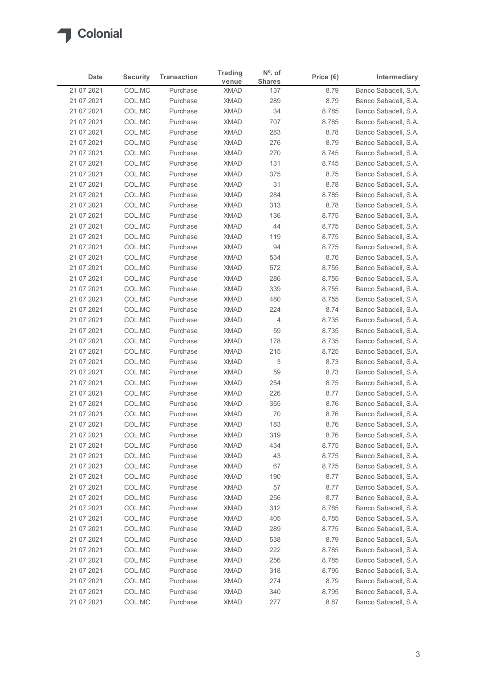

|                          |                  |                                | <b>Trading</b>             | N°. of               |                    |                                              |
|--------------------------|------------------|--------------------------------|----------------------------|----------------------|--------------------|----------------------------------------------|
| Date                     | <b>Security</b>  | <b>Transaction</b><br>Purchase | venue                      | <b>Shares</b>        | Price $(\epsilon)$ | Intermediary<br>Banco Sabadell, S.A.         |
| 21 07 2021<br>21 07 2021 | COL.MC<br>COL.MC | Purchase                       | <b>XMAD</b><br><b>XMAD</b> | 137<br>289           | 8.79<br>8.79       | Banco Sabadell, S.A.                         |
| 21 07 2021               | COL.MC           | Purchase                       | <b>XMAD</b>                | 34                   | 8.785              | Banco Sabadell, S.A.                         |
| 21 07 2021               | COL.MC           | Purchase                       | <b>XMAD</b>                | 707                  | 8.785              | Banco Sabadell, S.A.                         |
| 21 07 2021               | COL.MC           | Purchase                       | <b>XMAD</b>                | 283                  | 8.78               | Banco Sabadell, S.A.                         |
| 21 07 2021               | COL.MC           | Purchase                       | <b>XMAD</b>                | 276                  | 8.79               | Banco Sabadell, S.A.                         |
| 21 07 2021<br>21 07 2021 | COL.MC<br>COL.MC | Purchase<br>Purchase           | <b>XMAD</b><br><b>XMAD</b> | 270<br>131           | 8.745<br>8.745     | Banco Sabadell, S.A.<br>Banco Sabadell, S.A. |
| 21 07 2021               | COL.MC           | Purchase                       | <b>XMAD</b>                | 375                  | 8.75               | Banco Sabadell, S.A.                         |
| 21 07 2021               | COL.MC           | Purchase                       | <b>XMAD</b>                | 31                   | 8.78               | Banco Sabadell, S.A.                         |
| 21 07 2021               | COL.MC           | Purchase                       | <b>XMAD</b>                | 284                  | 8.785              | Banco Sabadell, S.A.                         |
| 21 07 2021               | COL.MC           | Purchase                       | <b>XMAD</b>                | 313                  | 8.78               | Banco Sabadell, S.A.                         |
| 21 07 2021               | COL.MC           | Purchase                       | <b>XMAD</b>                | 136                  | 8.775              | Banco Sabadell, S.A.                         |
| 21 07 2021               | COL.MC           | Purchase                       | XMAD                       | 44                   | 8.775              | Banco Sabadell, S.A.                         |
| 21 07 2021<br>21 07 2021 | COL.MC<br>COL.MC | Purchase<br>Purchase           | <b>XMAD</b><br>XMAD        | 119<br>94            | 8.775<br>8.775     | Banco Sabadell, S.A.<br>Banco Sabadell, S.A. |
| 21 07 2021               | COL.MC           | Purchase                       | <b>XMAD</b>                | 534                  | 8.76               | Banco Sabadell, S.A.                         |
| 21 07 2021               | COL.MC           | Purchase                       | <b>XMAD</b>                | 572                  | 8.755              | Banco Sabadell, S.A.                         |
| 21 07 2021               | COL.MC           | Purchase                       | <b>XMAD</b>                | 286                  | 8.755              | Banco Sabadell, S.A.                         |
| 21 07 2021               | COL.MC           | Purchase                       | <b>XMAD</b>                | 339                  | 8.755              | Banco Sabadell, S.A.                         |
| 21 07 2021               | COL.MC           | Purchase                       | <b>XMAD</b>                | 480                  | 8.755              | Banco Sabadell, S.A.                         |
| 21 07 2021               | COL.MC           | Purchase                       | <b>XMAD</b>                | 224                  | 8.74               | Banco Sabadell, S.A.                         |
| 21 07 2021               | COL.MC           | Purchase<br>Purchase           | <b>XMAD</b><br>XMAD        | $\overline{4}$<br>59 | 8.735<br>8.735     | Banco Sabadell, S.A.<br>Banco Sabadell, S.A. |
| 21 07 2021<br>21 07 2021 | COL.MC<br>COL.MC | Purchase                       | <b>XMAD</b>                | 178                  | 8.735              | Banco Sabadell, S.A.                         |
| 21 07 2021               | COL.MC           | Purchase                       | <b>XMAD</b>                | 215                  | 8.725              | Banco Sabadell, S.A.                         |
| 21 07 2021               | COL.MC           | Purchase                       | <b>XMAD</b>                | 3                    | 8.73               | Banco Sabadell, S.A.                         |
| 21 07 2021               | COL.MC           | Purchase                       | <b>XMAD</b>                | 59                   | 8.73               | Banco Sabadell, S.A.                         |
| 21 07 2021               | COL.MC           | Purchase                       | <b>XMAD</b>                | 254                  | 8.75               | Banco Sabadell, S.A.                         |
| 21 07 2021               | COL.MC           | Purchase                       | <b>XMAD</b>                | 226                  | 8.77               | Banco Sabadell, S.A.                         |
| 21 07 2021               | COL.MC           | Purchase                       | <b>XMAD</b>                | 355                  | 8.76               | Banco Sabadell, S.A.                         |
| 21 07 2021               | COL.MC           | Purchase<br>Purchase           | <b>XMAD</b><br><b>XMAD</b> | 70<br>183            | 8.76<br>8.76       | Banco Sabadell, S.A.                         |
| 21 07 2021<br>21 07 2021 | COL.MC<br>COL.MC | Purchase                       | <b>XMAD</b>                | 319                  | 8.76               | Banco Sabadell, S.A.<br>Banco Sabadell, S.A. |
| 21 07 2021               | COL.MC           | Purchase                       | XMAD                       | 434                  | 8.775              | Banco Sabadell, S.A.                         |
| 21 07 2021               | COL.MC           | Purchase                       | <b>XMAD</b>                | 43                   | 8.775              | Banco Sabadell, S.A.                         |
| 21 07 2021               | COL.MC           | Purchase                       | <b>XMAD</b>                | 67                   | 8.775              | Banco Sabadell, S.A.                         |
| 21 07 2021               | COL.MC           | Purchase                       | <b>XMAD</b>                | 190                  | 8.77               | Banco Sabadell, S.A.                         |
| 21 07 2021               | COL.MC           | Purchase                       | XMAD                       | 57                   | 8.77               | Banco Sabadell, S.A.                         |
| 21 07 2021               | COL.MC           | Purchase                       | <b>XMAD</b>                | 256                  | 8.77               | Banco Sabadell, S.A.                         |
| 21 07 2021<br>21 07 2021 | COL.MC<br>COL.MC | Purchase<br>Purchase           | <b>XMAD</b><br><b>XMAD</b> | 312<br>405           | 8.785<br>8.785     | Banco Sabadell, S.A.<br>Banco Sabadell, S.A. |
| 21 07 2021               | COL.MC           | Purchase                       | <b>XMAD</b>                | 289                  | 8.775              | Banco Sabadell, S.A.                         |
| 21 07 2021               | COL.MC           | Purchase                       | <b>XMAD</b>                | 538                  | 8.79               | Banco Sabadell, S.A.                         |
| 21 07 2021               | COL.MC           | Purchase                       | XMAD                       | 222                  | 8.785              | Banco Sabadell, S.A.                         |
| 21 07 2021               | COL.MC           | Purchase                       | XMAD                       | 256                  | 8.785              | Banco Sabadell, S.A.                         |
| 21 07 2021               | COL.MC           | Purchase                       | <b>XMAD</b>                | 318                  | 8.795              | Banco Sabadell, S.A.                         |
| 21 07 2021               | COL.MC           | Purchase                       | <b>XMAD</b>                | 274                  | 8.79               | Banco Sabadell, S.A.                         |
| 21 07 2021               | COL.MC<br>COL.MC | Purchase                       | <b>XMAD</b>                | 340                  | 8.795              | Banco Sabadell, S.A.                         |
| 21 07 2021               |                  | Purchase                       | <b>XMAD</b>                | 277                  | 8.87               | Banco Sabadell, S.A.                         |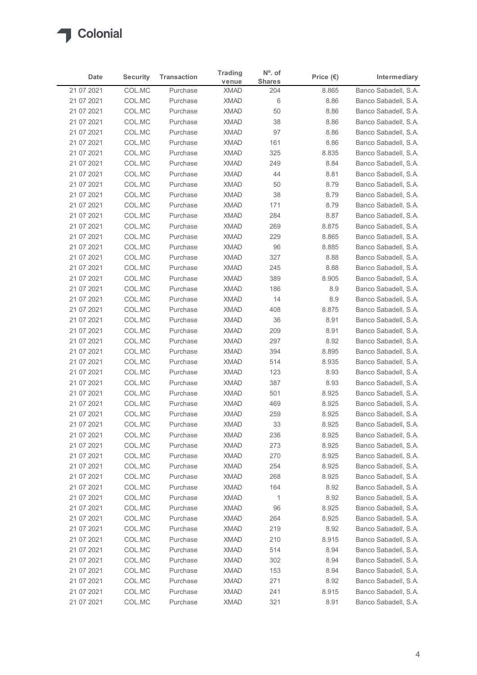

| Date                     | <b>Security</b>  | <b>Transaction</b>   | <b>Trading</b>             | $No$ . of            | Price $(\epsilon)$ | Intermediary                                 |
|--------------------------|------------------|----------------------|----------------------------|----------------------|--------------------|----------------------------------------------|
| 21 07 2021               | COL.MC           | Purchase             | venue<br><b>XMAD</b>       | <b>Shares</b><br>204 | 8.865              | Banco Sabadell, S.A.                         |
| 21 07 2021               | COL.MC           | Purchase             | <b>XMAD</b>                | 6                    | 8.86               | Banco Sabadell, S.A.                         |
| 21 07 2021               | COL.MC           | Purchase             | <b>XMAD</b>                | 50                   | 8.86               | Banco Sabadell, S.A.                         |
| 21 07 2021               | COL.MC           | Purchase             | <b>XMAD</b>                | 38                   | 8.86               | Banco Sabadell, S.A.                         |
| 21 07 2021               | COL.MC           | Purchase             | <b>XMAD</b>                | 97                   | 8.86               | Banco Sabadell, S.A.                         |
| 21 07 2021               | COL.MC           | Purchase             | <b>XMAD</b>                | 161                  | 8.86               | Banco Sabadell, S.A.                         |
| 21 07 2021<br>21 07 2021 | COL.MC<br>COL.MC | Purchase<br>Purchase | <b>XMAD</b><br><b>XMAD</b> | 325<br>249           | 8.835<br>8.84      | Banco Sabadell, S.A.<br>Banco Sabadell, S.A. |
| 21 07 2021               | COL.MC           | Purchase             | <b>XMAD</b>                | 44                   | 8.81               | Banco Sabadell, S.A.                         |
| 21 07 2021               | COL.MC           | Purchase             | <b>XMAD</b>                | 50                   | 8.79               | Banco Sabadell, S.A.                         |
| 21 07 2021               | COL.MC           | Purchase             | <b>XMAD</b>                | 38                   | 8.79               | Banco Sabadell, S.A.                         |
| 21 07 2021               | COL.MC           | Purchase             | <b>XMAD</b>                | 171                  | 8.79               | Banco Sabadell, S.A.                         |
| 21 07 2021               | COL.MC           | Purchase             | <b>XMAD</b>                | 284                  | 8.87               | Banco Sabadell, S.A.                         |
| 21 07 2021               | COL.MC           | Purchase             | XMAD                       | 269                  | 8.875              | Banco Sabadell, S.A.                         |
| 21 07 2021               | COL.MC           | Purchase             | <b>XMAD</b>                | 229                  | 8.865              | Banco Sabadell, S.A.                         |
| 21 07 2021<br>21 07 2021 | COL.MC<br>COL.MC | Purchase<br>Purchase | <b>XMAD</b><br>XMAD        | 96<br>327            | 8.885<br>8.88      | Banco Sabadell, S.A.<br>Banco Sabadell, S.A. |
| 21 07 2021               | COL.MC           | Purchase             | <b>XMAD</b>                | 245                  | 8.88               | Banco Sabadell, S.A.                         |
| 21 07 2021               | COL.MC           | Purchase             | <b>XMAD</b>                | 389                  | 8.905              | Banco Sabadell, S.A.                         |
| 21 07 2021               | COL.MC           | Purchase             | <b>XMAD</b>                | 186                  | 8.9                | Banco Sabadell, S.A.                         |
| 21 07 2021               | COL.MC           | Purchase             | <b>XMAD</b>                | 14                   | 8.9                | Banco Sabadell, S.A.                         |
| 21 07 2021               | COL.MC           | Purchase             | <b>XMAD</b>                | 408                  | 8.875              | Banco Sabadell, S.A.                         |
| 21 07 2021               | COL.MC           | Purchase             | <b>XMAD</b>                | 36                   | 8.91               | Banco Sabadell, S.A.                         |
| 21 07 2021               | COL.MC           | Purchase             | <b>XMAD</b>                | 209                  | 8.91               | Banco Sabadell, S.A.                         |
| 21 07 2021               | COL.MC           | Purchase             | <b>XMAD</b>                | 297                  | 8.92               | Banco Sabadell, S.A.                         |
| 21 07 2021<br>21 07 2021 | COL.MC<br>COL.MC | Purchase<br>Purchase | <b>XMAD</b><br><b>XMAD</b> | 394<br>514           | 8.895<br>8.935     | Banco Sabadell, S.A.<br>Banco Sabadell, S.A. |
| 21 07 2021               | COL.MC           | Purchase             | <b>XMAD</b>                | 123                  | 8.93               | Banco Sabadell, S.A.                         |
| 21 07 2021               | COL.MC           | Purchase             | <b>XMAD</b>                | 387                  | 8.93               | Banco Sabadell, S.A.                         |
| 21 07 2021               | COL.MC           | Purchase             | <b>XMAD</b>                | 501                  | 8.925              | Banco Sabadell, S.A.                         |
| 21 07 2021               | COL.MC           | Purchase             | <b>XMAD</b>                | 469                  | 8.925              | Banco Sabadell, S.A.                         |
| 21 07 2021               | COL.MC           | Purchase             | <b>XMAD</b>                | 259                  | 8.925              | Banco Sabadell, S.A.                         |
| 21 07 2021               | COL.MC           | Purchase             | <b>XMAD</b>                | 33                   | 8.925              | Banco Sabadell, S.A.                         |
| 21 07 2021               | COL.MC           | Purchase             | <b>XMAD</b>                | 236                  | 8.925              | Banco Sabadell, S.A.                         |
| 21 07 2021               | COL.MC           | Purchase             | <b>XMAD</b>                | 273                  | 8.925              | Banco Sabadell, S.A.                         |
| 21 07 2021<br>21 07 2021 | COL.MC<br>COL.MC | Purchase<br>Purchase | <b>XMAD</b><br><b>XMAD</b> | 270<br>254           | 8.925<br>8.925     | Banco Sabadell, S.A.<br>Banco Sabadell, S.A. |
| 21 07 2021               | COL.MC           | Purchase             | <b>XMAD</b>                | 268                  | 8.925              | Banco Sabadell, S.A.                         |
| 21 07 2021               | COL.MC           | Purchase             | <b>XMAD</b>                | 164                  | 8.92               | Banco Sabadell, S.A.                         |
| 21 07 2021               | COL.MC           | Purchase             | <b>XMAD</b>                | $\overline{1}$       | 8.92               | Banco Sabadell, S.A.                         |
| 21 07 2021               | COL.MC           | Purchase             | <b>XMAD</b>                | 96                   | 8.925              | Banco Sabadell, S.A.                         |
| 21 07 2021               | COL.MC           | Purchase             | <b>XMAD</b>                | 264                  | 8.925              | Banco Sabadell, S.A.                         |
| 21 07 2021               | COL.MC           | Purchase             | <b>XMAD</b>                | 219                  | 8.92               | Banco Sabadell, S.A.                         |
| 21 07 2021               | COL.MC           | Purchase             | <b>XMAD</b>                | 210                  | 8.915              | Banco Sabadell, S.A.                         |
| 21 07 2021               | COL.MC           | Purchase             | <b>XMAD</b>                | 514                  | 8.94               | Banco Sabadell, S.A.                         |
| 21 07 2021               | COL.MC<br>COL.MC | Purchase<br>Purchase | XMAD<br><b>XMAD</b>        | 302<br>153           | 8.94<br>8.94       | Banco Sabadell, S.A.<br>Banco Sabadell, S.A. |
| 21 07 2021<br>21 07 2021 | COL.MC           | Purchase             | <b>XMAD</b>                | 271                  | 8.92               | Banco Sabadell, S.A.                         |
|                          | COL.MC           | Purchase             | <b>XMAD</b>                | 241                  | 8.915              | Banco Sabadell, S.A.                         |
| 21 07 2021               | COL.MC           | Purchase             | <b>XMAD</b>                | 321                  | 8.91               | Banco Sabadell, S.A.                         |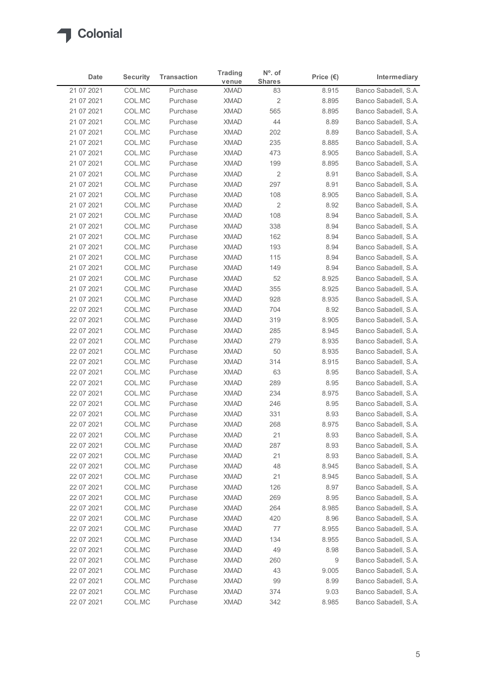

| Date                     | <b>Security</b>  | <b>Transaction</b>   | <b>Trading</b>             | $No$ . of               | Price $(\epsilon)$ | Intermediary                                 |
|--------------------------|------------------|----------------------|----------------------------|-------------------------|--------------------|----------------------------------------------|
| 21 07 2021               | COL.MC           | Purchase             | venue<br><b>XMAD</b>       | <b>Shares</b><br>83     | 8.915              | Banco Sabadell, S.A.                         |
| 21 07 2021               | COL.MC           | Purchase             | <b>XMAD</b>                | $\overline{\mathbf{c}}$ | 8.895              | Banco Sabadell, S.A.                         |
| 21 07 2021               | COL.MC           | Purchase             | <b>XMAD</b>                | 565                     | 8.895              | Banco Sabadell, S.A.                         |
| 21 07 2021               | COL.MC           | Purchase             | <b>XMAD</b>                | 44                      | 8.89               | Banco Sabadell, S.A.                         |
| 21 07 2021               | COL.MC           | Purchase             | <b>XMAD</b>                | 202                     | 8.89               | Banco Sabadell, S.A.                         |
| 21 07 2021               | COL.MC           | Purchase             | <b>XMAD</b>                | 235                     | 8.885              | Banco Sabadell, S.A.                         |
| 21 07 2021<br>21 07 2021 | COL.MC<br>COL.MC | Purchase<br>Purchase | <b>XMAD</b><br><b>XMAD</b> | 473<br>199              | 8.905<br>8.895     | Banco Sabadell, S.A.<br>Banco Sabadell, S.A. |
| 21 07 2021               | COL.MC           | Purchase             | <b>XMAD</b>                | $\overline{2}$          | 8.91               | Banco Sabadell, S.A.                         |
| 21 07 2021               | COL.MC           | Purchase             | <b>XMAD</b>                | 297                     | 8.91               | Banco Sabadell, S.A.                         |
| 21 07 2021               | COL.MC           | Purchase             | <b>XMAD</b>                | 108                     | 8.905              | Banco Sabadell, S.A.                         |
| 21 07 2021               | COL.MC           | Purchase             | <b>XMAD</b>                | 2                       | 8.92               | Banco Sabadell, S.A.                         |
| 21 07 2021               | COL.MC           | Purchase             | <b>XMAD</b>                | 108                     | 8.94               | Banco Sabadell, S.A.                         |
| 21 07 2021               | COL.MC           | Purchase             | XMAD                       | 338                     | 8.94               | Banco Sabadell, S.A.                         |
| 21 07 2021               | COL.MC           | Purchase             | <b>XMAD</b>                | 162                     | 8.94               | Banco Sabadell, S.A.                         |
| 21 07 2021<br>21 07 2021 | COL.MC<br>COL.MC | Purchase<br>Purchase | <b>XMAD</b><br>XMAD        | 193<br>115              | 8.94<br>8.94       | Banco Sabadell, S.A.<br>Banco Sabadell, S.A. |
| 21 07 2021               | COL.MC           | Purchase             | <b>XMAD</b>                | 149                     | 8.94               | Banco Sabadell, S.A.                         |
| 21 07 2021               | COL.MC           | Purchase             | <b>XMAD</b>                | 52                      | 8.925              | Banco Sabadell, S.A.                         |
| 21 07 2021               | COL.MC           | Purchase             | <b>XMAD</b>                | 355                     | 8.925              | Banco Sabadell, S.A.                         |
| 21 07 2021               | COL.MC           | Purchase             | <b>XMAD</b>                | 928                     | 8.935              | Banco Sabadell, S.A.                         |
| 22 07 2021               | COL.MC           | Purchase             | <b>XMAD</b>                | 704                     | 8.92               | Banco Sabadell, S.A.                         |
| 22 07 2021               | COL.MC           | Purchase             | XMAD                       | 319                     | 8.905              | Banco Sabadell, S.A.                         |
| 22 07 2021               | COL.MC           | Purchase             | <b>XMAD</b>                | 285                     | 8.945              | Banco Sabadell, S.A.                         |
| 22 07 2021               | COL.MC           | Purchase             | <b>XMAD</b>                | 279                     | 8.935              | Banco Sabadell, S.A.                         |
| 22 07 2021<br>22 07 2021 | COL.MC<br>COL.MC | Purchase<br>Purchase | <b>XMAD</b><br><b>XMAD</b> | 50<br>314               | 8.935<br>8.915     | Banco Sabadell, S.A.<br>Banco Sabadell, S.A. |
| 22 07 2021               | COL.MC           | Purchase             | <b>XMAD</b>                | 63                      | 8.95               | Banco Sabadell, S.A.                         |
| 22 07 2021               | COL.MC           | Purchase             | <b>XMAD</b>                | 289                     | 8.95               | Banco Sabadell, S.A.                         |
| 22 07 2021               | COL.MC           | Purchase             | <b>XMAD</b>                | 234                     | 8.975              | Banco Sabadell, S.A.                         |
| 22 07 2021               | COL.MC           | Purchase             | <b>XMAD</b>                | 246                     | 8.95               | Banco Sabadell, S.A.                         |
| 22 07 2021               | COL.MC           | Purchase             | <b>XMAD</b>                | 331                     | 8.93               | Banco Sabadell, S.A.                         |
| 22 07 2021               | COL.MC           | Purchase             | <b>XMAD</b>                | 268                     | 8.975              | Banco Sabadell, S.A.                         |
| 22 07 2021               | COL.MC           | Purchase             | <b>XMAD</b>                | 21                      | 8.93               | Banco Sabadell, S.A.                         |
| 22 07 2021               | COL.MC<br>COL.MC | Purchase<br>Purchase | XMAD<br><b>XMAD</b>        | 287<br>21               | 8.93               | Banco Sabadell, S.A.<br>Banco Sabadell, S.A. |
| 22 07 2021<br>22 07 2021 | COL.MC           | Purchase             | <b>XMAD</b>                | 48                      | 8.93<br>8.945      | Banco Sabadell, S.A.                         |
| 22 07 2021               | COL.MC           | Purchase             | <b>XMAD</b>                | 21                      | 8.945              | Banco Sabadell, S.A.                         |
| 22 07 2021               | COL.MC           | Purchase             | <b>XMAD</b>                | 126                     | 8.97               | Banco Sabadell, S.A.                         |
| 22 07 2021               | COL.MC           | Purchase             | <b>XMAD</b>                | 269                     | 8.95               | Banco Sabadell, S.A.                         |
| 22 07 2021               | COL.MC           | Purchase             | <b>XMAD</b>                | 264                     | 8.985              | Banco Sabadell, S.A.                         |
| 22 07 2021               | COL.MC           | Purchase             | <b>XMAD</b>                | 420                     | 8.96               | Banco Sabadell, S.A.                         |
| 22 07 2021               | COL.MC           | Purchase             | <b>XMAD</b>                | 77                      | 8.955              | Banco Sabadell, S.A.                         |
| 22 07 2021               | COL.MC           | Purchase             | <b>XMAD</b>                | 134                     | 8.955              | Banco Sabadell, S.A.                         |
| 22 07 2021               | COL.MC           | Purchase             | <b>XMAD</b>                | 49                      | 8.98               | Banco Sabadell, S.A.                         |
| 22 07 2021<br>22 07 2021 | COL.MC<br>COL.MC | Purchase<br>Purchase | <b>XMAD</b><br><b>XMAD</b> | 260<br>43               | 9<br>9.005         | Banco Sabadell, S.A.<br>Banco Sabadell, S.A. |
| 22 07 2021               | COL.MC           | Purchase             | <b>XMAD</b>                | 99                      | 8.99               | Banco Sabadell, S.A.                         |
|                          | COL.MC           | Purchase             | <b>XMAD</b>                | 374                     | 9.03               | Banco Sabadell, S.A.                         |
| 22 07 2021               | COL.MC           | Purchase             | <b>XMAD</b>                | 342                     | 8.985              | Banco Sabadell, S.A.                         |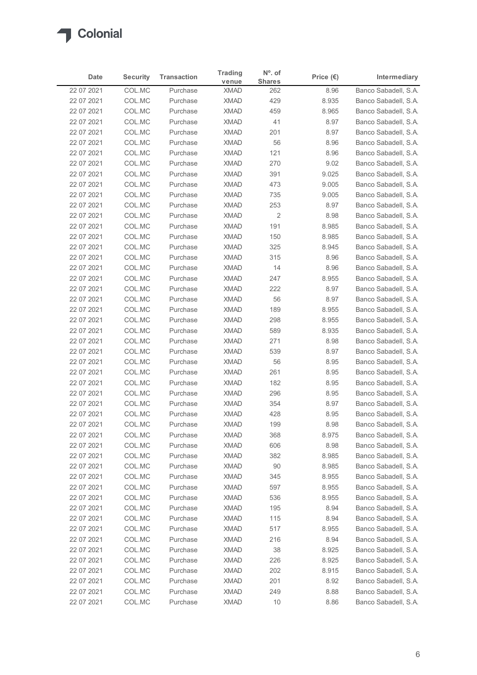

| Date                     | <b>Security</b>  | <b>Transaction</b>   | <b>Trading</b>             | $No$ . of            | Price $(\epsilon)$ | Intermediary                                 |
|--------------------------|------------------|----------------------|----------------------------|----------------------|--------------------|----------------------------------------------|
| 22 07 2021               | COL.MC           | Purchase             | venue<br><b>XMAD</b>       | <b>Shares</b><br>262 | 8.96               | Banco Sabadell, S.A.                         |
| 22 07 2021               | COL.MC           | Purchase             | <b>XMAD</b>                | 429                  | 8.935              | Banco Sabadell, S.A.                         |
| 22 07 2021               | COL.MC           | Purchase             | <b>XMAD</b>                | 459                  | 8.965              | Banco Sabadell, S.A.                         |
| 22 07 2021               | COL.MC           | Purchase             | <b>XMAD</b>                | 41                   | 8.97               | Banco Sabadell, S.A.                         |
| 22 07 2021               | COL.MC           | Purchase             | <b>XMAD</b>                | 201                  | 8.97               | Banco Sabadell, S.A.                         |
| 22 07 2021               | COL.MC           | Purchase             | <b>XMAD</b>                | 56                   | 8.96               | Banco Sabadell, S.A.                         |
| 22 07 2021<br>22 07 2021 | COL.MC<br>COL.MC | Purchase<br>Purchase | <b>XMAD</b><br><b>XMAD</b> | 121<br>270           | 8.96<br>9.02       | Banco Sabadell, S.A.<br>Banco Sabadell, S.A. |
| 22 07 2021               | COL.MC           | Purchase             | <b>XMAD</b>                | 391                  | 9.025              | Banco Sabadell, S.A.                         |
| 22 07 2021               | COL.MC           | Purchase             | <b>XMAD</b>                | 473                  | 9.005              | Banco Sabadell, S.A.                         |
| 22 07 2021               | COL.MC           | Purchase             | <b>XMAD</b>                | 735                  | 9.005              | Banco Sabadell, S.A.                         |
| 22 07 2021               | COL.MC           | Purchase             | <b>XMAD</b>                | 253                  | 8.97               | Banco Sabadell, S.A.                         |
| 22 07 2021               | COL.MC           | Purchase             | <b>XMAD</b>                | $\sqrt{2}$           | 8.98               | Banco Sabadell, S.A.                         |
| 22 07 2021<br>22 07 2021 | COL.MC<br>COL.MC | Purchase<br>Purchase | XMAD<br><b>XMAD</b>        | 191<br>150           | 8.985<br>8.985     | Banco Sabadell, S.A.<br>Banco Sabadell, S.A. |
| 22 07 2021               | COL.MC           | Purchase             | <b>XMAD</b>                | 325                  | 8.945              | Banco Sabadell, S.A.                         |
| 22 07 2021               | COL.MC           | Purchase             | <b>XMAD</b>                | 315                  | 8.96               | Banco Sabadell, S.A.                         |
| 22 07 2021               | COL.MC           | Purchase             | <b>XMAD</b>                | 14                   | 8.96               | Banco Sabadell, S.A.                         |
| 22 07 2021               | COL.MC           | Purchase             | <b>XMAD</b>                | 247                  | 8.955              | Banco Sabadell, S.A.                         |
| 22 07 2021               | COL.MC           | Purchase             | <b>XMAD</b>                | 222                  | 8.97               | Banco Sabadell, S.A.                         |
| 22 07 2021               | COL.MC<br>COL.MC | Purchase<br>Purchase | <b>XMAD</b><br><b>XMAD</b> | 56<br>189            | 8.97<br>8.955      | Banco Sabadell, S.A.<br>Banco Sabadell, S.A. |
| 22 07 2021<br>22 07 2021 | COL.MC           | Purchase             | XMAD                       | 298                  | 8.955              | Banco Sabadell, S.A.                         |
| 22 07 2021               | COL.MC           | Purchase             | <b>XMAD</b>                | 589                  | 8.935              | Banco Sabadell, S.A.                         |
| 22 07 2021               | COL.MC           | Purchase             | <b>XMAD</b>                | 271                  | 8.98               | Banco Sabadell, S.A.                         |
| 22 07 2021               | COL.MC           | Purchase             | <b>XMAD</b>                | 539                  | 8.97               | Banco Sabadell, S.A.                         |
| 22 07 2021               | COL.MC           | Purchase             | <b>XMAD</b>                | 56                   | 8.95               | Banco Sabadell, S.A.                         |
| 22 07 2021               | COL.MC           | Purchase             | XMAD                       | 261                  | 8.95               | Banco Sabadell, S.A.                         |
| 22 07 2021               | COL.MC           | Purchase             | <b>XMAD</b>                | 182                  | 8.95               | Banco Sabadell, S.A.                         |
| 22 07 2021<br>22 07 2021 | COL.MC<br>COL.MC | Purchase<br>Purchase | <b>XMAD</b><br><b>XMAD</b> | 296<br>354           | 8.95<br>8.97       | Banco Sabadell, S.A.<br>Banco Sabadell, S.A. |
| 22 07 2021               | COL.MC           | Purchase             | <b>XMAD</b>                | 428                  | 8.95               | Banco Sabadell, S.A.                         |
| 22 07 2021               | COL.MC           | Purchase             | <b>XMAD</b>                | 199                  | 8.98               | Banco Sabadell, S.A.                         |
| 22 07 2021               | COL.MC           | Purchase             | <b>XMAD</b>                | 368                  | 8.975              | Banco Sabadell, S.A.                         |
| 22 07 2021               | COL.MC           | Purchase             | XMAD                       | 606                  | 8.98               | Banco Sabadell, S.A.                         |
| 22 07 2021               | COL.MC           | Purchase             | <b>XMAD</b>                | 382                  | 8.985              | Banco Sabadell, S.A.                         |
| 22 07 2021               | COL.MC           | Purchase             | <b>XMAD</b>                | 90                   | 8.985              | Banco Sabadell, S.A.                         |
| 22 07 2021               | COL.MC           | Purchase<br>Purchase | <b>XMAD</b><br>XMAD        | 345<br>597           | 8.955<br>8.955     | Banco Sabadell, S.A.                         |
| 22 07 2021<br>22 07 2021 | COL.MC<br>COL.MC | Purchase             | <b>XMAD</b>                | 536                  | 8.955              | Banco Sabadell, S.A.<br>Banco Sabadell, S.A. |
| 22 07 2021               | COL.MC           | Purchase             | <b>XMAD</b>                | 195                  | 8.94               | Banco Sabadell, S.A.                         |
| 22 07 2021               | COL.MC           | Purchase             | <b>XMAD</b>                | 115                  | 8.94               | Banco Sabadell, S.A.                         |
| 22 07 2021               | COL.MC           | Purchase             | <b>XMAD</b>                | 517                  | 8.955              | Banco Sabadell, S.A.                         |
| 22 07 2021               | COL.MC           | Purchase             | <b>XMAD</b>                | 216                  | 8.94               | Banco Sabadell, S.A.                         |
| 22 07 2021               | COL.MC           | Purchase             | <b>XMAD</b>                | 38                   | 8.925              | Banco Sabadell, S.A.                         |
| 22 07 2021               | COL.MC           | Purchase             | XMAD                       | 226                  | 8.925              | Banco Sabadell, S.A.                         |
| 22 07 2021               | COL.MC           | Purchase             | <b>XMAD</b>                | 202                  | 8.915              | Banco Sabadell, S.A.                         |
| 22 07 2021               | COL.MC<br>COL.MC | Purchase<br>Purchase | <b>XMAD</b><br><b>XMAD</b> | 201<br>249           | 8.92<br>8.88       | Banco Sabadell, S.A.<br>Banco Sabadell, S.A. |
| 22 07 2021               |                  | Purchase             |                            | $10$                 | 8.86               |                                              |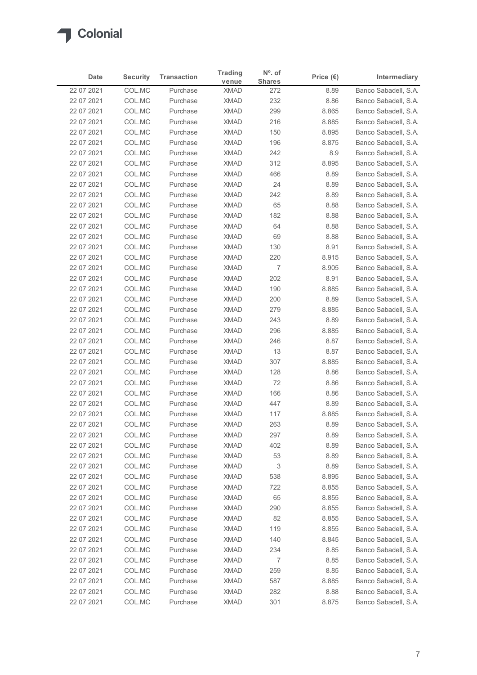

| Date                     | <b>Security</b>  | <b>Transaction</b>   | <b>Trading</b>             | $No$ . of            | Price $(\epsilon)$ | Intermediary                                 |
|--------------------------|------------------|----------------------|----------------------------|----------------------|--------------------|----------------------------------------------|
| 22 07 2021               | COL.MC           | Purchase             | venue<br><b>XMAD</b>       | <b>Shares</b><br>272 | 8.89               | Banco Sabadell, S.A.                         |
| 22 07 2021               | COL.MC           | Purchase             | <b>XMAD</b>                | 232                  | 8.86               | Banco Sabadell, S.A.                         |
| 22 07 2021               | COL.MC           | Purchase             | <b>XMAD</b>                | 299                  | 8.865              | Banco Sabadell, S.A.                         |
| 22 07 2021               | COL.MC           | Purchase             | <b>XMAD</b>                | 216                  | 8.885              | Banco Sabadell, S.A.                         |
| 22 07 2021               | COL.MC           | Purchase             | <b>XMAD</b>                | 150                  | 8.895              | Banco Sabadell, S.A.                         |
| 22 07 2021<br>22 07 2021 | COL.MC<br>COL.MC | Purchase<br>Purchase | <b>XMAD</b><br><b>XMAD</b> | 196                  | 8.875<br>8.9       | Banco Sabadell, S.A.<br>Banco Sabadell, S.A. |
| 22 07 2021               | COL.MC           | Purchase             | <b>XMAD</b>                | 242<br>312           | 8.895              | Banco Sabadell, S.A.                         |
| 22 07 2021               | COL.MC           | Purchase             | <b>XMAD</b>                | 466                  | 8.89               | Banco Sabadell, S.A.                         |
| 22 07 2021               | COL.MC           | Purchase             | <b>XMAD</b>                | 24                   | 8.89               | Banco Sabadell, S.A.                         |
| 22 07 2021               | COL.MC           | Purchase             | <b>XMAD</b>                | 242                  | 8.89               | Banco Sabadell, S.A.                         |
| 22 07 2021               | COL.MC           | Purchase             | <b>XMAD</b>                | 65                   | 8.88               | Banco Sabadell, S.A.                         |
| 22 07 2021<br>22 07 2021 | COL.MC<br>COL.MC | Purchase<br>Purchase | <b>XMAD</b><br>XMAD        | 182<br>64            | 8.88<br>8.88       | Banco Sabadell, S.A.<br>Banco Sabadell, S.A. |
| 22 07 2021               | COL.MC           | Purchase             | <b>XMAD</b>                | 69                   | 8.88               | Banco Sabadell, S.A.                         |
| 22 07 2021               | COL.MC           | Purchase             | <b>XMAD</b>                | 130                  | 8.91               | Banco Sabadell, S.A.                         |
| 22 07 2021               | COL.MC           | Purchase             | <b>XMAD</b>                | 220                  | 8.915              | Banco Sabadell, S.A.                         |
| 22 07 2021               | COL.MC           | Purchase             | <b>XMAD</b>                | 7                    | 8.905              | Banco Sabadell, S.A.                         |
| 22 07 2021               | COL.MC           | Purchase             | <b>XMAD</b>                | 202                  | 8.91               | Banco Sabadell, S.A.                         |
| 22 07 2021               | COL.MC           | Purchase<br>Purchase | <b>XMAD</b><br><b>XMAD</b> | 190<br>200           | 8.885<br>8.89      | Banco Sabadell, S.A.<br>Banco Sabadell, S.A. |
| 22 07 2021<br>22 07 2021 | COL.MC<br>COL.MC | Purchase             | <b>XMAD</b>                | 279                  | 8.885              | Banco Sabadell, S.A.                         |
| 22 07 2021               | COL.MC           | Purchase             | XMAD                       | 243                  | 8.89               | Banco Sabadell, S.A.                         |
| 22 07 2021               | COL.MC           | Purchase             | <b>XMAD</b>                | 296                  | 8.885              | Banco Sabadell, S.A.                         |
| 22 07 2021               | COL.MC           | Purchase             | <b>XMAD</b>                | 246                  | 8.87               | Banco Sabadell, S.A.                         |
| 22 07 2021               | COL.MC           | Purchase             | <b>XMAD</b>                | 13                   | 8.87               | Banco Sabadell, S.A.                         |
| 22 07 2021               | COL.MC           | Purchase             | <b>XMAD</b>                | 307                  | 8.885              | Banco Sabadell, S.A.                         |
| 22 07 2021               | COL.MC<br>COL.MC | Purchase<br>Purchase | <b>XMAD</b><br><b>XMAD</b> | 128<br>72            | 8.86<br>8.86       | Banco Sabadell, S.A.<br>Banco Sabadell, S.A. |
| 22 07 2021<br>22 07 2021 | COL.MC           | Purchase             | <b>XMAD</b>                | 166                  | 8.86               | Banco Sabadell, S.A.                         |
| 22 07 2021               | COL.MC           | Purchase             | <b>XMAD</b>                | 447                  | 8.89               | Banco Sabadell, S.A.                         |
| 22 07 2021               | COL.MC           | Purchase             | <b>XMAD</b>                | 117                  | 8.885              | Banco Sabadell, S.A.                         |
| 22 07 2021               | COL.MC           | Purchase             | <b>XMAD</b>                | 263                  | 8.89               | Banco Sabadell, S.A.                         |
| 22 07 2021               | COL.MC           | Purchase             | <b>XMAD</b>                | 297                  | 8.89               | Banco Sabadell, S.A.                         |
| 22 07 2021               | COL.MC           | Purchase             | <b>XMAD</b>                | 402                  | 8.89               | Banco Sabadell, S.A.                         |
| 22 07 2021<br>22 07 2021 | COL.MC<br>COL.MC | Purchase<br>Purchase | <b>XMAD</b><br><b>XMAD</b> | 53<br>3              | 8.89<br>8.89       | Banco Sabadell, S.A.<br>Banco Sabadell, S.A. |
| 22 07 2021               | COL.MC           | Purchase             | <b>XMAD</b>                | 538                  | 8.895              | Banco Sabadell, S.A.                         |
| 22 07 2021               | COL.MC           | Purchase             | <b>XMAD</b>                | 722                  | 8.855              | Banco Sabadell, S.A.                         |
| 22 07 2021               | COL.MC           | Purchase             | <b>XMAD</b>                | 65                   | 8.855              | Banco Sabadell, S.A.                         |
| 22 07 2021               | COL.MC           | Purchase             | <b>XMAD</b>                | 290                  | 8.855              | Banco Sabadell, S.A.                         |
| 22 07 2021               | COL.MC           | Purchase             | <b>XMAD</b>                | 82                   | 8.855              | Banco Sabadell, S.A.                         |
| 22 07 2021               | COL.MC           | Purchase             | <b>XMAD</b>                | 119                  | 8.855              | Banco Sabadell, S.A.                         |
| 22 07 2021               | COL.MC           | Purchase             | <b>XMAD</b>                | 140                  | 8.845              | Banco Sabadell, S.A.                         |
| 22 07 2021               | COL.MC           | Purchase<br>Purchase | <b>XMAD</b><br>XMAD        | 234<br>7             | 8.85<br>8.85       | Banco Sabadell, S.A.                         |
| 22 07 2021<br>22 07 2021 | COL.MC<br>COL.MC | Purchase             | <b>XMAD</b>                | 259                  | 8.85               | Banco Sabadell, S.A.<br>Banco Sabadell, S.A. |
| 22 07 2021               | COL.MC           | Purchase             | <b>XMAD</b>                | 587                  | 8.885              | Banco Sabadell, S.A.                         |
| 22 07 2021               | COL.MC           | Purchase             | <b>XMAD</b>                | 282                  | 8.88               | Banco Sabadell, S.A.                         |
|                          | COL.MC           | Purchase             | <b>XMAD</b>                | 301                  | 8.875              | Banco Sabadell, S.A.                         |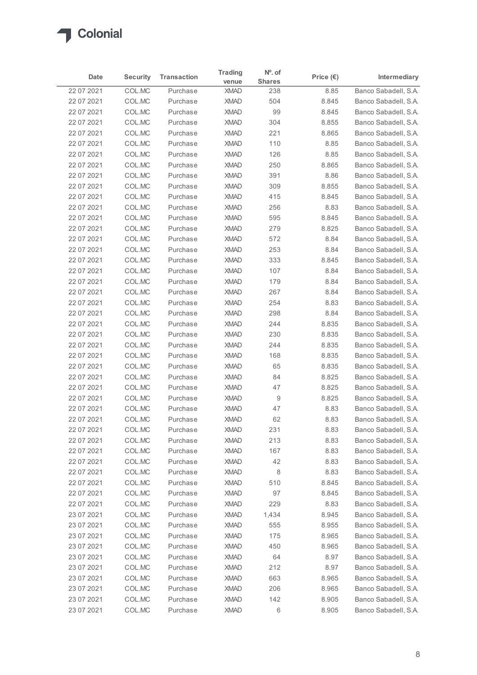

| Date<br>22 07 2021       |                  |                      | <b>Trading</b>             | Nº. of        |                    |                                              |
|--------------------------|------------------|----------------------|----------------------------|---------------|--------------------|----------------------------------------------|
|                          | <b>Security</b>  | <b>Transaction</b>   | venue                      | <b>Shares</b> | Price $(\epsilon)$ | Intermediary                                 |
|                          | COL.MC           | Purchase             | <b>XMAD</b>                | 238           | 8.85               | Banco Sabadell, S.A.                         |
| 22 07 2021               | COL.MC           | Purchase             | <b>XMAD</b>                | 504           | 8.845              | Banco Sabadell, S.A.                         |
| 22 07 2021<br>22 07 2021 | COL.MC<br>COL.MC | Purchase<br>Purchase | <b>XMAD</b><br><b>XMAD</b> | 99<br>304     | 8.845<br>8.855     | Banco Sabadell, S.A.<br>Banco Sabadell, S.A. |
| 22 07 2021               | COL.MC           | Purchase             | <b>XMAD</b>                | 221           | 8.865              | Banco Sabadell, S.A.                         |
| 22 07 2021               | COL.MC           | Purchase             | <b>XMAD</b>                | 110           | 8.85               | Banco Sabadell, S.A.                         |
| 22 07 2021               | COL.MC           | Purchase             | <b>XMAD</b>                | 126           | 8.85               | Banco Sabadell, S.A.                         |
| 22 07 2021               | COL.MC           | Purchase             | <b>XMAD</b>                | 250           | 8.865              | Banco Sabadell, S.A.                         |
| 22 07 2021               | COL.MC           | Purchase             | <b>XMAD</b>                | 391           | 8.86               | Banco Sabadell, S.A.                         |
| 22 07 2021<br>22 07 2021 | COL.MC<br>COL.MC | Purchase<br>Purchase | <b>XMAD</b><br><b>XMAD</b> | 309<br>415    | 8.855<br>8.845     | Banco Sabadell, S.A.<br>Banco Sabadell, S.A. |
| 22 07 2021               | COL.MC           | Purchase             | <b>XMAD</b>                | 256           | 8.83               | Banco Sabadell, S.A.                         |
| 22 07 2021               | COL.MC           | Purchase             | <b>XMAD</b>                | 595           | 8.845              | Banco Sabadell, S.A.                         |
| 22 07 2021               | COL.MC           | Purchase             | XMAD                       | 279           | 8.825              | Banco Sabadell, S.A.                         |
| 22 07 2021               | COL.MC           | Purchase             | <b>XMAD</b>                | 572           | 8.84               | Banco Sabadell, S.A.                         |
| 22 07 2021               | COL.MC           | Purchase             | <b>XMAD</b>                | 253           | 8.84               | Banco Sabadell, S.A.                         |
| 22 07 2021               | COL.MC           | Purchase             | <b>XMAD</b>                | 333           | 8.845              | Banco Sabadell, S.A.                         |
| 22 07 2021               | COL.MC<br>COL.MC | Purchase<br>Purchase | <b>XMAD</b><br><b>XMAD</b> | 107<br>179    | 8.84<br>8.84       | Banco Sabadell, S.A.<br>Banco Sabadell, S.A. |
| 22 07 2021<br>22 07 2021 | COL.MC           | Purchase             | <b>XMAD</b>                | 267           | 8.84               | Banco Sabadell, S.A.                         |
| 22 07 2021               | COL.MC           | Purchase             | <b>XMAD</b>                | 254           | 8.83               | Banco Sabadell, S.A.                         |
| 22 07 2021               | COL.MC           | Purchase             | <b>XMAD</b>                | 298           | 8.84               | Banco Sabadell, S.A.                         |
| 22 07 2021               | COL.MC           | Purchase             | <b>XMAD</b>                | 244           | 8.835              | Banco Sabadell, S.A.                         |
| 22 07 2021               | COL.MC           | Purchase             | <b>XMAD</b>                | 230           | 8.835              | Banco Sabadell, S.A.                         |
| 22 07 2021               | COL.MC           | Purchase             | <b>XMAD</b>                | 244           | 8.835              | Banco Sabadell, S.A.                         |
| 22 07 2021               | COL.MC           | Purchase             | <b>XMAD</b>                | 168           | 8.835              | Banco Sabadell, S.A.                         |
| 22 07 2021               | COL.MC           | Purchase             | <b>XMAD</b><br><b>XMAD</b> | 65<br>84      | 8.835<br>8.825     | Banco Sabadell, S.A.                         |
| 22 07 2021<br>22 07 2021 | COL.MC<br>COL.MC | Purchase<br>Purchase | <b>XMAD</b>                | 47            | 8.825              | Banco Sabadell, S.A.<br>Banco Sabadell, S.A. |
| 22 07 2021               | COL.MC           | Purchase             | <b>XMAD</b>                | 9             | 8.825              | Banco Sabadell, S.A.                         |
| 22 07 2021               | COL.MC           | Purchase             | <b>XMAD</b>                | 47            | 8.83               | Banco Sabadell, S.A.                         |
| 22 07 2021               | COL.MC           | Purchase             | <b>XMAD</b>                | 62            | 8.83               | Banco Sabadell, S.A.                         |
| 22 07 2021               | COL.MC           | Purchase             | <b>XMAD</b>                | 231           | 8.83               | Banco Sabadell, S.A.                         |
| 22 07 2021               | COL.MC           | Purchase             | <b>XMAD</b>                | 213           | 8.83               | Banco Sabadell, S.A.                         |
| 22 07 2021               | COL.MC           | Purchase             | <b>XMAD</b>                | 167           | 8.83               | Banco Sabadell, S.A.                         |
| 22 07 2021               | COL.MC           | Purchase             | <b>XMAD</b>                | 42            | 8.83               | Banco Sabadell, S.A.                         |
| 22 07 2021               | COL.MC           | Purchase             | <b>XMAD</b>                | 8             | 8.83               | Banco Sabadell, S.A.                         |
| 22 07 2021<br>22 07 2021 | COL.MC<br>COL.MC | Purchase<br>Purchase | XMAD<br><b>XMAD</b>        | 510<br>97     | 8.845<br>8.845     | Banco Sabadell, S.A.<br>Banco Sabadell, S.A. |
| 22 07 2021               | COL.MC           | Purchase             | <b>XMAD</b>                | 229           | 8.83               | Banco Sabadell, S.A.                         |
| 23 07 2021               | COL.MC           | Purchase             | <b>XMAD</b>                | 1,434         | 8.945              | Banco Sabadell, S.A.                         |
| 23 07 2021               | COL.MC           | Purchase             | <b>XMAD</b>                | 555           | 8.955              | Banco Sabadell, S.A.                         |
| 23 07 2021               | COL.MC           | Purchase             | <b>XMAD</b>                | 175           | 8.965              | Banco Sabadell, S.A.                         |
| 23 07 2021               | COL.MC           | Purchase             | <b>XMAD</b>                | 450           | 8.965              | Banco Sabadell, S.A.                         |
| 23 07 2021               | COL.MC           | Purchase             | <b>XMAD</b>                | 64            | 8.97               | Banco Sabadell, S.A.                         |
| 23 07 2021               | COL.MC           | Purchase             | <b>XMAD</b>                | 212           | 8.97               | Banco Sabadell, S.A.                         |
| 23 07 2021               | COL.MC           | Purchase             | <b>XMAD</b>                | 663           | 8.965              | Banco Sabadell, S.A.                         |
| 23 07 2021               | COL.MC           | Purchase             | XMAD                       | 206           | 8.965              | Banco Sabadell, S.A.                         |
| 23 07 2021<br>23 07 2021 | COL.MC<br>COLMC  | Purchase<br>Purchase | XMAD<br>XMAD               | 142<br>$\,6$  | 8.905<br>8.905     | Banco Sabadell, S.A.<br>Banco Sabadell, S.A. |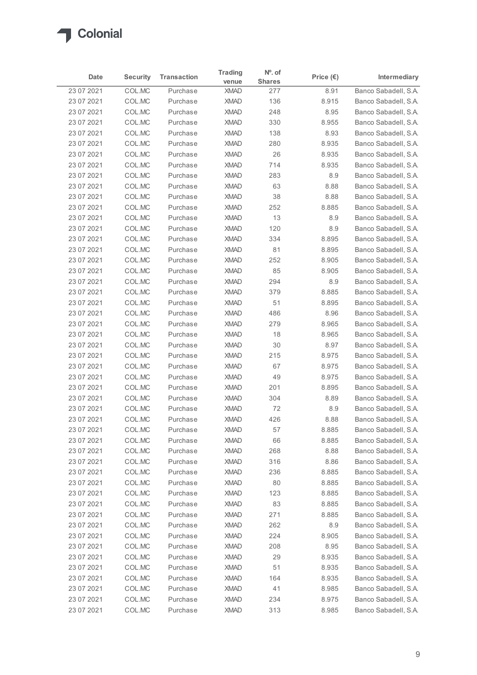

|                          |                  |                      | <b>Trading</b>             | $No$ . of     |                    |                                              |
|--------------------------|------------------|----------------------|----------------------------|---------------|--------------------|----------------------------------------------|
| Date                     | <b>Security</b>  | <b>Transaction</b>   | venue                      | <b>Shares</b> | Price $(\epsilon)$ | Intermediary                                 |
| 23 07 2021               | COL.MC           | Purchase             | <b>XMAD</b>                | 277           | 8.91               | Banco Sabadell, S.A.                         |
| 23 07 2021               | COL.MC           | Purchase             | <b>XMAD</b>                | 136           | 8.915              | Banco Sabadell, S.A.                         |
| 23 07 2021<br>23 07 2021 | COL.MC<br>COL.MC | Purchase<br>Purchase | <b>XMAD</b><br><b>XMAD</b> | 248<br>330    | 8.95<br>8.955      | Banco Sabadell, S.A.<br>Banco Sabadell, S.A. |
| 23 07 2021               | COL.MC           | Purchase             | <b>XMAD</b>                | 138           | 8.93               | Banco Sabadell, S.A.                         |
| 23 07 2021               | COL.MC           | Purchase             | <b>XMAD</b>                | 280           | 8.935              | Banco Sabadell, S.A.                         |
| 23 07 2021               | COL.MC           | Purchase             | <b>XMAD</b>                | 26            | 8.935              | Banco Sabadell, S.A.                         |
| 23 07 2021               | COL.MC           | Purchase             | <b>XMAD</b>                | 714           | 8.935              | Banco Sabadell, S.A.                         |
| 23 07 2021               | COL.MC           | Purchase             | <b>XMAD</b>                | 283           | 8.9                | Banco Sabadell, S.A.                         |
| 23 07 2021               | COL.MC           | Purchase             | <b>XMAD</b>                | 63            | 8.88               | Banco Sabadell, S.A.                         |
| 23 07 2021               | COL.MC           | Purchase             | <b>XMAD</b>                | 38            | 8.88               | Banco Sabadell, S.A.                         |
| 23 07 2021               | COL.MC           | Purchase             | <b>XMAD</b>                | 252           | 8.885              | Banco Sabadell, S.A.                         |
| 23 07 2021               | COL.MC           | Purchase             | <b>XMAD</b>                | 13            | 8.9                | Banco Sabadell, S.A.<br>Banco Sabadell, S.A. |
| 23 07 2021<br>23 07 2021 | COL.MC<br>COL.MC | Purchase<br>Purchase | <b>XMAD</b><br><b>XMAD</b> | 120<br>334    | 8.9<br>8.895       | Banco Sabadell, S.A.                         |
| 23 07 2021               | COL.MC           | Purchase             | <b>XMAD</b>                | 81            | 8.895              | Banco Sabadell, S.A.                         |
| 23 07 2021               | COL.MC           | Purchase             | <b>XMAD</b>                | 252           | 8.905              | Banco Sabadell, S.A.                         |
| 23 07 2021               | COL.MC           | Purchase             | <b>XMAD</b>                | 85            | 8.905              | Banco Sabadell, S.A.                         |
| 23 07 2021               | COL.MC           | Purchase             | <b>XMAD</b>                | 294           | 8.9                | Banco Sabadell, S.A.                         |
| 23 07 2021               | COL.MC           | Purchase             | <b>XMAD</b>                | 379           | 8.885              | Banco Sabadell, S.A.                         |
| 23 07 2021               | COL.MC           | Purchase             | <b>XMAD</b>                | 51            | 8.895              | Banco Sabadell, S.A.                         |
| 23 07 2021               | COL.MC           | Purchase             | <b>XMAD</b>                | 486           | 8.96               | Banco Sabadell, S.A.                         |
| 23 07 2021               | COL.MC           | Purchase             | <b>XMAD</b>                | 279           | 8.965              | Banco Sabadell, S.A.                         |
| 23 07 2021               | COL.MC           | Purchase             | <b>XMAD</b>                | 18            | 8.965              | Banco Sabadell, S.A.                         |
| 23 07 2021               | COL.MC           | Purchase             | <b>XMAD</b>                | 30            | 8.97               | Banco Sabadell, S.A.                         |
| 23 07 2021               | COL.MC           | Purchase             | <b>XMAD</b>                | 215           | 8.975              | Banco Sabadell, S.A.<br>Banco Sabadell, S.A. |
| 23 07 2021<br>23 07 2021 | COL.MC<br>COL.MC | Purchase<br>Purchase | <b>XMAD</b><br><b>XMAD</b> | 67<br>49      | 8.975<br>8.975     | Banco Sabadell, S.A.                         |
| 23 07 2021               | COL.MC           | Purchase             | <b>XMAD</b>                | 201           | 8.895              | Banco Sabadell, S.A.                         |
| 23 07 2021               | COL.MC           | Purchase             | <b>XMAD</b>                | 304           | 8.89               | Banco Sabadell, S.A.                         |
| 23 07 2021               | COL.MC           | Purchase             | <b>XMAD</b>                | 72            | 8.9                | Banco Sabadell, S.A.                         |
| 23 07 2021               | COL.MC           | Purchase             | <b>XMAD</b>                | 426           | 8.88               | Banco Sabadell, S.A.                         |
| 23 07 2021               | COL.MC           | Purchase             | <b>XMAD</b>                | 57            | 8.885              | Banco Sabadell, S.A.                         |
| 23 07 2021               | COL.MC           | Purchase             | <b>XMAD</b>                | 66            | 8.885              | Banco Sabadell, S.A.                         |
| 23 07 2021               | COL.MC           | Purchase             | <b>XMAD</b>                | 268           | 8.88               | Banco Sabadell, S.A.                         |
| 23 07 2021               | COL.MC           | Purchase             | <b>XMAD</b>                | 316           | 8.86               | Banco Sabadell, S.A.                         |
| 23 07 2021               | COL.MC           | Purchase             | <b>XMAD</b>                | 236           | 8.885              | Banco Sabadell, S.A.                         |
| 23 07 2021               | COL.MC           | Purchase             | <b>XMAD</b>                | 80            | 8.885              | Banco Sabadell, S.A.                         |
| 23 07 2021               | COL.MC           | Purchase             | <b>XMAD</b>                | 123           | 8.885              | Banco Sabadell, S.A.                         |
| 23 07 2021               | COL.MC           | Purchase<br>Purchase | <b>XMAD</b><br><b>XMAD</b> | 83<br>271     | 8.885<br>8.885     | Banco Sabadell, S.A.<br>Banco Sabadell, S.A. |
| 23 07 2021<br>23 07 2021 | COL.MC<br>COL.MC | Purchase             | <b>XMAD</b>                | 262           | $8.9\,$            | Banco Sabadell, S.A.                         |
| 23 07 2021               | COL.MC           | Purchase             | <b>XMAD</b>                | 224           | 8.905              | Banco Sabadell, S.A.                         |
| 23 07 2021               | COL.MC           | Purchase             | <b>XMAD</b>                | 208           | 8.95               | Banco Sabadell, S.A.                         |
| 23 07 2021               | COL.MC           | Purchase             | <b>XMAD</b>                | 29            | 8.935              | Banco Sabadell, S.A.                         |
| 23 07 2021               | COL.MC           | Purchase             | <b>XMAD</b>                | 51            | 8.935              | Banco Sabadell, S.A.                         |
| 23 07 2021               | COL.MC           | Purchase             | <b>XMAD</b>                | 164           | 8.935              | Banco Sabadell, S.A.                         |
| 23 07 2021               | COL.MC           | Purchase             | <b>XMAD</b>                | 41            | 8.985              | Banco Sabadell, S.A.                         |
| 23 07 2021               | COL.MC           | Purchase             | <b>XMAD</b>                | 234           | 8.975              | Banco Sabadell, S.A.                         |
| 23 07 2021               | COLMC            | Purchase             | <b>XMAD</b>                | 313           | 8.985              | Banco Sabadell, S.A.                         |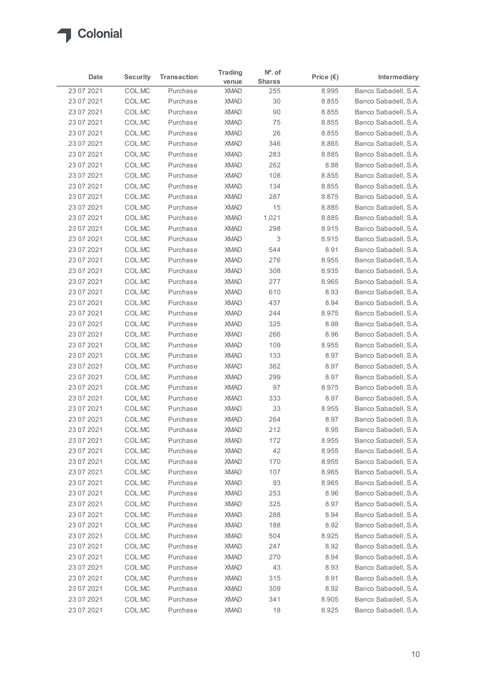

|                          |                  |                      | <b>Trading</b>             | Nº. of        |                    |                                              |
|--------------------------|------------------|----------------------|----------------------------|---------------|--------------------|----------------------------------------------|
| Date                     | <b>Security</b>  | <b>Transaction</b>   | venue                      | <b>Shares</b> | Price $(\epsilon)$ | Intermediary                                 |
| 23 07 2021               | COL.MC           | Purchase             | <b>XMAD</b>                | 255           | 8.995              | Banco Sabadell, S.A.                         |
| 23 07 2021               | COL.MC           | Purchase             | <b>XMAD</b>                | 30            | 8.855              | Banco Sabadell, S.A.                         |
| 23 07 2021               | COL.MC           | Purchase             | <b>XMAD</b>                | $90\,$        | 8.855              | Banco Sabadell, S.A.                         |
| 23 07 2021<br>23 07 2021 | COL.MC<br>COL.MC | Purchase<br>Purchase | <b>XMAD</b><br><b>XMAD</b> | 75<br>26      | 8.855<br>8.855     | Banco Sabadell, S.A.<br>Banco Sabadell, S.A. |
| 23 07 2021               | COL.MC           | Purchase             | <b>XMAD</b>                | 346           | 8.865              | Banco Sabadell, S.A.                         |
| 23 07 2021               | COL.MC           | Purchase             | <b>XMAD</b>                | 283           | 8.885              | Banco Sabadell, S.A.                         |
| 23 07 2021               | COL.MC           | Purchase             | <b>XMAD</b>                | 262           | 8.88               | Banco Sabadell, S.A.                         |
| 23 07 2021               | COL.MC           | Purchase             | <b>XMAD</b>                | 108           | 8.855              | Banco Sabadell, S.A.                         |
| 23 07 2021               | COL.MC           | Purchase             | <b>XMAD</b>                | 134           | 8.855              | Banco Sabadell, S.A.                         |
| 23 07 2021               | COL.MC           | Purchase             | <b>XMAD</b>                | 287           | 8.875              | Banco Sabadell, S.A.                         |
| 23 07 2021               | COL.MC           | Purchase             | <b>XMAD</b>                | 15            | 8.885              | Banco Sabadell, S.A.                         |
| 23 07 2021               | COL.MC           | Purchase             | <b>XMAD</b>                | 1,021         | 8.885              | Banco Sabadell, S.A.                         |
| 23 07 2021               | COL.MC           | Purchase             | <b>XMAD</b>                | 298           | 8.915              | Banco Sabadell, S.A.                         |
| 23 07 2021               | COL.MC           | Purchase             | <b>XMAD</b>                | 3             | 8.915              | Banco Sabadell, S.A.                         |
| 23 07 2021               | COL.MC           | Purchase             | <b>XMAD</b>                | 544           | 8.91               | Banco Sabadell, S.A.                         |
| 23 07 2021               | COL.MC           | Purchase             | <b>XMAD</b>                | 276           | 8.955              | Banco Sabadell, S.A.                         |
| 23 07 2021               | COL.MC           | Purchase             | <b>XMAD</b>                | 308           | 8.935              | Banco Sabadell, S.A.                         |
| 23 07 2021               | COL.MC           | Purchase             | <b>XMAD</b>                | 277           | 8.965              | Banco Sabadell, S.A.                         |
| 23 07 2021               | COL.MC           | Purchase             | <b>XMAD</b>                | 610           | 8.93               | Banco Sabadell, S.A.                         |
| 23 07 2021               | COL.MC           | Purchase             | <b>XMAD</b>                | 437           | 8.94               | Banco Sabadell, S.A.                         |
| 23 07 2021               | COL.MC           | Purchase             | <b>XMAD</b>                | 244           | 8.975              | Banco Sabadell, S.A.                         |
| 23 07 2021               | COL.MC           | Purchase<br>Purchase | <b>XMAD</b><br><b>XMAD</b> | 325<br>266    | 8.98               | Banco Sabadell, S.A.                         |
| 23 07 2021<br>23 07 2021 | COL.MC<br>COL.MC | Purchase             | <b>XMAD</b>                | 109           | 8.96<br>8.955      | Banco Sabadell, S.A.<br>Banco Sabadell, S.A. |
| 23 07 2021               | COL.MC           | Purchase             | <b>XMAD</b>                | 133           | 8.97               | Banco Sabadell, S.A.                         |
| 23 07 2021               | COL.MC           | Purchase             | <b>XMAD</b>                | 362           | 8.97               | Banco Sabadell, S.A.                         |
| 23 07 2021               | COL.MC           | Purchase             | <b>XMAD</b>                | 299           | 8.97               | Banco Sabadell, S.A.                         |
| 23 07 2021               | COL.MC           | Purchase             | <b>XMAD</b>                | 97            | 8.975              | Banco Sabadell, S.A.                         |
| 23 07 2021               | COL.MC           | Purchase             | <b>XMAD</b>                | 333           | 8.97               | Banco Sabadell, S.A.                         |
| 23 07 2021               | COL.MC           | Purchase             | <b>XMAD</b>                | 33            | 8.955              | Banco Sabadell, S.A.                         |
| 23 07 2021               | COL.MC           | Purchase             | <b>XMAD</b>                | 264           | 8.97               | Banco Sabadell, S.A.                         |
| 23 07 2021               | COL.MC           | Purchase             | <b>XMAD</b>                | 212           | 8.95               | Banco Sabadell, S.A.                         |
| 23 07 2021               | COL.MC           | Purchase             | <b>XMAD</b>                | 172           | 8.955              | Banco Sabadell, S.A.                         |
| 23 07 2021               | COL.MC           | Purchase             | <b>XMAD</b>                | 42            | 8.955              | Banco Sabadell, S.A.                         |
| 23 07 2021               | COL.MC           | Purchase             | <b>XMAD</b>                | 170           | 8.955              | Banco Sabadell, S.A.                         |
| 23 07 2021               | COL.MC           | Purchase             | <b>XMAD</b>                | 107           | 8.965              | Banco Sabadell, S.A.                         |
| 23 07 2021               | COL.MC           | Purchase             | <b>XMAD</b>                | 93            | 8.965              | Banco Sabadell, S.A.                         |
| 23 07 2021               | COL.MC           | Purchase             | <b>XMAD</b>                | 253           | 8.96               | Banco Sabadell, S.A.                         |
| 23 07 2021               | COL.MC           | Purchase             | <b>XMAD</b>                | 325           | 8.97               | Banco Sabadell, S.A.                         |
| 23 07 2021               | COL.MC           | Purchase             | <b>XMAD</b>                | 288           | 8.94               | Banco Sabadell, S.A.                         |
| 23 07 2021               | COL.MC           | Purchase             | <b>XMAD</b>                | 188           | 8.92               | Banco Sabadell, S.A.                         |
| 23 07 2021               | COL.MC           | Purchase             | <b>XMAD</b>                | 504           | 8.925              | Banco Sabadell, S.A.                         |
| 23 07 2021               | COL.MC           | Purchase             | <b>XMAD</b>                | 247           | 8.92               | Banco Sabadell, S.A.                         |
| 23 07 2021               | COL.MC           | Purchase             | <b>XMAD</b>                | 270           | 8.94               | Banco Sabadell, S.A.                         |
| 23 07 2021               | COL.MC           | Purchase             | <b>XMAD</b>                | 43            | 8.93               | Banco Sabadell, S.A.                         |
| 23 07 2021               | COL.MC           | Purchase             | <b>XMAD</b>                | 315           | 8.91               | Banco Sabadell, S.A.                         |
| 23 07 2021               | COL.MC           | Purchase             | XMAD                       | 309           | 8.92               | Banco Sabadell, S.A.                         |
|                          | COL.MC           | Purchase             | XMAD                       | 341           | 8.905              | Banco Sabadell, S.A.                         |
| 23 07 2021<br>23 07 2021 | COLMC            | Purchase             | <b>XMAD</b>                | 18            | 8.925              | Banco Sabadell, S.A.                         |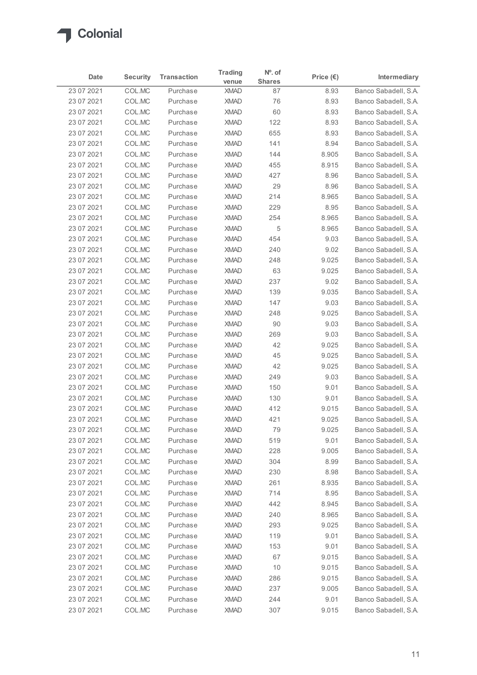

|                          |                  |                      | <b>Trading</b>             | $N^o$ . of    |                    |                                              |
|--------------------------|------------------|----------------------|----------------------------|---------------|--------------------|----------------------------------------------|
| Date                     | <b>Security</b>  | <b>Transaction</b>   | venue                      | <b>Shares</b> | Price $(\epsilon)$ | Intermediary                                 |
| 23 07 2021               | COL.MC           | Purchase             | <b>XMAD</b>                | 87            | 8.93               | Banco Sabadell, S.A.                         |
| 23 07 2021               | COL.MC           | Purchase             | <b>XMAD</b>                | 76            | 8.93               | Banco Sabadell, S.A.                         |
| 23 07 2021               | COL.MC           | Purchase             | <b>XMAD</b>                | 60            | 8.93               | Banco Sabadell, S.A.                         |
| 23 07 2021<br>23 07 2021 | COL.MC<br>COL.MC | Purchase<br>Purchase | <b>XMAD</b><br><b>XMAD</b> | 122<br>655    | 8.93<br>8.93       | Banco Sabadell, S.A.<br>Banco Sabadell, S.A. |
| 23 07 2021               | COL.MC           | Purchase             | <b>XMAD</b>                | 141           | 8.94               | Banco Sabadell, S.A.                         |
| 23 07 2021               | COL.MC           | Purchase             | <b>XMAD</b>                | 144           | 8.905              | Banco Sabadell, S.A.                         |
| 23 07 2021               | COL.MC           | Purchase             | <b>XMAD</b>                | 455           | 8.915              | Banco Sabadell, S.A.                         |
| 23 07 2021               | COL.MC           | Purchase             | <b>XMAD</b>                | 427           | 8.96               | Banco Sabadell, S.A.                         |
| 23 07 2021               | COL.MC           | Purchase             | <b>XMAD</b>                | 29            | 8.96               | Banco Sabadell, S.A.                         |
| 23 07 2021               | COL.MC           | Purchase             | <b>XMAD</b>                | 214           | 8.965              | Banco Sabadell, S.A.                         |
| 23 07 2021               | COL.MC           | Purchase             | <b>XMAD</b>                | 229           | 8.95               | Banco Sabadell, S.A.                         |
| 23 07 2021               | COL.MC           | Purchase             | <b>XMAD</b>                | 254           | 8.965              | Banco Sabadell, S.A.                         |
| 23 07 2021               | COL.MC           | Purchase             | <b>XMAD</b>                | 5             | 8.965              | Banco Sabadell, S.A.                         |
| 23 07 2021               | COL.MC           | Purchase             | <b>XMAD</b>                | 454           | 9.03               | Banco Sabadell, S.A.                         |
| 23 07 2021               | COL.MC           | Purchase             | <b>XMAD</b>                | 240           | 9.02               | Banco Sabadell, S.A.                         |
| 23 07 2021               | COL.MC           | Purchase             | <b>XMAD</b>                | 248           | 9.025              | Banco Sabadell, S.A.                         |
| 23 07 2021               | COL.MC           | Purchase             | <b>XMAD</b>                | 63            | 9.025              | Banco Sabadell, S.A.                         |
| 23 07 2021               | COL.MC           | Purchase             | <b>XMAD</b>                | 237           | 9.02               | Banco Sabadell, S.A.                         |
| 23 07 2021               | COL.MC           | Purchase             | <b>XMAD</b>                | 139           | 9.035              | Banco Sabadell, S.A.                         |
| 23 07 2021               | COL.MC           | Purchase             | <b>XMAD</b>                | 147           | 9.03               | Banco Sabadell, S.A.                         |
| 23 07 2021               | COL.MC           | Purchase             | <b>XMAD</b>                | 248           | 9.025              | Banco Sabadell, S.A.                         |
| 23 07 2021               | COL.MC           | Purchase<br>Purchase | <b>XMAD</b><br><b>XMAD</b> | 90<br>269     | 9.03               | Banco Sabadell, S.A.                         |
| 23 07 2021<br>23 07 2021 | COL.MC<br>COL.MC | Purchase             | <b>XMAD</b>                | 42            | 9.03<br>9.025      | Banco Sabadell, S.A.<br>Banco Sabadell, S.A. |
| 23 07 2021               | COL.MC           | Purchase             | <b>XMAD</b>                | 45            | 9.025              | Banco Sabadell, S.A.                         |
| 23 07 2021               | COL.MC           | Purchase             | <b>XMAD</b>                | 42            | 9.025              | Banco Sabadell, S.A.                         |
| 23 07 2021               | COL.MC           | Purchase             | <b>XMAD</b>                | 249           | 9.03               | Banco Sabadell, S.A.                         |
| 23 07 2021               | COL.MC           | Purchase             | <b>XMAD</b>                | 150           | 9.01               | Banco Sabadell, S.A.                         |
| 23 07 2021               | COL.MC           | Purchase             | <b>XMAD</b>                | 130           | 9.01               | Banco Sabadell, S.A.                         |
| 23 07 2021               | COL.MC           | Purchase             | <b>XMAD</b>                | 412           | 9.015              | Banco Sabadell, S.A.                         |
| 23 07 2021               | COL.MC           | Purchase             | <b>XMAD</b>                | 421           | 9.025              | Banco Sabadell, S.A.                         |
| 23 07 2021               | COL.MC           | Purchase             | <b>XMAD</b>                | 79            | 9.025              | Banco Sabadell, S.A.                         |
| 23 07 2021               | COL.MC           | Purchase             | <b>XMAD</b>                | 519           | 9.01               | Banco Sabadell, S.A.                         |
| 23 07 2021               | COL.MC           | Purchase             | <b>XMAD</b>                | 228           | 9.005              | Banco Sabadell, S.A.                         |
| 23 07 2021               | COL.MC           | Purchase             | <b>XMAD</b>                | 304           | 8.99               | Banco Sabadell, S.A.                         |
| 23 07 2021               | COL.MC           | Purchase             | <b>XMAD</b>                | 230           | 8.98               | Banco Sabadell, S.A.                         |
| 23 07 2021               | COL.MC           | Purchase             | <b>XMAD</b>                | 261           | 8.935              | Banco Sabadell, S.A.                         |
| 23 07 2021               | COL.MC           | Purchase             | <b>XMAD</b>                | 714           | 8.95               | Banco Sabadell, S.A.                         |
| 23 07 2021               | COL.MC           | Purchase             | <b>XMAD</b>                | 442           | 8.945              | Banco Sabadell, S.A.                         |
| 23 07 2021               | COL.MC           | Purchase             | <b>XMAD</b>                | 240           | 8.965              | Banco Sabadell, S.A.                         |
| 23 07 2021               | COL.MC           | Purchase             | <b>XMAD</b>                | 293           | 9.025              | Banco Sabadell, S.A.                         |
| 23 07 2021               | COL.MC           | Purchase             | <b>XMAD</b>                | 119           | 9.01               | Banco Sabadell, S.A.                         |
| 23 07 2021               | COL.MC           | Purchase             | <b>XMAD</b>                | 153           | 9.01               | Banco Sabadell, S.A.                         |
| 23 07 2021               | COL.MC           | Purchase             | <b>XMAD</b>                | 67            | 9.015              | Banco Sabadell, S.A.                         |
| 23 07 2021               | COL.MC           | Purchase             | <b>XMAD</b>                | 10            | 9.015              | Banco Sabadell, S.A.                         |
| 23 07 2021               | COL.MC           | Purchase             | <b>XMAD</b>                | 286           | 9.015              | Banco Sabadell, S.A.                         |
| 23 07 2021               | COL.MC           | Purchase             | XMAD                       | 237           | 9.005              | Banco Sabadell, S.A.                         |
|                          | COL.MC           | Purchase             | XMAD                       | 244           | 9.01               | Banco Sabadell, S.A.                         |
| 23 07 2021<br>23 07 2021 | COLMC            | Purchase             | <b>XMAD</b>                | 307           | 9.015              | Banco Sabadell, S.A.                         |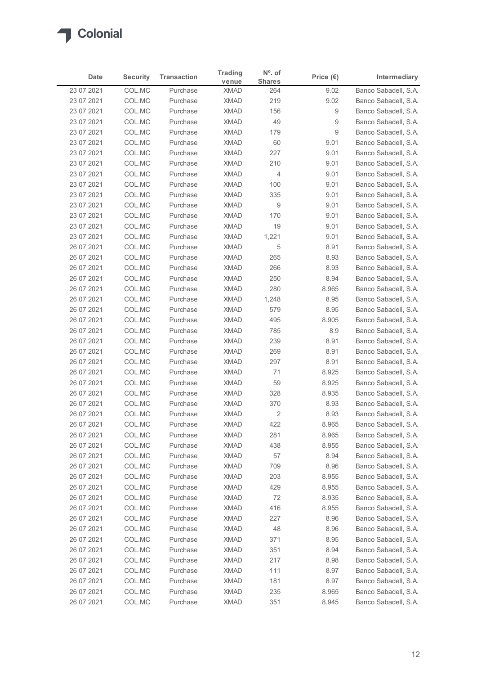

| Date                     | <b>Security</b>  | <b>Transaction</b>   | <b>Trading</b>             | N°. of         | Price $(\epsilon)$ | Intermediary                                 |
|--------------------------|------------------|----------------------|----------------------------|----------------|--------------------|----------------------------------------------|
|                          |                  |                      | venue                      | <b>Shares</b>  |                    | Banco Sabadell, S.A.                         |
| 23 07 2021<br>23 07 2021 | COL.MC<br>COL.MC | Purchase<br>Purchase | <b>XMAD</b><br><b>XMAD</b> | 264<br>219     | 9.02<br>9.02       | Banco Sabadell, S.A.                         |
| 23 07 2021               | COL.MC           | Purchase             | <b>XMAD</b>                | 156            | 9                  | Banco Sabadell, S.A.                         |
| 23 07 2021               | COL.MC           | Purchase             | <b>XMAD</b>                | 49             | 9                  | Banco Sabadell, S.A.                         |
| 23 07 2021               | COL.MC           | Purchase             | <b>XMAD</b>                | 179            | 9                  | Banco Sabadell, S.A.                         |
| 23 07 2021               | COL.MC           | Purchase             | <b>XMAD</b>                | 60             | 9.01               | Banco Sabadell, S.A.                         |
| 23 07 2021               | COL.MC           | Purchase             | <b>XMAD</b>                | 227            | 9.01               | Banco Sabadell, S.A.                         |
| 23 07 2021               | COL.MC           | Purchase             | <b>XMAD</b>                | 210            | 9.01               | Banco Sabadell, S.A.                         |
| 23 07 2021<br>23 07 2021 | COL.MC<br>COL.MC | Purchase<br>Purchase | <b>XMAD</b><br><b>XMAD</b> | 4<br>100       | 9.01<br>9.01       | Banco Sabadell, S.A.<br>Banco Sabadell, S.A. |
| 23 07 2021               | COL.MC           | Purchase             | <b>XMAD</b>                | 335            | 9.01               | Banco Sabadell, S.A.                         |
| 23 07 2021               | COL.MC           | Purchase             | <b>XMAD</b>                | 9              | 9.01               | Banco Sabadell, S.A.                         |
| 23 07 2021               | COL.MC           | Purchase             | <b>XMAD</b>                | 170            | 9.01               | Banco Sabadell, S.A.                         |
| 23 07 2021               | COL.MC           | Purchase             | XMAD                       | 19             | 9.01               | Banco Sabadell, S.A.                         |
| 23 07 2021               | COL.MC           | Purchase             | XMAD                       | 1,221          | 9.01               | Banco Sabadell, S.A.                         |
| 26 07 2021               | COL.MC           | Purchase             | <b>XMAD</b>                | 5              | 8.91               | Banco Sabadell, S.A.                         |
| 26 07 2021               | COL.MC           | Purchase             | <b>XMAD</b>                | 265            | 8.93               | Banco Sabadell, S.A.                         |
| 26 07 2021<br>26 07 2021 | COL.MC<br>COL.MC | Purchase<br>Purchase | <b>XMAD</b><br><b>XMAD</b> | 266<br>250     | 8.93<br>8.94       | Banco Sabadell, S.A.<br>Banco Sabadell, S.A. |
| 26 07 2021               | COL.MC           | Purchase             | <b>XMAD</b>                | 280            | 8.965              | Banco Sabadell, S.A.                         |
| 26 07 2021               | COL.MC           | Purchase             | <b>XMAD</b>                | 1,248          | 8.95               | Banco Sabadell, S.A.                         |
| 26 07 2021               | COL.MC           | Purchase             | <b>XMAD</b>                | 579            | 8.95               | Banco Sabadell, S.A.                         |
| 26 07 2021               | COL.MC           | Purchase             | XMAD                       | 495            | 8.905              | Banco Sabadell, S.A.                         |
| 26 07 2021               | COL.MC           | Purchase             | <b>XMAD</b>                | 785            | 8.9                | Banco Sabadell, S.A.                         |
| 26 07 2021               | COL.MC           | Purchase             | <b>XMAD</b>                | 239            | 8.91               | Banco Sabadell, S.A.                         |
| 26 07 2021               | COL.MC           | Purchase             | <b>XMAD</b>                | 269            | 8.91               | Banco Sabadell, S.A.                         |
| 26 07 2021               | COL.MC           | Purchase             | <b>XMAD</b>                | 297            | 8.91               | Banco Sabadell, S.A.                         |
| 26 07 2021               | COL.MC           | Purchase             | <b>XMAD</b>                | 71             | 8.925              | Banco Sabadell, S.A.                         |
| 26 07 2021<br>26 07 2021 | COL.MC<br>COL.MC | Purchase<br>Purchase | XMAD<br><b>XMAD</b>        | 59<br>328      | 8.925<br>8.935     | Banco Sabadell, S.A.<br>Banco Sabadell, S.A. |
| 26 07 2021               | COL.MC           | Purchase             | <b>XMAD</b>                | 370            | 8.93               | Banco Sabadell, S.A.                         |
| 26 07 2021               | COL.MC           | Purchase             | <b>XMAD</b>                | $\overline{2}$ | 8.93               | Banco Sabadell, S.A.                         |
| 26 07 2021               | COL.MC           | Purchase             | <b>XMAD</b>                | 422            | 8.965              | Banco Sabadell, S.A.                         |
| 26 07 2021               | COL.MC           | Purchase             | <b>XMAD</b>                | 281            | 8.965              | Banco Sabadell, S.A.                         |
| 26 07 2021               | COL.MC           | Purchase             | XMAD                       | 438            | 8.955              | Banco Sabadell, S.A.                         |
| 26 07 2021               | COL.MC           | Purchase             | XMAD                       | 57             | 8.94               | Banco Sabadell, S.A.                         |
| 26 07 2021               | COL.MC           | Purchase             | <b>XMAD</b>                | 709            | 8.96               | Banco Sabadell, S.A.                         |
| 26 07 2021               | COL.MC           | Purchase             | <b>XMAD</b>                | 203            | 8.955              | Banco Sabadell, S.A.                         |
| 26 07 2021               | COL.MC           | Purchase             | XMAD                       | 429            | 8.955              | Banco Sabadell, S.A.                         |
| 26 07 2021<br>26 07 2021 | COL.MC<br>COL.MC | Purchase<br>Purchase | <b>XMAD</b><br><b>XMAD</b> | 72<br>416      | 8.935<br>8.955     | Banco Sabadell, S.A.<br>Banco Sabadell, S.A. |
| 26 07 2021               | COL.MC           | Purchase             | <b>XMAD</b>                | 227            | 8.96               | Banco Sabadell, S.A.                         |
| 26 07 2021               | COL.MC           | Purchase             | <b>XMAD</b>                | 48             | 8.96               | Banco Sabadell, S.A.                         |
| 26 07 2021               | COL.MC           | Purchase             | <b>XMAD</b>                | 371            | 8.95               | Banco Sabadell, S.A.                         |
| 26 07 2021               | COL.MC           | Purchase             | XMAD                       | 351            | 8.94               | Banco Sabadell, S.A.                         |
| 26 07 2021               | COL.MC           | Purchase             | <b>XMAD</b>                | 217            | 8.98               | Banco Sabadell, S.A.                         |
| 26 07 2021               | COL.MC           | Purchase             | <b>XMAD</b>                | 111            | 8.97               | Banco Sabadell, S.A.                         |
| 26 07 2021               | COL.MC           | Purchase             | <b>XMAD</b>                | 181            | 8.97               | Banco Sabadell, S.A.                         |
| 26 07 2021               | COL.MC<br>COL.MC | Purchase             | <b>XMAD</b><br><b>XMAD</b> | 235<br>351     | 8.965<br>8.945     | Banco Sabadell, S.A.<br>Banco Sabadell, S.A. |
| 26 07 2021               |                  | Purchase             |                            |                |                    |                                              |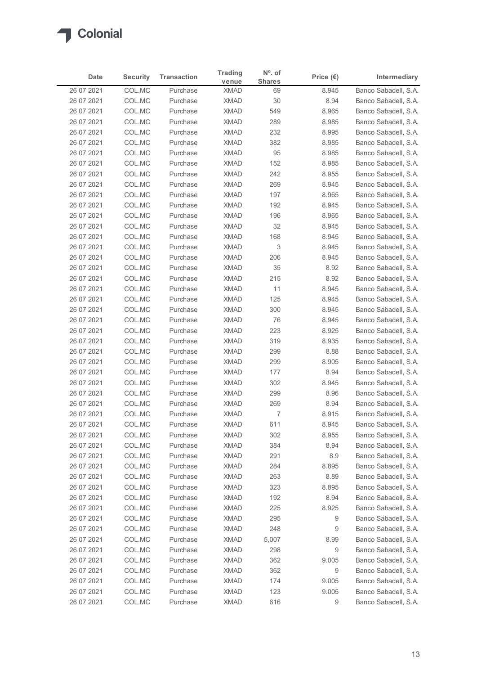

| <b>Shares</b><br>venue<br>COL.MC<br>Banco Sabadell, S.A.<br>26 07 2021<br><b>XMAD</b><br>8.945<br>Purchase<br>69<br>26 07 2021<br>COL.MC<br><b>XMAD</b><br>$30\,$<br>8.94<br>Banco Sabadell, S.A.<br>Purchase<br>COL.MC<br><b>XMAD</b><br>549<br>Banco Sabadell, S.A.<br>26 07 2021<br>Purchase<br>8.965<br><b>XMAD</b><br>26 07 2021<br>COL.MC<br>Purchase<br>289<br>8.985<br>Banco Sabadell, S.A.<br>COL.MC<br><b>XMAD</b><br>232<br>26 07 2021<br>Purchase<br>8.995<br>Banco Sabadell, S.A.<br>26 07 2021<br>COL.MC<br><b>XMAD</b><br>382<br>Banco Sabadell, S.A.<br>Purchase<br>8.985<br>26 07 2021<br>COL.MC<br><b>XMAD</b><br>95<br>Banco Sabadell, S.A.<br>Purchase<br>8.985<br>26 07 2021<br>COL.MC<br>Purchase<br><b>XMAD</b><br>152<br>8.985<br>Banco Sabadell, S.A.<br>COL.MC<br>Banco Sabadell, S.A.<br>26 07 2021<br><b>XMAD</b><br>242<br>8.955<br>Purchase<br><b>XMAD</b><br>269<br>26 07 2021<br>COL.MC<br>Purchase<br>8.945<br>Banco Sabadell, S.A.<br>COL.MC<br><b>XMAD</b><br>197<br>Banco Sabadell, S.A.<br>26 07 2021<br>Purchase<br>8.965<br>COL.MC<br><b>XMAD</b><br>8.945<br>Banco Sabadell, S.A.<br>26 07 2021<br>Purchase<br>192<br><b>XMAD</b><br>8.965<br>26 07 2021<br>COL.MC<br>Purchase<br>196<br>Banco Sabadell, S.A.<br>32<br>26 07 2021<br>COL.MC<br>XMAD<br>8.945<br>Banco Sabadell, S.A.<br>Purchase<br>26 07 2021<br><b>XMAD</b><br>8.945<br>Banco Sabadell, S.A.<br>COL.MC<br>Purchase<br>168<br><b>XMAD</b><br>3<br>8.945<br>26 07 2021<br>COL.MC<br>Purchase<br>Banco Sabadell, S.A.<br>COL.MC<br><b>XMAD</b><br>8.945<br>26 07 2021<br>Purchase<br>206<br>Banco Sabadell, S.A.<br>COL.MC<br><b>XMAD</b><br>35<br>Banco Sabadell, S.A.<br>26 07 2021<br>Purchase<br>8.92<br>COL.MC<br><b>XMAD</b><br>215<br>8.92<br>Banco Sabadell, S.A.<br>26 07 2021<br>Purchase<br>11<br>26 07 2021<br>COL.MC<br>Purchase<br><b>XMAD</b><br>8.945<br>Banco Sabadell, S.A.<br><b>XMAD</b><br>125<br>8.945<br>26 07 2021<br>COL.MC<br>Purchase<br>Banco Sabadell, S.A.<br>COL.MC<br><b>XMAD</b><br>300<br>8.945<br>Banco Sabadell, S.A.<br>26 07 2021<br>Purchase<br><b>XMAD</b><br>76<br>8.945<br>26 07 2021<br>COL.MC<br>Purchase<br>Banco Sabadell, S.A.<br>COL.MC<br><b>XMAD</b><br>26 07 2021<br>Purchase<br>223<br>8.925<br>Banco Sabadell, S.A.<br>COL.MC<br><b>XMAD</b><br>319<br>8.935<br>Banco Sabadell, S.A.<br>26 07 2021<br>Purchase<br>COL.MC<br>299<br>Banco Sabadell, S.A.<br>26 07 2021<br>Purchase<br><b>XMAD</b><br>8.88<br><b>XMAD</b><br>299<br>8.905<br>26 07 2021<br>COL.MC<br>Banco Sabadell, S.A.<br>Purchase<br><b>XMAD</b><br>177<br>8.94<br>26 07 2021<br>COL.MC<br>Purchase<br>Banco Sabadell, S.A.<br>COL.MC<br><b>XMAD</b><br>302<br>Banco Sabadell, S.A.<br>26 07 2021<br>Purchase<br>8.945<br>COL.MC<br><b>XMAD</b><br>299<br>8.96<br>Banco Sabadell, S.A.<br>26 07 2021<br>Purchase<br><b>XMAD</b><br>269<br>8.94<br>Banco Sabadell, S.A.<br>26 07 2021<br>COL.MC<br>Purchase<br><b>XMAD</b><br>7<br>Banco Sabadell, S.A.<br>26 07 2021<br>COL.MC<br>Purchase<br>8.915<br><b>XMAD</b><br>611<br>8.945<br>26 07 2021<br>COL.MC<br>Purchase<br>Banco Sabadell, S.A.<br>COL.MC<br><b>XMAD</b><br>302<br>8.955<br>Banco Sabadell, S.A.<br>26 07 2021<br>Purchase<br>COL.MC<br><b>XMAD</b><br>384<br>8.94<br>26 07 2021<br>Purchase<br>Banco Sabadell, S.A.<br>COL.MC<br><b>XMAD</b><br>26 07 2021<br>Purchase<br>291<br>8.9<br>Banco Sabadell, S.A.<br>COL.MC<br><b>XMAD</b><br>284<br>26 07 2021<br>Purchase<br>8.895<br>Banco Sabadell, S.A.<br>COL.MC<br>8.89<br>Banco Sabadell, S.A.<br>26 07 2021<br><b>XMAD</b><br>263<br>Purchase<br>26 07 2021<br>COL.MC<br>Purchase<br><b>XMAD</b><br>323<br>8.895<br>Banco Sabadell, S.A.<br>COL.MC<br><b>XMAD</b><br>192<br>8.94<br>26 07 2021<br>Purchase<br>Banco Sabadell, S.A.<br>COL.MC<br><b>XMAD</b><br>225<br>Banco Sabadell, S.A.<br>26 07 2021<br>Purchase<br>8.925<br><b>XMAD</b><br>26 07 2021<br>COL.MC<br>Purchase<br>295<br>9<br>Banco Sabadell, S.A.<br>248<br>9<br>26 07 2021<br>COL.MC<br>Purchase<br><b>XMAD</b><br>Banco Sabadell, S.A.<br>COL.MC<br>Banco Sabadell, S.A.<br>26 07 2021<br>Purchase<br><b>XMAD</b><br>5,007<br>8.99<br><b>XMAD</b><br>298<br>9<br>Banco Sabadell, S.A.<br>26 07 2021<br>COL.MC<br>Purchase<br>XMAD<br>362<br>9.005<br>26 07 2021<br>COL.MC<br>Purchase<br>Banco Sabadell, S.A.<br>COL.MC<br><b>XMAD</b><br>9<br>Banco Sabadell, S.A.<br>26 07 2021<br>Purchase<br>362<br><b>XMAD</b><br>174<br>9.005<br>Banco Sabadell, S.A.<br>26 07 2021<br>COL.MC<br>Purchase | Date       | <b>Security</b> | <b>Transaction</b> | <b>Trading</b> | $No$ . of |                    | Intermediary         |
|------------------------------------------------------------------------------------------------------------------------------------------------------------------------------------------------------------------------------------------------------------------------------------------------------------------------------------------------------------------------------------------------------------------------------------------------------------------------------------------------------------------------------------------------------------------------------------------------------------------------------------------------------------------------------------------------------------------------------------------------------------------------------------------------------------------------------------------------------------------------------------------------------------------------------------------------------------------------------------------------------------------------------------------------------------------------------------------------------------------------------------------------------------------------------------------------------------------------------------------------------------------------------------------------------------------------------------------------------------------------------------------------------------------------------------------------------------------------------------------------------------------------------------------------------------------------------------------------------------------------------------------------------------------------------------------------------------------------------------------------------------------------------------------------------------------------------------------------------------------------------------------------------------------------------------------------------------------------------------------------------------------------------------------------------------------------------------------------------------------------------------------------------------------------------------------------------------------------------------------------------------------------------------------------------------------------------------------------------------------------------------------------------------------------------------------------------------------------------------------------------------------------------------------------------------------------------------------------------------------------------------------------------------------------------------------------------------------------------------------------------------------------------------------------------------------------------------------------------------------------------------------------------------------------------------------------------------------------------------------------------------------------------------------------------------------------------------------------------------------------------------------------------------------------------------------------------------------------------------------------------------------------------------------------------------------------------------------------------------------------------------------------------------------------------------------------------------------------------------------------------------------------------------------------------------------------------------------------------------------------------------------------------------------------------------------------------------------------------------------------------------------------------------------------------------------------------------------------------------------------------------------------------------------------------------------------------------------------------------------------------------------------------------------------------------------------------------------------------------------------------------------------------------------------------------------------------------------------------------------------------------------------------------------------------------------------------------------------------------------------------------------------------------------------------------------------------------------------------------------------------------------------|------------|-----------------|--------------------|----------------|-----------|--------------------|----------------------|
|                                                                                                                                                                                                                                                                                                                                                                                                                                                                                                                                                                                                                                                                                                                                                                                                                                                                                                                                                                                                                                                                                                                                                                                                                                                                                                                                                                                                                                                                                                                                                                                                                                                                                                                                                                                                                                                                                                                                                                                                                                                                                                                                                                                                                                                                                                                                                                                                                                                                                                                                                                                                                                                                                                                                                                                                                                                                                                                                                                                                                                                                                                                                                                                                                                                                                                                                                                                                                                                                                                                                                                                                                                                                                                                                                                                                                                                                                                                                                                                                                                                                                                                                                                                                                                                                                                                                                                                                                                                                                                                        |            |                 |                    |                |           | Price $(\epsilon)$ |                      |
|                                                                                                                                                                                                                                                                                                                                                                                                                                                                                                                                                                                                                                                                                                                                                                                                                                                                                                                                                                                                                                                                                                                                                                                                                                                                                                                                                                                                                                                                                                                                                                                                                                                                                                                                                                                                                                                                                                                                                                                                                                                                                                                                                                                                                                                                                                                                                                                                                                                                                                                                                                                                                                                                                                                                                                                                                                                                                                                                                                                                                                                                                                                                                                                                                                                                                                                                                                                                                                                                                                                                                                                                                                                                                                                                                                                                                                                                                                                                                                                                                                                                                                                                                                                                                                                                                                                                                                                                                                                                                                                        |            |                 |                    |                |           |                    |                      |
|                                                                                                                                                                                                                                                                                                                                                                                                                                                                                                                                                                                                                                                                                                                                                                                                                                                                                                                                                                                                                                                                                                                                                                                                                                                                                                                                                                                                                                                                                                                                                                                                                                                                                                                                                                                                                                                                                                                                                                                                                                                                                                                                                                                                                                                                                                                                                                                                                                                                                                                                                                                                                                                                                                                                                                                                                                                                                                                                                                                                                                                                                                                                                                                                                                                                                                                                                                                                                                                                                                                                                                                                                                                                                                                                                                                                                                                                                                                                                                                                                                                                                                                                                                                                                                                                                                                                                                                                                                                                                                                        |            |                 |                    |                |           |                    |                      |
|                                                                                                                                                                                                                                                                                                                                                                                                                                                                                                                                                                                                                                                                                                                                                                                                                                                                                                                                                                                                                                                                                                                                                                                                                                                                                                                                                                                                                                                                                                                                                                                                                                                                                                                                                                                                                                                                                                                                                                                                                                                                                                                                                                                                                                                                                                                                                                                                                                                                                                                                                                                                                                                                                                                                                                                                                                                                                                                                                                                                                                                                                                                                                                                                                                                                                                                                                                                                                                                                                                                                                                                                                                                                                                                                                                                                                                                                                                                                                                                                                                                                                                                                                                                                                                                                                                                                                                                                                                                                                                                        |            |                 |                    |                |           |                    |                      |
|                                                                                                                                                                                                                                                                                                                                                                                                                                                                                                                                                                                                                                                                                                                                                                                                                                                                                                                                                                                                                                                                                                                                                                                                                                                                                                                                                                                                                                                                                                                                                                                                                                                                                                                                                                                                                                                                                                                                                                                                                                                                                                                                                                                                                                                                                                                                                                                                                                                                                                                                                                                                                                                                                                                                                                                                                                                                                                                                                                                                                                                                                                                                                                                                                                                                                                                                                                                                                                                                                                                                                                                                                                                                                                                                                                                                                                                                                                                                                                                                                                                                                                                                                                                                                                                                                                                                                                                                                                                                                                                        |            |                 |                    |                |           |                    |                      |
|                                                                                                                                                                                                                                                                                                                                                                                                                                                                                                                                                                                                                                                                                                                                                                                                                                                                                                                                                                                                                                                                                                                                                                                                                                                                                                                                                                                                                                                                                                                                                                                                                                                                                                                                                                                                                                                                                                                                                                                                                                                                                                                                                                                                                                                                                                                                                                                                                                                                                                                                                                                                                                                                                                                                                                                                                                                                                                                                                                                                                                                                                                                                                                                                                                                                                                                                                                                                                                                                                                                                                                                                                                                                                                                                                                                                                                                                                                                                                                                                                                                                                                                                                                                                                                                                                                                                                                                                                                                                                                                        |            |                 |                    |                |           |                    |                      |
|                                                                                                                                                                                                                                                                                                                                                                                                                                                                                                                                                                                                                                                                                                                                                                                                                                                                                                                                                                                                                                                                                                                                                                                                                                                                                                                                                                                                                                                                                                                                                                                                                                                                                                                                                                                                                                                                                                                                                                                                                                                                                                                                                                                                                                                                                                                                                                                                                                                                                                                                                                                                                                                                                                                                                                                                                                                                                                                                                                                                                                                                                                                                                                                                                                                                                                                                                                                                                                                                                                                                                                                                                                                                                                                                                                                                                                                                                                                                                                                                                                                                                                                                                                                                                                                                                                                                                                                                                                                                                                                        |            |                 |                    |                |           |                    |                      |
|                                                                                                                                                                                                                                                                                                                                                                                                                                                                                                                                                                                                                                                                                                                                                                                                                                                                                                                                                                                                                                                                                                                                                                                                                                                                                                                                                                                                                                                                                                                                                                                                                                                                                                                                                                                                                                                                                                                                                                                                                                                                                                                                                                                                                                                                                                                                                                                                                                                                                                                                                                                                                                                                                                                                                                                                                                                                                                                                                                                                                                                                                                                                                                                                                                                                                                                                                                                                                                                                                                                                                                                                                                                                                                                                                                                                                                                                                                                                                                                                                                                                                                                                                                                                                                                                                                                                                                                                                                                                                                                        |            |                 |                    |                |           |                    |                      |
|                                                                                                                                                                                                                                                                                                                                                                                                                                                                                                                                                                                                                                                                                                                                                                                                                                                                                                                                                                                                                                                                                                                                                                                                                                                                                                                                                                                                                                                                                                                                                                                                                                                                                                                                                                                                                                                                                                                                                                                                                                                                                                                                                                                                                                                                                                                                                                                                                                                                                                                                                                                                                                                                                                                                                                                                                                                                                                                                                                                                                                                                                                                                                                                                                                                                                                                                                                                                                                                                                                                                                                                                                                                                                                                                                                                                                                                                                                                                                                                                                                                                                                                                                                                                                                                                                                                                                                                                                                                                                                                        |            |                 |                    |                |           |                    |                      |
|                                                                                                                                                                                                                                                                                                                                                                                                                                                                                                                                                                                                                                                                                                                                                                                                                                                                                                                                                                                                                                                                                                                                                                                                                                                                                                                                                                                                                                                                                                                                                                                                                                                                                                                                                                                                                                                                                                                                                                                                                                                                                                                                                                                                                                                                                                                                                                                                                                                                                                                                                                                                                                                                                                                                                                                                                                                                                                                                                                                                                                                                                                                                                                                                                                                                                                                                                                                                                                                                                                                                                                                                                                                                                                                                                                                                                                                                                                                                                                                                                                                                                                                                                                                                                                                                                                                                                                                                                                                                                                                        |            |                 |                    |                |           |                    |                      |
|                                                                                                                                                                                                                                                                                                                                                                                                                                                                                                                                                                                                                                                                                                                                                                                                                                                                                                                                                                                                                                                                                                                                                                                                                                                                                                                                                                                                                                                                                                                                                                                                                                                                                                                                                                                                                                                                                                                                                                                                                                                                                                                                                                                                                                                                                                                                                                                                                                                                                                                                                                                                                                                                                                                                                                                                                                                                                                                                                                                                                                                                                                                                                                                                                                                                                                                                                                                                                                                                                                                                                                                                                                                                                                                                                                                                                                                                                                                                                                                                                                                                                                                                                                                                                                                                                                                                                                                                                                                                                                                        |            |                 |                    |                |           |                    |                      |
|                                                                                                                                                                                                                                                                                                                                                                                                                                                                                                                                                                                                                                                                                                                                                                                                                                                                                                                                                                                                                                                                                                                                                                                                                                                                                                                                                                                                                                                                                                                                                                                                                                                                                                                                                                                                                                                                                                                                                                                                                                                                                                                                                                                                                                                                                                                                                                                                                                                                                                                                                                                                                                                                                                                                                                                                                                                                                                                                                                                                                                                                                                                                                                                                                                                                                                                                                                                                                                                                                                                                                                                                                                                                                                                                                                                                                                                                                                                                                                                                                                                                                                                                                                                                                                                                                                                                                                                                                                                                                                                        |            |                 |                    |                |           |                    |                      |
|                                                                                                                                                                                                                                                                                                                                                                                                                                                                                                                                                                                                                                                                                                                                                                                                                                                                                                                                                                                                                                                                                                                                                                                                                                                                                                                                                                                                                                                                                                                                                                                                                                                                                                                                                                                                                                                                                                                                                                                                                                                                                                                                                                                                                                                                                                                                                                                                                                                                                                                                                                                                                                                                                                                                                                                                                                                                                                                                                                                                                                                                                                                                                                                                                                                                                                                                                                                                                                                                                                                                                                                                                                                                                                                                                                                                                                                                                                                                                                                                                                                                                                                                                                                                                                                                                                                                                                                                                                                                                                                        |            |                 |                    |                |           |                    |                      |
|                                                                                                                                                                                                                                                                                                                                                                                                                                                                                                                                                                                                                                                                                                                                                                                                                                                                                                                                                                                                                                                                                                                                                                                                                                                                                                                                                                                                                                                                                                                                                                                                                                                                                                                                                                                                                                                                                                                                                                                                                                                                                                                                                                                                                                                                                                                                                                                                                                                                                                                                                                                                                                                                                                                                                                                                                                                                                                                                                                                                                                                                                                                                                                                                                                                                                                                                                                                                                                                                                                                                                                                                                                                                                                                                                                                                                                                                                                                                                                                                                                                                                                                                                                                                                                                                                                                                                                                                                                                                                                                        |            |                 |                    |                |           |                    |                      |
|                                                                                                                                                                                                                                                                                                                                                                                                                                                                                                                                                                                                                                                                                                                                                                                                                                                                                                                                                                                                                                                                                                                                                                                                                                                                                                                                                                                                                                                                                                                                                                                                                                                                                                                                                                                                                                                                                                                                                                                                                                                                                                                                                                                                                                                                                                                                                                                                                                                                                                                                                                                                                                                                                                                                                                                                                                                                                                                                                                                                                                                                                                                                                                                                                                                                                                                                                                                                                                                                                                                                                                                                                                                                                                                                                                                                                                                                                                                                                                                                                                                                                                                                                                                                                                                                                                                                                                                                                                                                                                                        |            |                 |                    |                |           |                    |                      |
|                                                                                                                                                                                                                                                                                                                                                                                                                                                                                                                                                                                                                                                                                                                                                                                                                                                                                                                                                                                                                                                                                                                                                                                                                                                                                                                                                                                                                                                                                                                                                                                                                                                                                                                                                                                                                                                                                                                                                                                                                                                                                                                                                                                                                                                                                                                                                                                                                                                                                                                                                                                                                                                                                                                                                                                                                                                                                                                                                                                                                                                                                                                                                                                                                                                                                                                                                                                                                                                                                                                                                                                                                                                                                                                                                                                                                                                                                                                                                                                                                                                                                                                                                                                                                                                                                                                                                                                                                                                                                                                        |            |                 |                    |                |           |                    |                      |
|                                                                                                                                                                                                                                                                                                                                                                                                                                                                                                                                                                                                                                                                                                                                                                                                                                                                                                                                                                                                                                                                                                                                                                                                                                                                                                                                                                                                                                                                                                                                                                                                                                                                                                                                                                                                                                                                                                                                                                                                                                                                                                                                                                                                                                                                                                                                                                                                                                                                                                                                                                                                                                                                                                                                                                                                                                                                                                                                                                                                                                                                                                                                                                                                                                                                                                                                                                                                                                                                                                                                                                                                                                                                                                                                                                                                                                                                                                                                                                                                                                                                                                                                                                                                                                                                                                                                                                                                                                                                                                                        |            |                 |                    |                |           |                    |                      |
|                                                                                                                                                                                                                                                                                                                                                                                                                                                                                                                                                                                                                                                                                                                                                                                                                                                                                                                                                                                                                                                                                                                                                                                                                                                                                                                                                                                                                                                                                                                                                                                                                                                                                                                                                                                                                                                                                                                                                                                                                                                                                                                                                                                                                                                                                                                                                                                                                                                                                                                                                                                                                                                                                                                                                                                                                                                                                                                                                                                                                                                                                                                                                                                                                                                                                                                                                                                                                                                                                                                                                                                                                                                                                                                                                                                                                                                                                                                                                                                                                                                                                                                                                                                                                                                                                                                                                                                                                                                                                                                        |            |                 |                    |                |           |                    |                      |
|                                                                                                                                                                                                                                                                                                                                                                                                                                                                                                                                                                                                                                                                                                                                                                                                                                                                                                                                                                                                                                                                                                                                                                                                                                                                                                                                                                                                                                                                                                                                                                                                                                                                                                                                                                                                                                                                                                                                                                                                                                                                                                                                                                                                                                                                                                                                                                                                                                                                                                                                                                                                                                                                                                                                                                                                                                                                                                                                                                                                                                                                                                                                                                                                                                                                                                                                                                                                                                                                                                                                                                                                                                                                                                                                                                                                                                                                                                                                                                                                                                                                                                                                                                                                                                                                                                                                                                                                                                                                                                                        |            |                 |                    |                |           |                    |                      |
|                                                                                                                                                                                                                                                                                                                                                                                                                                                                                                                                                                                                                                                                                                                                                                                                                                                                                                                                                                                                                                                                                                                                                                                                                                                                                                                                                                                                                                                                                                                                                                                                                                                                                                                                                                                                                                                                                                                                                                                                                                                                                                                                                                                                                                                                                                                                                                                                                                                                                                                                                                                                                                                                                                                                                                                                                                                                                                                                                                                                                                                                                                                                                                                                                                                                                                                                                                                                                                                                                                                                                                                                                                                                                                                                                                                                                                                                                                                                                                                                                                                                                                                                                                                                                                                                                                                                                                                                                                                                                                                        |            |                 |                    |                |           |                    |                      |
|                                                                                                                                                                                                                                                                                                                                                                                                                                                                                                                                                                                                                                                                                                                                                                                                                                                                                                                                                                                                                                                                                                                                                                                                                                                                                                                                                                                                                                                                                                                                                                                                                                                                                                                                                                                                                                                                                                                                                                                                                                                                                                                                                                                                                                                                                                                                                                                                                                                                                                                                                                                                                                                                                                                                                                                                                                                                                                                                                                                                                                                                                                                                                                                                                                                                                                                                                                                                                                                                                                                                                                                                                                                                                                                                                                                                                                                                                                                                                                                                                                                                                                                                                                                                                                                                                                                                                                                                                                                                                                                        |            |                 |                    |                |           |                    |                      |
|                                                                                                                                                                                                                                                                                                                                                                                                                                                                                                                                                                                                                                                                                                                                                                                                                                                                                                                                                                                                                                                                                                                                                                                                                                                                                                                                                                                                                                                                                                                                                                                                                                                                                                                                                                                                                                                                                                                                                                                                                                                                                                                                                                                                                                                                                                                                                                                                                                                                                                                                                                                                                                                                                                                                                                                                                                                                                                                                                                                                                                                                                                                                                                                                                                                                                                                                                                                                                                                                                                                                                                                                                                                                                                                                                                                                                                                                                                                                                                                                                                                                                                                                                                                                                                                                                                                                                                                                                                                                                                                        |            |                 |                    |                |           |                    |                      |
|                                                                                                                                                                                                                                                                                                                                                                                                                                                                                                                                                                                                                                                                                                                                                                                                                                                                                                                                                                                                                                                                                                                                                                                                                                                                                                                                                                                                                                                                                                                                                                                                                                                                                                                                                                                                                                                                                                                                                                                                                                                                                                                                                                                                                                                                                                                                                                                                                                                                                                                                                                                                                                                                                                                                                                                                                                                                                                                                                                                                                                                                                                                                                                                                                                                                                                                                                                                                                                                                                                                                                                                                                                                                                                                                                                                                                                                                                                                                                                                                                                                                                                                                                                                                                                                                                                                                                                                                                                                                                                                        |            |                 |                    |                |           |                    |                      |
|                                                                                                                                                                                                                                                                                                                                                                                                                                                                                                                                                                                                                                                                                                                                                                                                                                                                                                                                                                                                                                                                                                                                                                                                                                                                                                                                                                                                                                                                                                                                                                                                                                                                                                                                                                                                                                                                                                                                                                                                                                                                                                                                                                                                                                                                                                                                                                                                                                                                                                                                                                                                                                                                                                                                                                                                                                                                                                                                                                                                                                                                                                                                                                                                                                                                                                                                                                                                                                                                                                                                                                                                                                                                                                                                                                                                                                                                                                                                                                                                                                                                                                                                                                                                                                                                                                                                                                                                                                                                                                                        |            |                 |                    |                |           |                    |                      |
|                                                                                                                                                                                                                                                                                                                                                                                                                                                                                                                                                                                                                                                                                                                                                                                                                                                                                                                                                                                                                                                                                                                                                                                                                                                                                                                                                                                                                                                                                                                                                                                                                                                                                                                                                                                                                                                                                                                                                                                                                                                                                                                                                                                                                                                                                                                                                                                                                                                                                                                                                                                                                                                                                                                                                                                                                                                                                                                                                                                                                                                                                                                                                                                                                                                                                                                                                                                                                                                                                                                                                                                                                                                                                                                                                                                                                                                                                                                                                                                                                                                                                                                                                                                                                                                                                                                                                                                                                                                                                                                        |            |                 |                    |                |           |                    |                      |
|                                                                                                                                                                                                                                                                                                                                                                                                                                                                                                                                                                                                                                                                                                                                                                                                                                                                                                                                                                                                                                                                                                                                                                                                                                                                                                                                                                                                                                                                                                                                                                                                                                                                                                                                                                                                                                                                                                                                                                                                                                                                                                                                                                                                                                                                                                                                                                                                                                                                                                                                                                                                                                                                                                                                                                                                                                                                                                                                                                                                                                                                                                                                                                                                                                                                                                                                                                                                                                                                                                                                                                                                                                                                                                                                                                                                                                                                                                                                                                                                                                                                                                                                                                                                                                                                                                                                                                                                                                                                                                                        |            |                 |                    |                |           |                    |                      |
|                                                                                                                                                                                                                                                                                                                                                                                                                                                                                                                                                                                                                                                                                                                                                                                                                                                                                                                                                                                                                                                                                                                                                                                                                                                                                                                                                                                                                                                                                                                                                                                                                                                                                                                                                                                                                                                                                                                                                                                                                                                                                                                                                                                                                                                                                                                                                                                                                                                                                                                                                                                                                                                                                                                                                                                                                                                                                                                                                                                                                                                                                                                                                                                                                                                                                                                                                                                                                                                                                                                                                                                                                                                                                                                                                                                                                                                                                                                                                                                                                                                                                                                                                                                                                                                                                                                                                                                                                                                                                                                        |            |                 |                    |                |           |                    |                      |
|                                                                                                                                                                                                                                                                                                                                                                                                                                                                                                                                                                                                                                                                                                                                                                                                                                                                                                                                                                                                                                                                                                                                                                                                                                                                                                                                                                                                                                                                                                                                                                                                                                                                                                                                                                                                                                                                                                                                                                                                                                                                                                                                                                                                                                                                                                                                                                                                                                                                                                                                                                                                                                                                                                                                                                                                                                                                                                                                                                                                                                                                                                                                                                                                                                                                                                                                                                                                                                                                                                                                                                                                                                                                                                                                                                                                                                                                                                                                                                                                                                                                                                                                                                                                                                                                                                                                                                                                                                                                                                                        |            |                 |                    |                |           |                    |                      |
|                                                                                                                                                                                                                                                                                                                                                                                                                                                                                                                                                                                                                                                                                                                                                                                                                                                                                                                                                                                                                                                                                                                                                                                                                                                                                                                                                                                                                                                                                                                                                                                                                                                                                                                                                                                                                                                                                                                                                                                                                                                                                                                                                                                                                                                                                                                                                                                                                                                                                                                                                                                                                                                                                                                                                                                                                                                                                                                                                                                                                                                                                                                                                                                                                                                                                                                                                                                                                                                                                                                                                                                                                                                                                                                                                                                                                                                                                                                                                                                                                                                                                                                                                                                                                                                                                                                                                                                                                                                                                                                        |            |                 |                    |                |           |                    |                      |
|                                                                                                                                                                                                                                                                                                                                                                                                                                                                                                                                                                                                                                                                                                                                                                                                                                                                                                                                                                                                                                                                                                                                                                                                                                                                                                                                                                                                                                                                                                                                                                                                                                                                                                                                                                                                                                                                                                                                                                                                                                                                                                                                                                                                                                                                                                                                                                                                                                                                                                                                                                                                                                                                                                                                                                                                                                                                                                                                                                                                                                                                                                                                                                                                                                                                                                                                                                                                                                                                                                                                                                                                                                                                                                                                                                                                                                                                                                                                                                                                                                                                                                                                                                                                                                                                                                                                                                                                                                                                                                                        |            |                 |                    |                |           |                    |                      |
|                                                                                                                                                                                                                                                                                                                                                                                                                                                                                                                                                                                                                                                                                                                                                                                                                                                                                                                                                                                                                                                                                                                                                                                                                                                                                                                                                                                                                                                                                                                                                                                                                                                                                                                                                                                                                                                                                                                                                                                                                                                                                                                                                                                                                                                                                                                                                                                                                                                                                                                                                                                                                                                                                                                                                                                                                                                                                                                                                                                                                                                                                                                                                                                                                                                                                                                                                                                                                                                                                                                                                                                                                                                                                                                                                                                                                                                                                                                                                                                                                                                                                                                                                                                                                                                                                                                                                                                                                                                                                                                        |            |                 |                    |                |           |                    |                      |
|                                                                                                                                                                                                                                                                                                                                                                                                                                                                                                                                                                                                                                                                                                                                                                                                                                                                                                                                                                                                                                                                                                                                                                                                                                                                                                                                                                                                                                                                                                                                                                                                                                                                                                                                                                                                                                                                                                                                                                                                                                                                                                                                                                                                                                                                                                                                                                                                                                                                                                                                                                                                                                                                                                                                                                                                                                                                                                                                                                                                                                                                                                                                                                                                                                                                                                                                                                                                                                                                                                                                                                                                                                                                                                                                                                                                                                                                                                                                                                                                                                                                                                                                                                                                                                                                                                                                                                                                                                                                                                                        |            |                 |                    |                |           |                    |                      |
|                                                                                                                                                                                                                                                                                                                                                                                                                                                                                                                                                                                                                                                                                                                                                                                                                                                                                                                                                                                                                                                                                                                                                                                                                                                                                                                                                                                                                                                                                                                                                                                                                                                                                                                                                                                                                                                                                                                                                                                                                                                                                                                                                                                                                                                                                                                                                                                                                                                                                                                                                                                                                                                                                                                                                                                                                                                                                                                                                                                                                                                                                                                                                                                                                                                                                                                                                                                                                                                                                                                                                                                                                                                                                                                                                                                                                                                                                                                                                                                                                                                                                                                                                                                                                                                                                                                                                                                                                                                                                                                        |            |                 |                    |                |           |                    |                      |
|                                                                                                                                                                                                                                                                                                                                                                                                                                                                                                                                                                                                                                                                                                                                                                                                                                                                                                                                                                                                                                                                                                                                                                                                                                                                                                                                                                                                                                                                                                                                                                                                                                                                                                                                                                                                                                                                                                                                                                                                                                                                                                                                                                                                                                                                                                                                                                                                                                                                                                                                                                                                                                                                                                                                                                                                                                                                                                                                                                                                                                                                                                                                                                                                                                                                                                                                                                                                                                                                                                                                                                                                                                                                                                                                                                                                                                                                                                                                                                                                                                                                                                                                                                                                                                                                                                                                                                                                                                                                                                                        |            |                 |                    |                |           |                    |                      |
|                                                                                                                                                                                                                                                                                                                                                                                                                                                                                                                                                                                                                                                                                                                                                                                                                                                                                                                                                                                                                                                                                                                                                                                                                                                                                                                                                                                                                                                                                                                                                                                                                                                                                                                                                                                                                                                                                                                                                                                                                                                                                                                                                                                                                                                                                                                                                                                                                                                                                                                                                                                                                                                                                                                                                                                                                                                                                                                                                                                                                                                                                                                                                                                                                                                                                                                                                                                                                                                                                                                                                                                                                                                                                                                                                                                                                                                                                                                                                                                                                                                                                                                                                                                                                                                                                                                                                                                                                                                                                                                        |            |                 |                    |                |           |                    |                      |
|                                                                                                                                                                                                                                                                                                                                                                                                                                                                                                                                                                                                                                                                                                                                                                                                                                                                                                                                                                                                                                                                                                                                                                                                                                                                                                                                                                                                                                                                                                                                                                                                                                                                                                                                                                                                                                                                                                                                                                                                                                                                                                                                                                                                                                                                                                                                                                                                                                                                                                                                                                                                                                                                                                                                                                                                                                                                                                                                                                                                                                                                                                                                                                                                                                                                                                                                                                                                                                                                                                                                                                                                                                                                                                                                                                                                                                                                                                                                                                                                                                                                                                                                                                                                                                                                                                                                                                                                                                                                                                                        |            |                 |                    |                |           |                    |                      |
|                                                                                                                                                                                                                                                                                                                                                                                                                                                                                                                                                                                                                                                                                                                                                                                                                                                                                                                                                                                                                                                                                                                                                                                                                                                                                                                                                                                                                                                                                                                                                                                                                                                                                                                                                                                                                                                                                                                                                                                                                                                                                                                                                                                                                                                                                                                                                                                                                                                                                                                                                                                                                                                                                                                                                                                                                                                                                                                                                                                                                                                                                                                                                                                                                                                                                                                                                                                                                                                                                                                                                                                                                                                                                                                                                                                                                                                                                                                                                                                                                                                                                                                                                                                                                                                                                                                                                                                                                                                                                                                        |            |                 |                    |                |           |                    |                      |
|                                                                                                                                                                                                                                                                                                                                                                                                                                                                                                                                                                                                                                                                                                                                                                                                                                                                                                                                                                                                                                                                                                                                                                                                                                                                                                                                                                                                                                                                                                                                                                                                                                                                                                                                                                                                                                                                                                                                                                                                                                                                                                                                                                                                                                                                                                                                                                                                                                                                                                                                                                                                                                                                                                                                                                                                                                                                                                                                                                                                                                                                                                                                                                                                                                                                                                                                                                                                                                                                                                                                                                                                                                                                                                                                                                                                                                                                                                                                                                                                                                                                                                                                                                                                                                                                                                                                                                                                                                                                                                                        |            |                 |                    |                |           |                    |                      |
|                                                                                                                                                                                                                                                                                                                                                                                                                                                                                                                                                                                                                                                                                                                                                                                                                                                                                                                                                                                                                                                                                                                                                                                                                                                                                                                                                                                                                                                                                                                                                                                                                                                                                                                                                                                                                                                                                                                                                                                                                                                                                                                                                                                                                                                                                                                                                                                                                                                                                                                                                                                                                                                                                                                                                                                                                                                                                                                                                                                                                                                                                                                                                                                                                                                                                                                                                                                                                                                                                                                                                                                                                                                                                                                                                                                                                                                                                                                                                                                                                                                                                                                                                                                                                                                                                                                                                                                                                                                                                                                        |            |                 |                    |                |           |                    |                      |
|                                                                                                                                                                                                                                                                                                                                                                                                                                                                                                                                                                                                                                                                                                                                                                                                                                                                                                                                                                                                                                                                                                                                                                                                                                                                                                                                                                                                                                                                                                                                                                                                                                                                                                                                                                                                                                                                                                                                                                                                                                                                                                                                                                                                                                                                                                                                                                                                                                                                                                                                                                                                                                                                                                                                                                                                                                                                                                                                                                                                                                                                                                                                                                                                                                                                                                                                                                                                                                                                                                                                                                                                                                                                                                                                                                                                                                                                                                                                                                                                                                                                                                                                                                                                                                                                                                                                                                                                                                                                                                                        |            |                 |                    |                |           |                    |                      |
|                                                                                                                                                                                                                                                                                                                                                                                                                                                                                                                                                                                                                                                                                                                                                                                                                                                                                                                                                                                                                                                                                                                                                                                                                                                                                                                                                                                                                                                                                                                                                                                                                                                                                                                                                                                                                                                                                                                                                                                                                                                                                                                                                                                                                                                                                                                                                                                                                                                                                                                                                                                                                                                                                                                                                                                                                                                                                                                                                                                                                                                                                                                                                                                                                                                                                                                                                                                                                                                                                                                                                                                                                                                                                                                                                                                                                                                                                                                                                                                                                                                                                                                                                                                                                                                                                                                                                                                                                                                                                                                        |            |                 |                    |                |           |                    |                      |
|                                                                                                                                                                                                                                                                                                                                                                                                                                                                                                                                                                                                                                                                                                                                                                                                                                                                                                                                                                                                                                                                                                                                                                                                                                                                                                                                                                                                                                                                                                                                                                                                                                                                                                                                                                                                                                                                                                                                                                                                                                                                                                                                                                                                                                                                                                                                                                                                                                                                                                                                                                                                                                                                                                                                                                                                                                                                                                                                                                                                                                                                                                                                                                                                                                                                                                                                                                                                                                                                                                                                                                                                                                                                                                                                                                                                                                                                                                                                                                                                                                                                                                                                                                                                                                                                                                                                                                                                                                                                                                                        |            |                 |                    |                |           |                    |                      |
|                                                                                                                                                                                                                                                                                                                                                                                                                                                                                                                                                                                                                                                                                                                                                                                                                                                                                                                                                                                                                                                                                                                                                                                                                                                                                                                                                                                                                                                                                                                                                                                                                                                                                                                                                                                                                                                                                                                                                                                                                                                                                                                                                                                                                                                                                                                                                                                                                                                                                                                                                                                                                                                                                                                                                                                                                                                                                                                                                                                                                                                                                                                                                                                                                                                                                                                                                                                                                                                                                                                                                                                                                                                                                                                                                                                                                                                                                                                                                                                                                                                                                                                                                                                                                                                                                                                                                                                                                                                                                                                        |            |                 |                    |                |           |                    |                      |
| $\hbox{9}$<br>26 07 2021<br>COL.MC<br><b>XMAD</b><br>616<br>Banco Sabadell, S.A.<br>Purchase                                                                                                                                                                                                                                                                                                                                                                                                                                                                                                                                                                                                                                                                                                                                                                                                                                                                                                                                                                                                                                                                                                                                                                                                                                                                                                                                                                                                                                                                                                                                                                                                                                                                                                                                                                                                                                                                                                                                                                                                                                                                                                                                                                                                                                                                                                                                                                                                                                                                                                                                                                                                                                                                                                                                                                                                                                                                                                                                                                                                                                                                                                                                                                                                                                                                                                                                                                                                                                                                                                                                                                                                                                                                                                                                                                                                                                                                                                                                                                                                                                                                                                                                                                                                                                                                                                                                                                                                                           | 26 07 2021 | COL.MC          | Purchase           | <b>XMAD</b>    | 123       | 9.005              | Banco Sabadell, S.A. |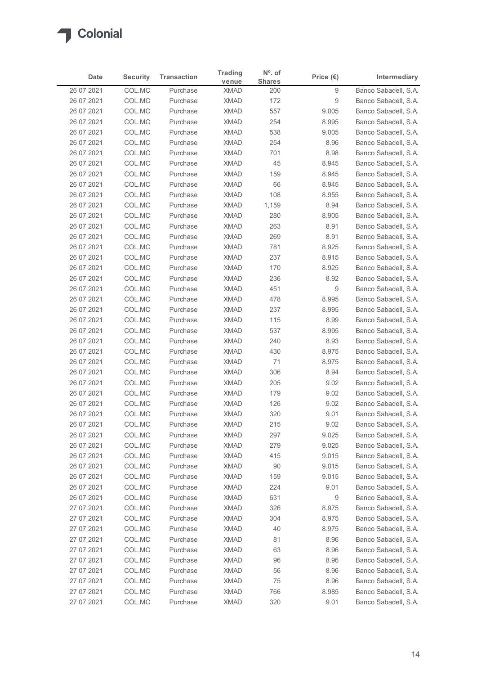

| <b>Security</b><br><b>Transaction</b><br>Intermediary<br>Date<br>Price $(\epsilon)$<br><b>Shares</b><br>venue<br>COL.MC<br>Banco Sabadell, S.A.<br>26 07 2021<br><b>XMAD</b><br>9<br>Purchase<br>200<br>26 07 2021<br>COL.MC<br><b>XMAD</b><br>172<br>9<br>Banco Sabadell, S.A.<br>Purchase<br>COL.MC<br><b>XMAD</b><br>557<br>Banco Sabadell, S.A.<br>26 07 2021<br>Purchase<br>9.005<br><b>XMAD</b><br>254<br>26 07 2021<br>COL.MC<br>Purchase<br>8.995<br>Banco Sabadell, S.A.<br>COL.MC<br><b>XMAD</b><br>538<br>9.005<br>26 07 2021<br>Purchase<br>Banco Sabadell, S.A.<br>26 07 2021<br>COL.MC<br><b>XMAD</b><br>254<br>Banco Sabadell, S.A.<br>Purchase<br>8.96<br>26 07 2021<br>COL.MC<br><b>XMAD</b><br>701<br>Banco Sabadell, S.A.<br>Purchase<br>8.98<br>26 07 2021<br>COL.MC<br>Purchase<br><b>XMAD</b><br>45<br>8.945<br>Banco Sabadell, S.A.<br>COL.MC<br><b>XMAD</b><br>Banco Sabadell, S.A.<br>26 07 2021<br>159<br>8.945<br>Purchase<br><b>XMAD</b><br>66<br>Banco Sabadell, S.A.<br>26 07 2021<br>COL.MC<br>Purchase<br>8.945<br>COL.MC<br><b>XMAD</b><br>108<br>Banco Sabadell, S.A.<br>26 07 2021<br>Purchase<br>8.955<br>COL.MC<br><b>XMAD</b><br>8.94<br>Banco Sabadell, S.A.<br>26 07 2021<br>Purchase<br>1,159<br><b>XMAD</b><br>280<br>26 07 2021<br>COL.MC<br>Purchase<br>8.905<br>Banco Sabadell, S.A.<br>263<br>26 07 2021<br>COL.MC<br>XMAD<br>8.91<br>Purchase<br>26 07 2021<br><b>XMAD</b><br>269<br>8.91<br>Banco Sabadell, S.A.<br>COL.MC<br>Purchase<br><b>XMAD</b><br>8.925<br>26 07 2021<br>COL.MC<br>Purchase<br>781<br>COL.MC<br>XMAD<br>8.915<br>26 07 2021<br>Purchase<br>237<br>COL.MC<br><b>XMAD</b><br>8.925<br>26 07 2021<br>Purchase<br>170<br>COL.MC<br><b>XMAD</b><br>236<br>26 07 2021<br>Purchase<br>8.92<br>COL.MC<br>451<br>9<br>26 07 2021<br>Purchase<br><b>XMAD</b><br><b>XMAD</b><br>478<br>8.995<br>26 07 2021<br>COL.MC<br>Purchase<br>COL.MC<br><b>XMAD</b><br>237<br>8.995<br>Banco Sabadell, S.A.<br>26 07 2021<br>Purchase<br>XMAD<br>115<br>8.99<br>26 07 2021<br>COL.MC<br>Purchase<br>COL.MC<br><b>XMAD</b><br>537<br>26 07 2021<br>Purchase<br>8.995<br>COL.MC<br><b>XMAD</b><br>240<br>8.93<br>26 07 2021<br>Purchase<br>COL.MC<br>430<br>8.975<br>26 07 2021<br>Purchase<br><b>XMAD</b><br><b>XMAD</b><br>71<br>8.975<br>26 07 2021<br>COL.MC<br>Purchase<br>XMAD<br>306<br>8.94<br>26 07 2021<br>COL.MC<br>Purchase<br>Banco Sabadell, S.A.<br>COL.MC<br><b>XMAD</b><br>205<br>9.02<br>26 07 2021<br>Purchase<br>COL.MC<br>Purchase<br><b>XMAD</b><br>9.02<br>26 07 2021<br>179<br><b>XMAD</b><br>126<br>9.02<br>26 07 2021<br>COL.MC<br>Purchase<br>COL.MC<br><b>XMAD</b><br>320<br>9.01<br>26 07 2021<br>Purchase<br><b>XMAD</b><br>215<br>9.02<br>26 07 2021<br>COL.MC<br>Purchase<br>COL.MC<br><b>XMAD</b><br>297<br>9.025<br>Banco Sabadell, S.A.<br>26 07 2021<br>Purchase<br>COL.MC<br>XMAD<br>279<br>9.025<br>26 07 2021<br>Purchase<br>COL.MC<br><b>XMAD</b><br>26 07 2021<br>Purchase<br>415<br>9.015<br>COL.MC<br><b>XMAD</b><br>90<br>9.015<br>26 07 2021<br>Purchase<br>COL.MC<br>9.015<br>26 07 2021<br><b>XMAD</b><br>159<br>Purchase<br><b>XMAD</b><br>224<br>26 07 2021<br>COL.MC<br>Purchase<br>9.01<br>COL.MC<br><b>XMAD</b><br>631<br>9<br>26 07 2021<br>Purchase<br>COL.MC<br><b>XMAD</b><br>326<br>8.975<br>27 07 2021<br>Purchase |
|------------------------------------------------------------------------------------------------------------------------------------------------------------------------------------------------------------------------------------------------------------------------------------------------------------------------------------------------------------------------------------------------------------------------------------------------------------------------------------------------------------------------------------------------------------------------------------------------------------------------------------------------------------------------------------------------------------------------------------------------------------------------------------------------------------------------------------------------------------------------------------------------------------------------------------------------------------------------------------------------------------------------------------------------------------------------------------------------------------------------------------------------------------------------------------------------------------------------------------------------------------------------------------------------------------------------------------------------------------------------------------------------------------------------------------------------------------------------------------------------------------------------------------------------------------------------------------------------------------------------------------------------------------------------------------------------------------------------------------------------------------------------------------------------------------------------------------------------------------------------------------------------------------------------------------------------------------------------------------------------------------------------------------------------------------------------------------------------------------------------------------------------------------------------------------------------------------------------------------------------------------------------------------------------------------------------------------------------------------------------------------------------------------------------------------------------------------------------------------------------------------------------------------------------------------------------------------------------------------------------------------------------------------------------------------------------------------------------------------------------------------------------------------------------------------------------------------------------------------------------------------------------------------------------------------------------------------------------------------------------------------------------------------------------------------------------------------------------------------------------------------------------------------------------------------------------------------------------------------------------------------------------------------------------------------------------------|
| Banco Sabadell, S.A.<br>Banco Sabadell, S.A.<br>Banco Sabadell, S.A.<br>Banco Sabadell, S.A.<br>Banco Sabadell, S.A.<br>Banco Sabadell, S.A.<br>Banco Sabadell, S.A.<br>Banco Sabadell, S.A.<br>Banco Sabadell, S.A.<br>Banco Sabadell, S.A.<br>Banco Sabadell, S.A.<br>Banco Sabadell, S.A.<br>Banco Sabadell, S.A.<br>Banco Sabadell, S.A.<br>Banco Sabadell, S.A.<br>Banco Sabadell, S.A.<br>Banco Sabadell, S.A.<br>Banco Sabadell, S.A.<br>Banco Sabadell, S.A.<br>Banco Sabadell, S.A.<br>Banco Sabadell, S.A.<br>Banco Sabadell, S.A.<br>Banco Sabadell, S.A.<br>Banco Sabadell, S.A.                                                                                                                                                                                                                                                                                                                                                                                                                                                                                                                                                                                                                                                                                                                                                                                                                                                                                                                                                                                                                                                                                                                                                                                                                                                                                                                                                                                                                                                                                                                                                                                                                                                                                                                                                                                                                                                                                                                                                                                                                                                                                                                                                                                                                                                                                                                                                                                                                                                                                                                                                                                                                                                                                                                                 |
|                                                                                                                                                                                                                                                                                                                                                                                                                                                                                                                                                                                                                                                                                                                                                                                                                                                                                                                                                                                                                                                                                                                                                                                                                                                                                                                                                                                                                                                                                                                                                                                                                                                                                                                                                                                                                                                                                                                                                                                                                                                                                                                                                                                                                                                                                                                                                                                                                                                                                                                                                                                                                                                                                                                                                                                                                                                                                                                                                                                                                                                                                                                                                                                                                                                                                                                              |
|                                                                                                                                                                                                                                                                                                                                                                                                                                                                                                                                                                                                                                                                                                                                                                                                                                                                                                                                                                                                                                                                                                                                                                                                                                                                                                                                                                                                                                                                                                                                                                                                                                                                                                                                                                                                                                                                                                                                                                                                                                                                                                                                                                                                                                                                                                                                                                                                                                                                                                                                                                                                                                                                                                                                                                                                                                                                                                                                                                                                                                                                                                                                                                                                                                                                                                                              |
|                                                                                                                                                                                                                                                                                                                                                                                                                                                                                                                                                                                                                                                                                                                                                                                                                                                                                                                                                                                                                                                                                                                                                                                                                                                                                                                                                                                                                                                                                                                                                                                                                                                                                                                                                                                                                                                                                                                                                                                                                                                                                                                                                                                                                                                                                                                                                                                                                                                                                                                                                                                                                                                                                                                                                                                                                                                                                                                                                                                                                                                                                                                                                                                                                                                                                                                              |
|                                                                                                                                                                                                                                                                                                                                                                                                                                                                                                                                                                                                                                                                                                                                                                                                                                                                                                                                                                                                                                                                                                                                                                                                                                                                                                                                                                                                                                                                                                                                                                                                                                                                                                                                                                                                                                                                                                                                                                                                                                                                                                                                                                                                                                                                                                                                                                                                                                                                                                                                                                                                                                                                                                                                                                                                                                                                                                                                                                                                                                                                                                                                                                                                                                                                                                                              |
|                                                                                                                                                                                                                                                                                                                                                                                                                                                                                                                                                                                                                                                                                                                                                                                                                                                                                                                                                                                                                                                                                                                                                                                                                                                                                                                                                                                                                                                                                                                                                                                                                                                                                                                                                                                                                                                                                                                                                                                                                                                                                                                                                                                                                                                                                                                                                                                                                                                                                                                                                                                                                                                                                                                                                                                                                                                                                                                                                                                                                                                                                                                                                                                                                                                                                                                              |
|                                                                                                                                                                                                                                                                                                                                                                                                                                                                                                                                                                                                                                                                                                                                                                                                                                                                                                                                                                                                                                                                                                                                                                                                                                                                                                                                                                                                                                                                                                                                                                                                                                                                                                                                                                                                                                                                                                                                                                                                                                                                                                                                                                                                                                                                                                                                                                                                                                                                                                                                                                                                                                                                                                                                                                                                                                                                                                                                                                                                                                                                                                                                                                                                                                                                                                                              |
|                                                                                                                                                                                                                                                                                                                                                                                                                                                                                                                                                                                                                                                                                                                                                                                                                                                                                                                                                                                                                                                                                                                                                                                                                                                                                                                                                                                                                                                                                                                                                                                                                                                                                                                                                                                                                                                                                                                                                                                                                                                                                                                                                                                                                                                                                                                                                                                                                                                                                                                                                                                                                                                                                                                                                                                                                                                                                                                                                                                                                                                                                                                                                                                                                                                                                                                              |
|                                                                                                                                                                                                                                                                                                                                                                                                                                                                                                                                                                                                                                                                                                                                                                                                                                                                                                                                                                                                                                                                                                                                                                                                                                                                                                                                                                                                                                                                                                                                                                                                                                                                                                                                                                                                                                                                                                                                                                                                                                                                                                                                                                                                                                                                                                                                                                                                                                                                                                                                                                                                                                                                                                                                                                                                                                                                                                                                                                                                                                                                                                                                                                                                                                                                                                                              |
|                                                                                                                                                                                                                                                                                                                                                                                                                                                                                                                                                                                                                                                                                                                                                                                                                                                                                                                                                                                                                                                                                                                                                                                                                                                                                                                                                                                                                                                                                                                                                                                                                                                                                                                                                                                                                                                                                                                                                                                                                                                                                                                                                                                                                                                                                                                                                                                                                                                                                                                                                                                                                                                                                                                                                                                                                                                                                                                                                                                                                                                                                                                                                                                                                                                                                                                              |
|                                                                                                                                                                                                                                                                                                                                                                                                                                                                                                                                                                                                                                                                                                                                                                                                                                                                                                                                                                                                                                                                                                                                                                                                                                                                                                                                                                                                                                                                                                                                                                                                                                                                                                                                                                                                                                                                                                                                                                                                                                                                                                                                                                                                                                                                                                                                                                                                                                                                                                                                                                                                                                                                                                                                                                                                                                                                                                                                                                                                                                                                                                                                                                                                                                                                                                                              |
|                                                                                                                                                                                                                                                                                                                                                                                                                                                                                                                                                                                                                                                                                                                                                                                                                                                                                                                                                                                                                                                                                                                                                                                                                                                                                                                                                                                                                                                                                                                                                                                                                                                                                                                                                                                                                                                                                                                                                                                                                                                                                                                                                                                                                                                                                                                                                                                                                                                                                                                                                                                                                                                                                                                                                                                                                                                                                                                                                                                                                                                                                                                                                                                                                                                                                                                              |
|                                                                                                                                                                                                                                                                                                                                                                                                                                                                                                                                                                                                                                                                                                                                                                                                                                                                                                                                                                                                                                                                                                                                                                                                                                                                                                                                                                                                                                                                                                                                                                                                                                                                                                                                                                                                                                                                                                                                                                                                                                                                                                                                                                                                                                                                                                                                                                                                                                                                                                                                                                                                                                                                                                                                                                                                                                                                                                                                                                                                                                                                                                                                                                                                                                                                                                                              |
|                                                                                                                                                                                                                                                                                                                                                                                                                                                                                                                                                                                                                                                                                                                                                                                                                                                                                                                                                                                                                                                                                                                                                                                                                                                                                                                                                                                                                                                                                                                                                                                                                                                                                                                                                                                                                                                                                                                                                                                                                                                                                                                                                                                                                                                                                                                                                                                                                                                                                                                                                                                                                                                                                                                                                                                                                                                                                                                                                                                                                                                                                                                                                                                                                                                                                                                              |
|                                                                                                                                                                                                                                                                                                                                                                                                                                                                                                                                                                                                                                                                                                                                                                                                                                                                                                                                                                                                                                                                                                                                                                                                                                                                                                                                                                                                                                                                                                                                                                                                                                                                                                                                                                                                                                                                                                                                                                                                                                                                                                                                                                                                                                                                                                                                                                                                                                                                                                                                                                                                                                                                                                                                                                                                                                                                                                                                                                                                                                                                                                                                                                                                                                                                                                                              |
|                                                                                                                                                                                                                                                                                                                                                                                                                                                                                                                                                                                                                                                                                                                                                                                                                                                                                                                                                                                                                                                                                                                                                                                                                                                                                                                                                                                                                                                                                                                                                                                                                                                                                                                                                                                                                                                                                                                                                                                                                                                                                                                                                                                                                                                                                                                                                                                                                                                                                                                                                                                                                                                                                                                                                                                                                                                                                                                                                                                                                                                                                                                                                                                                                                                                                                                              |
|                                                                                                                                                                                                                                                                                                                                                                                                                                                                                                                                                                                                                                                                                                                                                                                                                                                                                                                                                                                                                                                                                                                                                                                                                                                                                                                                                                                                                                                                                                                                                                                                                                                                                                                                                                                                                                                                                                                                                                                                                                                                                                                                                                                                                                                                                                                                                                                                                                                                                                                                                                                                                                                                                                                                                                                                                                                                                                                                                                                                                                                                                                                                                                                                                                                                                                                              |
|                                                                                                                                                                                                                                                                                                                                                                                                                                                                                                                                                                                                                                                                                                                                                                                                                                                                                                                                                                                                                                                                                                                                                                                                                                                                                                                                                                                                                                                                                                                                                                                                                                                                                                                                                                                                                                                                                                                                                                                                                                                                                                                                                                                                                                                                                                                                                                                                                                                                                                                                                                                                                                                                                                                                                                                                                                                                                                                                                                                                                                                                                                                                                                                                                                                                                                                              |
|                                                                                                                                                                                                                                                                                                                                                                                                                                                                                                                                                                                                                                                                                                                                                                                                                                                                                                                                                                                                                                                                                                                                                                                                                                                                                                                                                                                                                                                                                                                                                                                                                                                                                                                                                                                                                                                                                                                                                                                                                                                                                                                                                                                                                                                                                                                                                                                                                                                                                                                                                                                                                                                                                                                                                                                                                                                                                                                                                                                                                                                                                                                                                                                                                                                                                                                              |
|                                                                                                                                                                                                                                                                                                                                                                                                                                                                                                                                                                                                                                                                                                                                                                                                                                                                                                                                                                                                                                                                                                                                                                                                                                                                                                                                                                                                                                                                                                                                                                                                                                                                                                                                                                                                                                                                                                                                                                                                                                                                                                                                                                                                                                                                                                                                                                                                                                                                                                                                                                                                                                                                                                                                                                                                                                                                                                                                                                                                                                                                                                                                                                                                                                                                                                                              |
|                                                                                                                                                                                                                                                                                                                                                                                                                                                                                                                                                                                                                                                                                                                                                                                                                                                                                                                                                                                                                                                                                                                                                                                                                                                                                                                                                                                                                                                                                                                                                                                                                                                                                                                                                                                                                                                                                                                                                                                                                                                                                                                                                                                                                                                                                                                                                                                                                                                                                                                                                                                                                                                                                                                                                                                                                                                                                                                                                                                                                                                                                                                                                                                                                                                                                                                              |
|                                                                                                                                                                                                                                                                                                                                                                                                                                                                                                                                                                                                                                                                                                                                                                                                                                                                                                                                                                                                                                                                                                                                                                                                                                                                                                                                                                                                                                                                                                                                                                                                                                                                                                                                                                                                                                                                                                                                                                                                                                                                                                                                                                                                                                                                                                                                                                                                                                                                                                                                                                                                                                                                                                                                                                                                                                                                                                                                                                                                                                                                                                                                                                                                                                                                                                                              |
|                                                                                                                                                                                                                                                                                                                                                                                                                                                                                                                                                                                                                                                                                                                                                                                                                                                                                                                                                                                                                                                                                                                                                                                                                                                                                                                                                                                                                                                                                                                                                                                                                                                                                                                                                                                                                                                                                                                                                                                                                                                                                                                                                                                                                                                                                                                                                                                                                                                                                                                                                                                                                                                                                                                                                                                                                                                                                                                                                                                                                                                                                                                                                                                                                                                                                                                              |
|                                                                                                                                                                                                                                                                                                                                                                                                                                                                                                                                                                                                                                                                                                                                                                                                                                                                                                                                                                                                                                                                                                                                                                                                                                                                                                                                                                                                                                                                                                                                                                                                                                                                                                                                                                                                                                                                                                                                                                                                                                                                                                                                                                                                                                                                                                                                                                                                                                                                                                                                                                                                                                                                                                                                                                                                                                                                                                                                                                                                                                                                                                                                                                                                                                                                                                                              |
|                                                                                                                                                                                                                                                                                                                                                                                                                                                                                                                                                                                                                                                                                                                                                                                                                                                                                                                                                                                                                                                                                                                                                                                                                                                                                                                                                                                                                                                                                                                                                                                                                                                                                                                                                                                                                                                                                                                                                                                                                                                                                                                                                                                                                                                                                                                                                                                                                                                                                                                                                                                                                                                                                                                                                                                                                                                                                                                                                                                                                                                                                                                                                                                                                                                                                                                              |
|                                                                                                                                                                                                                                                                                                                                                                                                                                                                                                                                                                                                                                                                                                                                                                                                                                                                                                                                                                                                                                                                                                                                                                                                                                                                                                                                                                                                                                                                                                                                                                                                                                                                                                                                                                                                                                                                                                                                                                                                                                                                                                                                                                                                                                                                                                                                                                                                                                                                                                                                                                                                                                                                                                                                                                                                                                                                                                                                                                                                                                                                                                                                                                                                                                                                                                                              |
|                                                                                                                                                                                                                                                                                                                                                                                                                                                                                                                                                                                                                                                                                                                                                                                                                                                                                                                                                                                                                                                                                                                                                                                                                                                                                                                                                                                                                                                                                                                                                                                                                                                                                                                                                                                                                                                                                                                                                                                                                                                                                                                                                                                                                                                                                                                                                                                                                                                                                                                                                                                                                                                                                                                                                                                                                                                                                                                                                                                                                                                                                                                                                                                                                                                                                                                              |
|                                                                                                                                                                                                                                                                                                                                                                                                                                                                                                                                                                                                                                                                                                                                                                                                                                                                                                                                                                                                                                                                                                                                                                                                                                                                                                                                                                                                                                                                                                                                                                                                                                                                                                                                                                                                                                                                                                                                                                                                                                                                                                                                                                                                                                                                                                                                                                                                                                                                                                                                                                                                                                                                                                                                                                                                                                                                                                                                                                                                                                                                                                                                                                                                                                                                                                                              |
|                                                                                                                                                                                                                                                                                                                                                                                                                                                                                                                                                                                                                                                                                                                                                                                                                                                                                                                                                                                                                                                                                                                                                                                                                                                                                                                                                                                                                                                                                                                                                                                                                                                                                                                                                                                                                                                                                                                                                                                                                                                                                                                                                                                                                                                                                                                                                                                                                                                                                                                                                                                                                                                                                                                                                                                                                                                                                                                                                                                                                                                                                                                                                                                                                                                                                                                              |
|                                                                                                                                                                                                                                                                                                                                                                                                                                                                                                                                                                                                                                                                                                                                                                                                                                                                                                                                                                                                                                                                                                                                                                                                                                                                                                                                                                                                                                                                                                                                                                                                                                                                                                                                                                                                                                                                                                                                                                                                                                                                                                                                                                                                                                                                                                                                                                                                                                                                                                                                                                                                                                                                                                                                                                                                                                                                                                                                                                                                                                                                                                                                                                                                                                                                                                                              |
|                                                                                                                                                                                                                                                                                                                                                                                                                                                                                                                                                                                                                                                                                                                                                                                                                                                                                                                                                                                                                                                                                                                                                                                                                                                                                                                                                                                                                                                                                                                                                                                                                                                                                                                                                                                                                                                                                                                                                                                                                                                                                                                                                                                                                                                                                                                                                                                                                                                                                                                                                                                                                                                                                                                                                                                                                                                                                                                                                                                                                                                                                                                                                                                                                                                                                                                              |
|                                                                                                                                                                                                                                                                                                                                                                                                                                                                                                                                                                                                                                                                                                                                                                                                                                                                                                                                                                                                                                                                                                                                                                                                                                                                                                                                                                                                                                                                                                                                                                                                                                                                                                                                                                                                                                                                                                                                                                                                                                                                                                                                                                                                                                                                                                                                                                                                                                                                                                                                                                                                                                                                                                                                                                                                                                                                                                                                                                                                                                                                                                                                                                                                                                                                                                                              |
|                                                                                                                                                                                                                                                                                                                                                                                                                                                                                                                                                                                                                                                                                                                                                                                                                                                                                                                                                                                                                                                                                                                                                                                                                                                                                                                                                                                                                                                                                                                                                                                                                                                                                                                                                                                                                                                                                                                                                                                                                                                                                                                                                                                                                                                                                                                                                                                                                                                                                                                                                                                                                                                                                                                                                                                                                                                                                                                                                                                                                                                                                                                                                                                                                                                                                                                              |
|                                                                                                                                                                                                                                                                                                                                                                                                                                                                                                                                                                                                                                                                                                                                                                                                                                                                                                                                                                                                                                                                                                                                                                                                                                                                                                                                                                                                                                                                                                                                                                                                                                                                                                                                                                                                                                                                                                                                                                                                                                                                                                                                                                                                                                                                                                                                                                                                                                                                                                                                                                                                                                                                                                                                                                                                                                                                                                                                                                                                                                                                                                                                                                                                                                                                                                                              |
|                                                                                                                                                                                                                                                                                                                                                                                                                                                                                                                                                                                                                                                                                                                                                                                                                                                                                                                                                                                                                                                                                                                                                                                                                                                                                                                                                                                                                                                                                                                                                                                                                                                                                                                                                                                                                                                                                                                                                                                                                                                                                                                                                                                                                                                                                                                                                                                                                                                                                                                                                                                                                                                                                                                                                                                                                                                                                                                                                                                                                                                                                                                                                                                                                                                                                                                              |
|                                                                                                                                                                                                                                                                                                                                                                                                                                                                                                                                                                                                                                                                                                                                                                                                                                                                                                                                                                                                                                                                                                                                                                                                                                                                                                                                                                                                                                                                                                                                                                                                                                                                                                                                                                                                                                                                                                                                                                                                                                                                                                                                                                                                                                                                                                                                                                                                                                                                                                                                                                                                                                                                                                                                                                                                                                                                                                                                                                                                                                                                                                                                                                                                                                                                                                                              |
|                                                                                                                                                                                                                                                                                                                                                                                                                                                                                                                                                                                                                                                                                                                                                                                                                                                                                                                                                                                                                                                                                                                                                                                                                                                                                                                                                                                                                                                                                                                                                                                                                                                                                                                                                                                                                                                                                                                                                                                                                                                                                                                                                                                                                                                                                                                                                                                                                                                                                                                                                                                                                                                                                                                                                                                                                                                                                                                                                                                                                                                                                                                                                                                                                                                                                                                              |
| COL.MC<br><b>XMAD</b><br>8.975<br>27 07 2021<br>Purchase<br>304<br>Banco Sabadell, S.A.                                                                                                                                                                                                                                                                                                                                                                                                                                                                                                                                                                                                                                                                                                                                                                                                                                                                                                                                                                                                                                                                                                                                                                                                                                                                                                                                                                                                                                                                                                                                                                                                                                                                                                                                                                                                                                                                                                                                                                                                                                                                                                                                                                                                                                                                                                                                                                                                                                                                                                                                                                                                                                                                                                                                                                                                                                                                                                                                                                                                                                                                                                                                                                                                                                      |
| COL.MC<br><b>XMAD</b><br>40<br>8.975<br>27 07 2021<br>Purchase<br>Banco Sabadell, S.A.                                                                                                                                                                                                                                                                                                                                                                                                                                                                                                                                                                                                                                                                                                                                                                                                                                                                                                                                                                                                                                                                                                                                                                                                                                                                                                                                                                                                                                                                                                                                                                                                                                                                                                                                                                                                                                                                                                                                                                                                                                                                                                                                                                                                                                                                                                                                                                                                                                                                                                                                                                                                                                                                                                                                                                                                                                                                                                                                                                                                                                                                                                                                                                                                                                       |
| COL.MC<br><b>XMAD</b><br>81<br>8.96<br>Banco Sabadell, S.A.<br>27 07 2021<br>Purchase                                                                                                                                                                                                                                                                                                                                                                                                                                                                                                                                                                                                                                                                                                                                                                                                                                                                                                                                                                                                                                                                                                                                                                                                                                                                                                                                                                                                                                                                                                                                                                                                                                                                                                                                                                                                                                                                                                                                                                                                                                                                                                                                                                                                                                                                                                                                                                                                                                                                                                                                                                                                                                                                                                                                                                                                                                                                                                                                                                                                                                                                                                                                                                                                                                        |
| COL.MC<br>XMAD<br>63<br>8.96<br>Banco Sabadell, S.A.<br>27 07 2021<br>Purchase                                                                                                                                                                                                                                                                                                                                                                                                                                                                                                                                                                                                                                                                                                                                                                                                                                                                                                                                                                                                                                                                                                                                                                                                                                                                                                                                                                                                                                                                                                                                                                                                                                                                                                                                                                                                                                                                                                                                                                                                                                                                                                                                                                                                                                                                                                                                                                                                                                                                                                                                                                                                                                                                                                                                                                                                                                                                                                                                                                                                                                                                                                                                                                                                                                               |
| XMAD<br>96<br>27 07 2021<br>COL.MC<br>Purchase<br>8.96<br>Banco Sabadell, S.A.                                                                                                                                                                                                                                                                                                                                                                                                                                                                                                                                                                                                                                                                                                                                                                                                                                                                                                                                                                                                                                                                                                                                                                                                                                                                                                                                                                                                                                                                                                                                                                                                                                                                                                                                                                                                                                                                                                                                                                                                                                                                                                                                                                                                                                                                                                                                                                                                                                                                                                                                                                                                                                                                                                                                                                                                                                                                                                                                                                                                                                                                                                                                                                                                                                               |
| COL.MC<br><b>XMAD</b><br>Banco Sabadell, S.A.<br>27 07 2021<br>Purchase<br>56<br>8.96                                                                                                                                                                                                                                                                                                                                                                                                                                                                                                                                                                                                                                                                                                                                                                                                                                                                                                                                                                                                                                                                                                                                                                                                                                                                                                                                                                                                                                                                                                                                                                                                                                                                                                                                                                                                                                                                                                                                                                                                                                                                                                                                                                                                                                                                                                                                                                                                                                                                                                                                                                                                                                                                                                                                                                                                                                                                                                                                                                                                                                                                                                                                                                                                                                        |
| <b>XMAD</b><br>75<br>8.96<br>Banco Sabadell, S.A.<br>27 07 2021<br>COL.MC<br>Purchase                                                                                                                                                                                                                                                                                                                                                                                                                                                                                                                                                                                                                                                                                                                                                                                                                                                                                                                                                                                                                                                                                                                                                                                                                                                                                                                                                                                                                                                                                                                                                                                                                                                                                                                                                                                                                                                                                                                                                                                                                                                                                                                                                                                                                                                                                                                                                                                                                                                                                                                                                                                                                                                                                                                                                                                                                                                                                                                                                                                                                                                                                                                                                                                                                                        |
| 27 07 2021<br>COL.MC<br>Banco Sabadell, S.A.<br>Purchase<br><b>XMAD</b><br>766<br>8.985<br>27 07 2021<br>COL.MC<br><b>XMAD</b><br>320<br>9.01<br>Banco Sabadell, S.A.<br>Purchase                                                                                                                                                                                                                                                                                                                                                                                                                                                                                                                                                                                                                                                                                                                                                                                                                                                                                                                                                                                                                                                                                                                                                                                                                                                                                                                                                                                                                                                                                                                                                                                                                                                                                                                                                                                                                                                                                                                                                                                                                                                                                                                                                                                                                                                                                                                                                                                                                                                                                                                                                                                                                                                                                                                                                                                                                                                                                                                                                                                                                                                                                                                                            |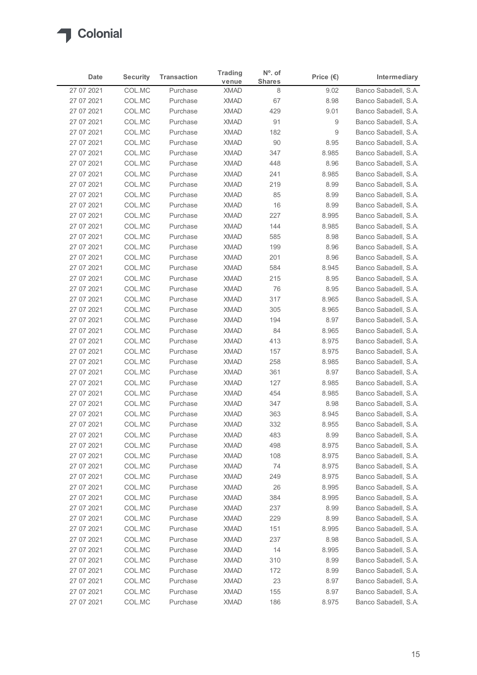

| Date                     | <b>Security</b>  | <b>Transaction</b>   | <b>Trading</b>             | $No$ . of          | Price $(\epsilon)$ | Intermediary                                 |
|--------------------------|------------------|----------------------|----------------------------|--------------------|--------------------|----------------------------------------------|
| 27 07 2021               | COL.MC           | Purchase             | venue<br><b>XMAD</b>       | <b>Shares</b><br>8 | 9.02               | Banco Sabadell, S.A.                         |
| 27 07 2021               | COL.MC           | Purchase             | <b>XMAD</b>                | 67                 | 8.98               | Banco Sabadell, S.A.                         |
| 27 07 2021               | COL.MC           | Purchase             | <b>XMAD</b>                | 429                | 9.01               | Banco Sabadell, S.A.                         |
| 27 07 2021               | COL.MC           | Purchase             | <b>XMAD</b>                | 91                 | 9                  | Banco Sabadell, S.A.                         |
| 27 07 2021               | COL.MC           | Purchase             | <b>XMAD</b>                | 182                | 9                  | Banco Sabadell, S.A.                         |
| 27 07 2021               | COL.MC           | Purchase             | <b>XMAD</b>                | 90                 | 8.95               | Banco Sabadell, S.A.                         |
| 27 07 2021<br>27 07 2021 | COL.MC<br>COL.MC | Purchase<br>Purchase | <b>XMAD</b><br><b>XMAD</b> | 347<br>448         | 8.985<br>8.96      | Banco Sabadell, S.A.<br>Banco Sabadell, S.A. |
| 27 07 2021               | COL.MC           | Purchase             | <b>XMAD</b>                | 241                | 8.985              | Banco Sabadell, S.A.                         |
| 27 07 2021               | COL.MC           | Purchase             | <b>XMAD</b>                | 219                | 8.99               | Banco Sabadell, S.A.                         |
| 27 07 2021               | COL.MC           | Purchase             | <b>XMAD</b>                | 85                 | 8.99               | Banco Sabadell, S.A.                         |
| 27 07 2021               | COL.MC           | Purchase             | <b>XMAD</b>                | 16                 | 8.99               | Banco Sabadell, S.A.                         |
| 27 07 2021               | COL.MC           | Purchase             | <b>XMAD</b>                | 227                | 8.995              | Banco Sabadell, S.A.                         |
| 27 07 2021<br>27 07 2021 | COL.MC<br>COL.MC | Purchase<br>Purchase | XMAD<br><b>XMAD</b>        | 144<br>585         | 8.985<br>8.98      | Banco Sabadell, S.A.<br>Banco Sabadell, S.A. |
| 27 07 2021               | COL.MC           | Purchase             | <b>XMAD</b>                | 199                | 8.96               | Banco Sabadell, S.A.                         |
| 27 07 2021               | COL.MC           | Purchase             | <b>XMAD</b>                | 201                | 8.96               | Banco Sabadell, S.A.                         |
| 27 07 2021               | COL.MC           | Purchase             | <b>XMAD</b>                | 584                | 8.945              | Banco Sabadell, S.A.                         |
| 27 07 2021               | COL.MC           | Purchase             | <b>XMAD</b>                | 215                | 8.95               | Banco Sabadell, S.A.                         |
| 27 07 2021               | COL.MC           | Purchase             | <b>XMAD</b>                | 76                 | 8.95               | Banco Sabadell, S.A.                         |
| 27 07 2021               | COL.MC           | Purchase             | <b>XMAD</b>                | 317                | 8.965              | Banco Sabadell, S.A.                         |
| 27 07 2021<br>27 07 2021 | COL.MC<br>COL.MC | Purchase<br>Purchase | <b>XMAD</b><br>XMAD        | 305<br>194         | 8.965<br>8.97      | Banco Sabadell, S.A.<br>Banco Sabadell, S.A. |
| 27 07 2021               | COL.MC           | Purchase             | <b>XMAD</b>                | 84                 | 8.965              | Banco Sabadell, S.A.                         |
| 27 07 2021               | COL.MC           | Purchase             | <b>XMAD</b>                | 413                | 8.975              | Banco Sabadell, S.A.                         |
| 27 07 2021               | COL.MC           | Purchase             | <b>XMAD</b>                | 157                | 8.975              | Banco Sabadell, S.A.                         |
| 27 07 2021               | COL.MC           | Purchase             | <b>XMAD</b>                | 258                | 8.985              | Banco Sabadell, S.A.                         |
| 27 07 2021               | COL.MC           | Purchase             | <b>XMAD</b>                | 361                | 8.97               | Banco Sabadell, S.A.                         |
| 27 07 2021               | COL.MC           | Purchase             | <b>XMAD</b>                | 127                | 8.985              | Banco Sabadell, S.A.                         |
| 27 07 2021<br>27 07 2021 | COL.MC<br>COL.MC | Purchase<br>Purchase | <b>XMAD</b><br><b>XMAD</b> | 454<br>347         | 8.985<br>8.98      | Banco Sabadell, S.A.<br>Banco Sabadell, S.A. |
| 27 07 2021               | COL.MC           | Purchase             | <b>XMAD</b>                | 363                | 8.945              | Banco Sabadell, S.A.                         |
| 27 07 2021               | COL.MC           | Purchase             | <b>XMAD</b>                | 332                | 8.955              | Banco Sabadell, S.A.                         |
| 27 07 2021               | COL.MC           | Purchase             | <b>XMAD</b>                | 483                | 8.99               | Banco Sabadell, S.A.                         |
| 27 07 2021               | COL.MC           | Purchase             | XMAD                       | 498                | 8.975              | Banco Sabadell, S.A.                         |
| 27 07 2021               | COL.MC           | Purchase             | <b>XMAD</b>                | 108                | 8.975              | Banco Sabadell, S.A.                         |
| 27 07 2021               | COL.MC           | Purchase             | <b>XMAD</b>                | 74                 | 8.975              | Banco Sabadell, S.A.                         |
| 27 07 2021               | COL.MC           | Purchase             | <b>XMAD</b>                | 249                | 8.975              | Banco Sabadell, S.A.                         |
| 27 07 2021<br>27 07 2021 | COL.MC<br>COL.MC | Purchase<br>Purchase | <b>XMAD</b><br><b>XMAD</b> | 26<br>384          | 8.995<br>8.995     | Banco Sabadell, S.A.<br>Banco Sabadell, S.A. |
| 27 07 2021               | COL.MC           | Purchase             | <b>XMAD</b>                | 237                | 8.99               | Banco Sabadell, S.A.                         |
| 27 07 2021               | COL.MC           | Purchase             | <b>XMAD</b>                | 229                | 8.99               | Banco Sabadell, S.A.                         |
| 27 07 2021               | COL.MC           | Purchase             | <b>XMAD</b>                | 151                | 8.995              | Banco Sabadell, S.A.                         |
| 27 07 2021               | COL.MC           | Purchase             | <b>XMAD</b>                | 237                | 8.98               | Banco Sabadell, S.A.                         |
| 27 07 2021               | COL.MC           | Purchase             | <b>XMAD</b>                | 14                 | 8.995              | Banco Sabadell, S.A.                         |
| 27 07 2021               | COL.MC           | Purchase             | <b>XMAD</b>                | 310                | 8.99               | Banco Sabadell, S.A.                         |
| 27 07 2021               | COL.MC           | Purchase             | <b>XMAD</b>                | 172                | 8.99               | Banco Sabadell, S.A.                         |
| 27 07 2021               | COL.MC<br>COL.MC | Purchase             | <b>XMAD</b>                | 23                 | 8.97               | Banco Sabadell, S.A.                         |
| 27 07 2021               |                  | Purchase             | <b>XMAD</b>                | 155                | 8.97               | Banco Sabadell, S.A.                         |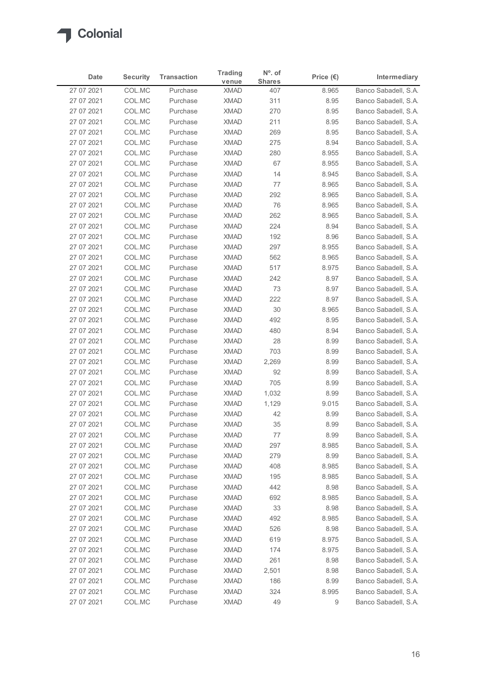

| Date                     | <b>Security</b>  | <b>Transaction</b>   | <b>Trading</b>             | $No$ . of            |                             | Intermediary                                 |
|--------------------------|------------------|----------------------|----------------------------|----------------------|-----------------------------|----------------------------------------------|
| 27 07 2021               | COL.MC           | Purchase             | venue<br><b>XMAD</b>       | <b>Shares</b><br>407 | Price $(\epsilon)$<br>8.965 | Banco Sabadell, S.A.                         |
| 27 07 2021               | COL.MC           | Purchase             | <b>XMAD</b>                | 311                  | 8.95                        | Banco Sabadell, S.A.                         |
| 27 07 2021               | COL.MC           | Purchase             | <b>XMAD</b>                | 270                  | 8.95                        | Banco Sabadell, S.A.                         |
| 27 07 2021               | COL.MC           | Purchase             | <b>XMAD</b>                | 211                  | 8.95                        | Banco Sabadell, S.A.                         |
| 27 07 2021               | COL.MC           | Purchase             | <b>XMAD</b>                | 269                  | 8.95                        | Banco Sabadell, S.A.                         |
| 27 07 2021               | COL.MC           | Purchase             | <b>XMAD</b>                | 275                  | 8.94                        | Banco Sabadell, S.A.                         |
| 27 07 2021               | COL.MC           | Purchase             | <b>XMAD</b>                | 280                  | 8.955                       | Banco Sabadell, S.A.                         |
| 27 07 2021<br>27 07 2021 | COL.MC<br>COL.MC | Purchase<br>Purchase | <b>XMAD</b><br><b>XMAD</b> | 67<br>14             | 8.955<br>8.945              | Banco Sabadell, S.A.<br>Banco Sabadell, S.A. |
| 27 07 2021               | COL.MC           | Purchase             | <b>XMAD</b>                | 77                   | 8.965                       | Banco Sabadell, S.A.                         |
| 27 07 2021               | COL.MC           | Purchase             | <b>XMAD</b>                | 292                  | 8.965                       | Banco Sabadell, S.A.                         |
| 27 07 2021               | COL.MC           | Purchase             | <b>XMAD</b>                | 76                   | 8.965                       | Banco Sabadell, S.A.                         |
| 27 07 2021               | COL.MC           | Purchase             | <b>XMAD</b>                | 262                  | 8.965                       | Banco Sabadell, S.A.                         |
| 27 07 2021               | COL.MC           | Purchase             | XMAD                       | 224                  | 8.94                        | Banco Sabadell, S.A.                         |
| 27 07 2021               | COL.MC           | Purchase             | <b>XMAD</b>                | 192                  | 8.96                        | Banco Sabadell, S.A.                         |
| 27 07 2021               | COL.MC           | Purchase             | <b>XMAD</b>                | 297                  | 8.955                       | Banco Sabadell, S.A.                         |
| 27 07 2021<br>27 07 2021 | COL.MC<br>COL.MC | Purchase<br>Purchase | <b>XMAD</b><br><b>XMAD</b> | 562<br>517           | 8.965<br>8.975              | Banco Sabadell, S.A.<br>Banco Sabadell, S.A. |
| 27 07 2021               | COL.MC           | Purchase             | <b>XMAD</b>                | 242                  | 8.97                        | Banco Sabadell, S.A.                         |
| 27 07 2021               | COL.MC           | Purchase             | <b>XMAD</b>                | 73                   | 8.97                        | Banco Sabadell, S.A.                         |
| 27 07 2021               | COL.MC           | Purchase             | <b>XMAD</b>                | 222                  | 8.97                        | Banco Sabadell, S.A.                         |
| 27 07 2021               | COL.MC           | Purchase             | <b>XMAD</b>                | 30                   | 8.965                       | Banco Sabadell, S.A.                         |
| 27 07 2021               | COL.MC           | Purchase             | XMAD                       | 492                  | 8.95                        | Banco Sabadell, S.A.                         |
| 27 07 2021               | COL.MC           | Purchase             | <b>XMAD</b>                | 480                  | 8.94                        | Banco Sabadell, S.A.                         |
| 27 07 2021               | COL.MC           | Purchase             | <b>XMAD</b>                | 28                   | 8.99                        | Banco Sabadell, S.A.                         |
| 27 07 2021<br>27 07 2021 | COL.MC<br>COL.MC | Purchase<br>Purchase | <b>XMAD</b><br><b>XMAD</b> | 703<br>2,269         | 8.99<br>8.99                | Banco Sabadell, S.A.<br>Banco Sabadell, S.A. |
| 27 07 2021               | COL.MC           | Purchase             | <b>XMAD</b>                | 92                   | 8.99                        | Banco Sabadell, S.A.                         |
| 27 07 2021               | COL.MC           | Purchase             | <b>XMAD</b>                | 705                  | 8.99                        | Banco Sabadell, S.A.                         |
| 27 07 2021               | COL.MC           | Purchase             | <b>XMAD</b>                | 1,032                | 8.99                        | Banco Sabadell, S.A.                         |
| 27 07 2021               | COL.MC           | Purchase             | <b>XMAD</b>                | 1,129                | 9.015                       | Banco Sabadell, S.A.                         |
| 27 07 2021               | COL.MC           | Purchase             | <b>XMAD</b>                | 42                   | 8.99                        | Banco Sabadell, S.A.                         |
| 27 07 2021               | COL.MC           | Purchase             | <b>XMAD</b>                | 35                   | 8.99                        | Banco Sabadell, S.A.                         |
| 27 07 2021               | COL.MC           | Purchase             | <b>XMAD</b>                | 77                   | 8.99                        | Banco Sabadell, S.A.                         |
| 27 07 2021               | COL.MC           | Purchase             | XMAD                       | 297                  | 8.985                       | Banco Sabadell, S.A.                         |
| 27 07 2021               | COL.MC           | Purchase             | <b>XMAD</b>                | 279                  | 8.99                        | Banco Sabadell, S.A.                         |
| 27 07 2021<br>27 07 2021 | COL.MC<br>COL.MC | Purchase             | <b>XMAD</b><br><b>XMAD</b> | 408<br>195           | 8.985<br>8.985              | Banco Sabadell, S.A.<br>Banco Sabadell, S.A. |
| 27 07 2021               | COL.MC           | Purchase<br>Purchase | <b>XMAD</b>                | 442                  | 8.98                        | Banco Sabadell, S.A.                         |
| 27 07 2021               | COL.MC           | Purchase             | <b>XMAD</b>                | 692                  | 8.985                       | Banco Sabadell, S.A.                         |
| 27 07 2021               | COL.MC           | Purchase             | <b>XMAD</b>                | 33                   | 8.98                        | Banco Sabadell, S.A.                         |
| 27 07 2021               | COL.MC           | Purchase             | <b>XMAD</b>                | 492                  | 8.985                       | Banco Sabadell, S.A.                         |
| 27 07 2021               | COL.MC           | Purchase             | <b>XMAD</b>                | 526                  | 8.98                        | Banco Sabadell, S.A.                         |
| 27 07 2021               | COL.MC           | Purchase             | <b>XMAD</b>                | 619                  | 8.975                       | Banco Sabadell, S.A.                         |
| 27 07 2021               | COL.MC           | Purchase             | <b>XMAD</b>                | 174                  | 8.975                       | Banco Sabadell, S.A.                         |
| 27 07 2021               | COL.MC           | Purchase             | XMAD                       | 261                  | 8.98                        | Banco Sabadell, S.A.                         |
| 27 07 2021<br>27 07 2021 | COL.MC           | Purchase             | <b>XMAD</b>                | 2,501                | 8.98                        | Banco Sabadell, S.A.                         |
|                          | COL.MC<br>COL.MC | Purchase<br>Purchase | <b>XMAD</b><br><b>XMAD</b> | 186<br>324           | 8.99<br>8.995               | Banco Sabadell, S.A.<br>Banco Sabadell, S.A. |
| 27 07 2021               |                  |                      |                            |                      |                             |                                              |